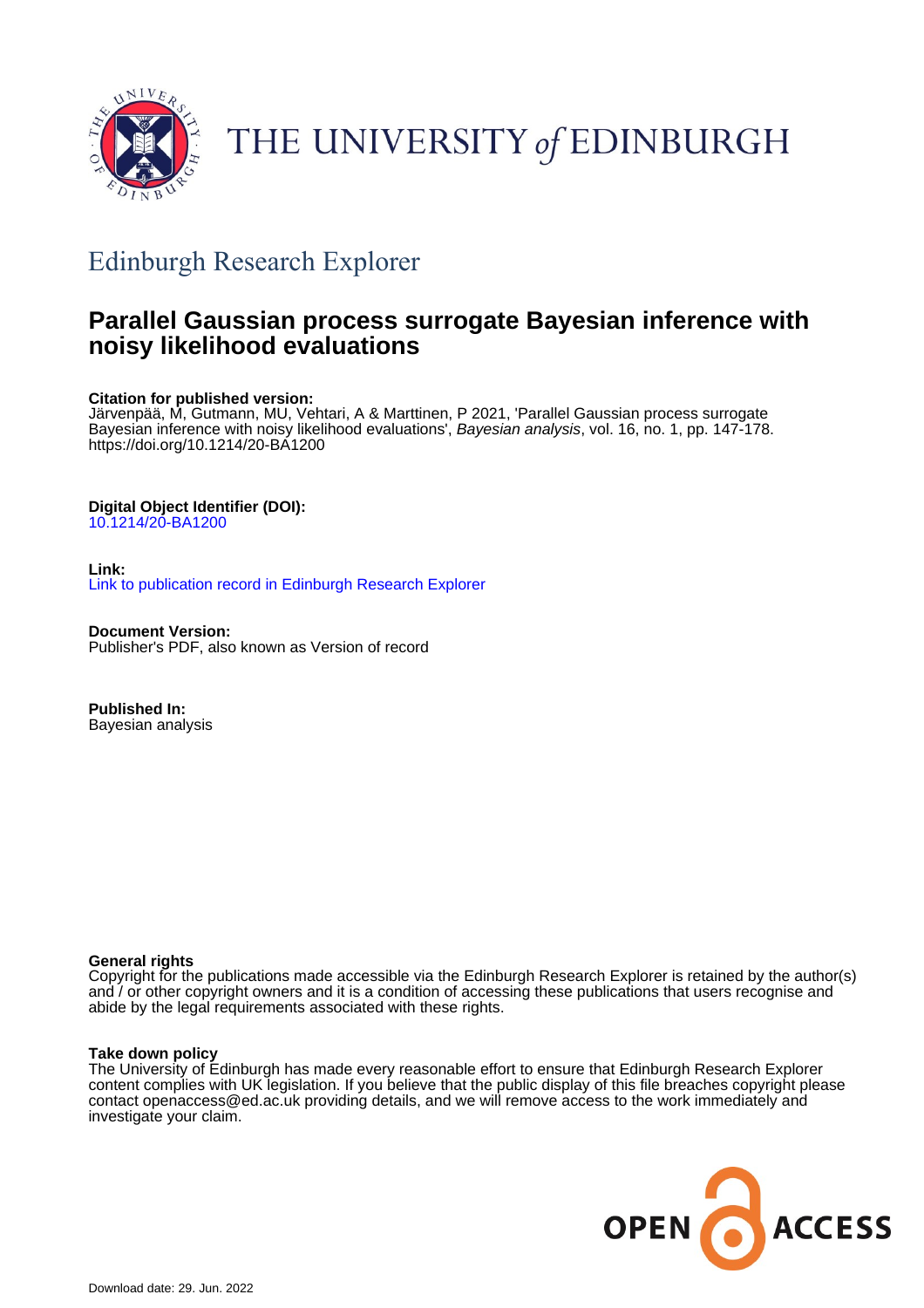

# THE UNIVERSITY of EDINBURGH

## Edinburgh Research Explorer

## **Parallel Gaussian process surrogate Bayesian inference with noisy likelihood evaluations**

#### **Citation for published version:**

Järvenpää, M, Gutmann, MU, Vehtari, A & Marttinen, P 2021, 'Parallel Gaussian process surrogate Bayesian inference with noisy likelihood evaluations', Bayesian analysis, vol. 16, no. 1, pp. 147-178. <https://doi.org/10.1214/20-BA1200>

### **Digital Object Identifier (DOI):**

[10.1214/20-BA1200](https://doi.org/10.1214/20-BA1200)

#### **Link:** [Link to publication record in Edinburgh Research Explorer](https://www.research.ed.ac.uk/en/publications/3025e024-c2e0-41f4-b1ce-11e6382c5c97)

**Document Version:** Publisher's PDF, also known as Version of record

**Published In:** Bayesian analysis

### **General rights**

Copyright for the publications made accessible via the Edinburgh Research Explorer is retained by the author(s) and / or other copyright owners and it is a condition of accessing these publications that users recognise and abide by the legal requirements associated with these rights.

#### **Take down policy**

The University of Edinburgh has made every reasonable effort to ensure that Edinburgh Research Explorer content complies with UK legislation. If you believe that the public display of this file breaches copyright please contact openaccess@ed.ac.uk providing details, and we will remove access to the work immediately and investigate your claim.

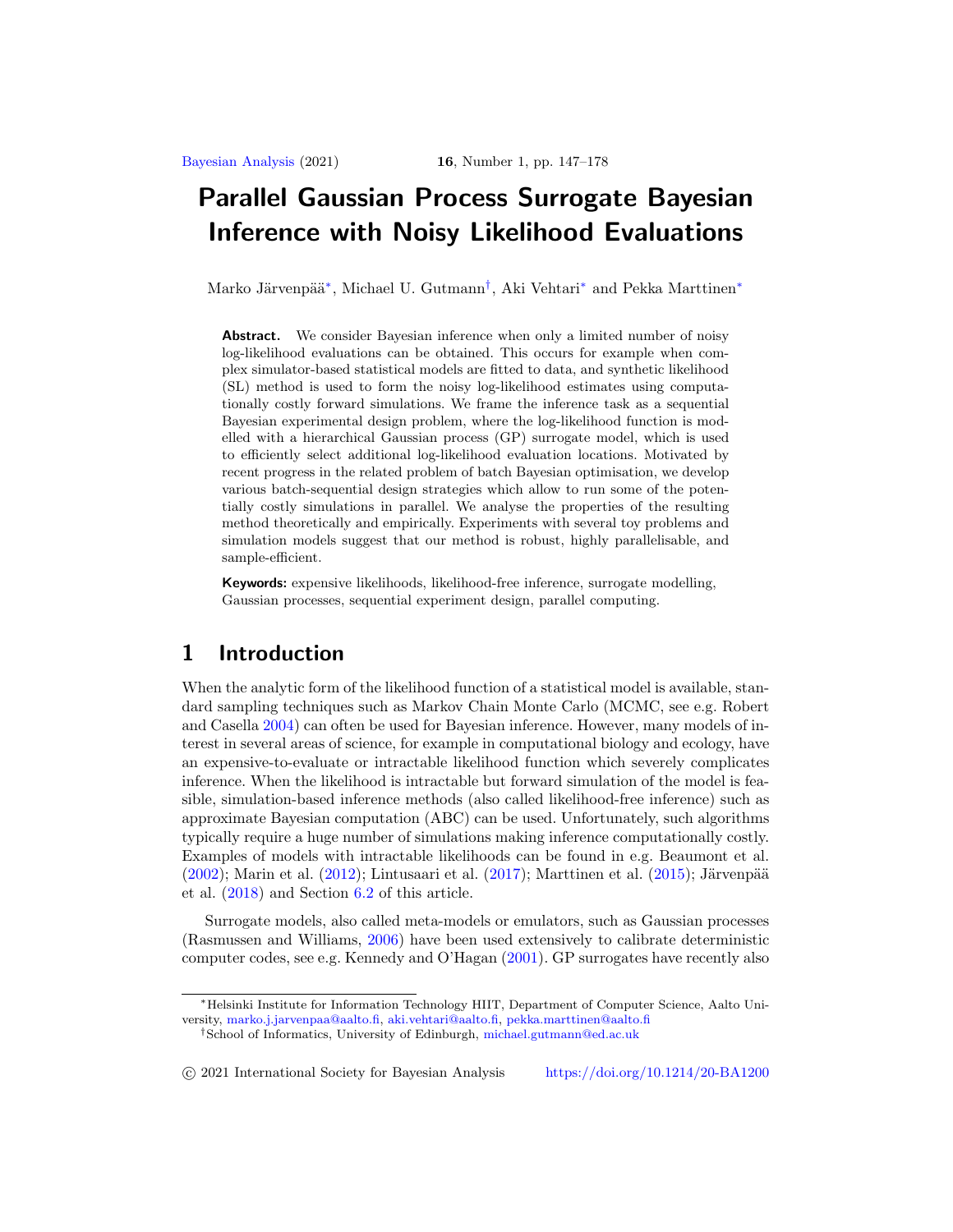## <span id="page-1-2"></span>**Parallel Gaussian Process Surrogate Bayesian Inference with Noisy Likelihood Evaluations**

Marko Järvenpää<sup>[∗](#page-1-0)</sup>, Michael U. Gutmann<sup>[†](#page-1-1)</sup>, Aki Vehtari<sup>∗</sup> and Pekka Marttinen<sup>∗</sup>

**Abstract.** We consider Bayesian inference when only a limited number of noisy log-likelihood evaluations can be obtained. This occurs for example when complex simulator-based statistical models are fitted to data, and synthetic likelihood (SL) method is used to form the noisy log-likelihood estimates using computationally costly forward simulations. We frame the inference task as a sequential Bayesian experimental design problem, where the log-likelihood function is modelled with a hierarchical Gaussian process (GP) surrogate model, which is used to efficiently select additional log-likelihood evaluation locations. Motivated by recent progress in the related problem of batch Bayesian optimisation, we develop various batch-sequential design strategies which allow to run some of the potentially costly simulations in parallel. We analyse the properties of the resulting method theoretically and empirically. Experiments with several toy problems and simulation models suggest that our method is robust, highly parallelisable, and sample-efficient.

**Keywords:** expensive likelihoods, likelihood-free inference, surrogate modelling, Gaussian processes, sequential experiment design, parallel computing.

## **1 Introduction**

When the analytic form of the likelihood function of a statistical model is available, standard sampling techniques such as Markov Chain Monte Carlo (MCMC, see e.g. Robert and Casella [2004\)](#page-30-0) can often be used for Bayesian inference. However, many models of interest in several areas of science, for example in computational biology and ecology, have an expensive-to-evaluate or intractable likelihood function which severely complicates inference. When the likelihood is intractable but forward simulation of the model is feasible, simulation-based inference methods (also called likelihood-free inference) such as approximate Bayesian computation (ABC) can be used. Unfortunately, such algorithms typically require a huge number of simulations making inference computationally costly. Examples of models with intractable likelihoods can be found in e.g. Beaumont et al.  $(2002)$ ; Marin et al.  $(2012)$ ; Lintusaari et al.  $(2017)$ ; Marttinen et al.  $(2015)$  $(2015)$ ; Järvenpää et al. [\(2018](#page-29-2)) and Section [6.2](#page-21-0) of this article.

Surrogate models, also called meta-models or emulators, such as Gaussian processes (Rasmussen and Williams, [2006](#page-30-2)) have been used extensively to calibrate deterministic computer codes, see e.g. Kennedy and O'Hagan [\(2001\)](#page-29-3). GP surrogates have recently also

-c 2021 International Society for Bayesian Analysis <https://doi.org/10.1214/20-BA1200>

<span id="page-1-0"></span><sup>∗</sup>Helsinki Institute for Information Technology HIIT, Department of Computer Science, Aalto University, [marko.j.jarvenpaa@aalto.fi,](mailto:marko.j.jarvenpaa@aalto.fi) [aki.vehtari@aalto.fi,](mailto:aki.vehtari@aalto.fi) [pekka.marttinen@aalto.fi](mailto:pekka.marttinen@aalto.fi)

<span id="page-1-1"></span><sup>†</sup>School of Informatics, University of Edinburgh, [michael.gutmann@ed.ac.uk](mailto:michael.gutmann@ed.ac.uk)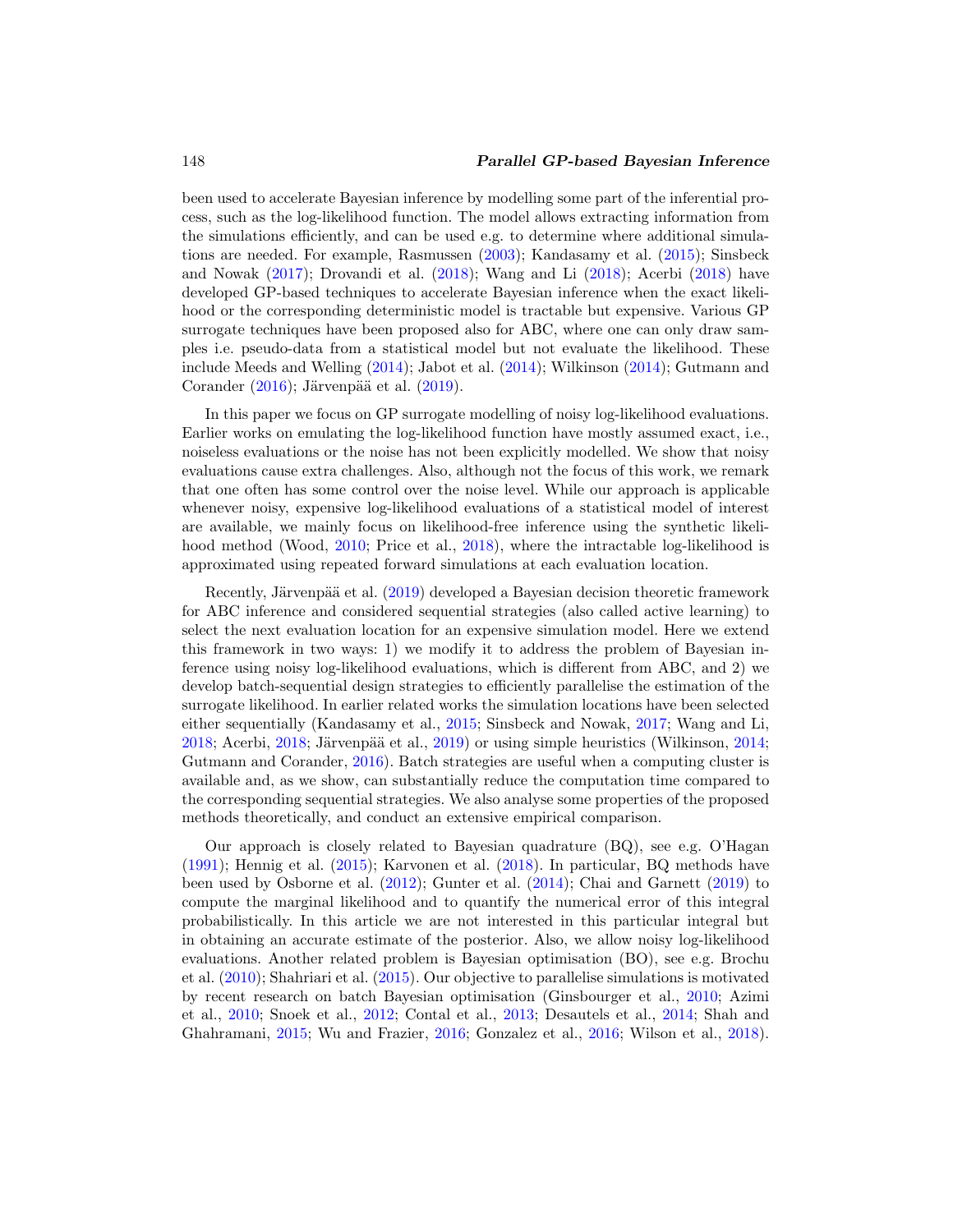#### <span id="page-2-0"></span>148 *Parallel GP-based Bayesian Inference*

been used to accelerate Bayesian inference by modelling some part of the inferential process, such as the log-likelihood function. The model allows extracting information from the simulations efficiently, and can be used e.g. to determine where additional simulations are needed. For example, Rasmussen [\(2003](#page-30-3)); Kandasamy et al. [\(2015\)](#page-29-4); Sinsbeck and Nowak [\(2017\)](#page-31-0); Drovandi et al. [\(2018](#page-28-0)); Wang and Li [\(2018\)](#page-31-1); Acerbi [\(2018\)](#page-26-0) have developed GP-based techniques to accelerate Bayesian inference when the exact likelihood or the corresponding deterministic model is tractable but expensive. Various GP surrogate techniques have been proposed also for ABC, where one can only draw samples i.e. pseudo-data from a statistical model but not evaluate the likelihood. These include Meeds and Welling [\(2014](#page-30-4)); Jabot et al. [\(2014\)](#page-29-5); Wilkinson [\(2014](#page-31-2)); Gutmann and Corander  $(2016)$  $(2016)$ ; Järvenpää et al.  $(2019)$  $(2019)$ .

In this paper we focus on GP surrogate modelling of noisy log-likelihood evaluations. Earlier works on emulating the log-likelihood function have mostly assumed exact, i.e., noiseless evaluations or the noise has not been explicitly modelled. We show that noisy evaluations cause extra challenges. Also, although not the focus of this work, we remark that one often has some control over the noise level. While our approach is applicable whenever noisy, expensive log-likelihood evaluations of a statistical model of interest are available, we mainly focus on likelihood-free inference using the synthetic likeli-hood method (Wood, [2010](#page-31-3); Price et al., [2018](#page-30-5)), where the intractable log-likelihood is approximated using repeated forward simulations at each evaluation location.

Recently, Järvenpää et al. [\(2019\)](#page-29-6) developed a Bayesian decision theoretic framework for ABC inference and considered sequential strategies (also called active learning) to select the next evaluation location for an expensive simulation model. Here we extend this framework in two ways: 1) we modify it to address the problem of Bayesian inference using noisy log-likelihood evaluations, which is different from ABC, and 2) we develop batch-sequential design strategies to efficiently parallelise the estimation of the surrogate likelihood. In earlier related works the simulation locations have been selected either sequentially (Kandasamy et al., [2015;](#page-29-4) Sinsbeck and Nowak, [2017;](#page-31-0) Wang and Li,  $2018$ ; Acerbi,  $2018$ ; Järvenpää et al.,  $2019$ ) or using simple heuristics (Wilkinson,  $2014$ ; Gutmann and Corander, [2016\)](#page-28-1). Batch strategies are useful when a computing cluster is available and, as we show, can substantially reduce the computation time compared to the corresponding sequential strategies. We also analyse some properties of the proposed methods theoretically, and conduct an extensive empirical comparison.

Our approach is closely related to Bayesian quadrature (BQ), see e.g. O'Hagan [\(1991\)](#page-30-6); Hennig et al. [\(2015\)](#page-28-2); Karvonen et al. [\(2018\)](#page-29-7). In particular, BQ methods have been used by Osborne et al. [\(2012\)](#page-30-7); Gunter et al. [\(2014](#page-28-3)); Chai and Garnett [\(2019](#page-27-1)) to compute the marginal likelihood and to quantify the numerical error of this integral probabilistically. In this article we are not interested in this particular integral but in obtaining an accurate estimate of the posterior. Also, we allow noisy log-likelihood evaluations. Another related problem is Bayesian optimisation (BO), see e.g. Brochu et al. [\(2010](#page-27-2)); Shahriari et al. [\(2015](#page-31-4)). Our objective to parallelise simulations is motivated by recent research on batch Bayesian optimisation (Ginsbourger et al., [2010](#page-28-4); Azimi et al., [2010;](#page-27-3) Snoek et al., [2012;](#page-31-5) Contal et al., [2013](#page-28-5); Desautels et al., [2014;](#page-28-6) Shah and Ghahramani, [2015;](#page-31-6) Wu and Frazier, [2016](#page-32-0); Gonzalez et al., [2016](#page-28-7); Wilson et al., [2018\)](#page-31-7).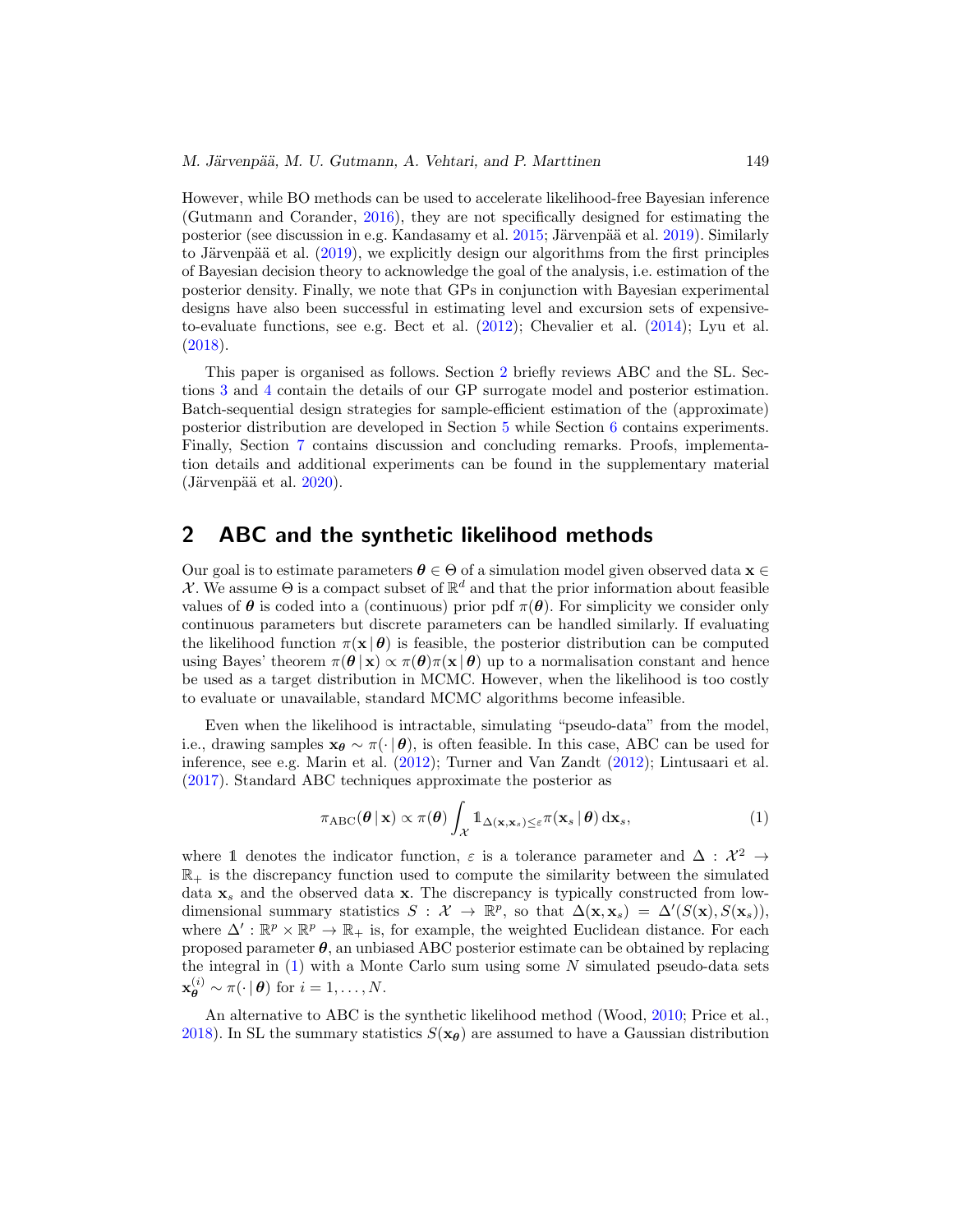<span id="page-3-2"></span>However, while BO methods can be used to accelerate likelihood-free Bayesian inference (Gutmann and Corander, [2016\)](#page-28-1), they are not specifically designed for estimating the posterior (see discussion in e.g. Kandasamy et al. [2015;](#page-29-4) Järvenpää et al. [2019](#page-29-6)). Similarly to Järvenpää et al.  $(2019)$  $(2019)$ , we explicitly design our algorithms from the first principles of Bayesian decision theory to acknowledge the goal of the analysis, i.e. estimation of the posterior density. Finally, we note that GPs in conjunction with Bayesian experimental designs have also been successful in estimating level and excursion sets of expensiveto-evaluate functions, see e.g. Bect et al. [\(2012\)](#page-27-4); Chevalier et al. [\(2014](#page-27-5)); Lyu et al. [\(2018\)](#page-29-8).

This paper is organised as follows. Section [2](#page-3-0) briefly reviews ABC and the SL. Sections [3](#page-4-0) and [4](#page-5-0) contain the details of our GP surrogate model and posterior estimation. Batch-sequential design strategies for sample-efficient estimation of the (approximate) posterior distribution are developed in Section [5](#page-8-0) while Section [6](#page-18-0) contains experiments. Finally, Section [7](#page-25-0) contains discussion and concluding remarks. Proofs, implementation details and additional experiments can be found in the supplementary material  $(Järvenpää et al. 2020).$  $(Järvenpää et al. 2020).$  $(Järvenpää et al. 2020).$ 

## <span id="page-3-0"></span>**2 ABC and the synthetic likelihood methods**

Our goal is to estimate parameters  $\theta \in \Theta$  of a simulation model given observed data **x**  $\in$  $\mathcal{X}$ . We assume  $\Theta$  is a compact subset of  $\mathbb{R}^d$  and that the prior information about feasible values of  $\theta$  is coded into a (continuous) prior pdf  $\pi(\theta)$ . For simplicity we consider only continuous parameters but discrete parameters can be handled similarly. If evaluating the likelihood function  $\pi(\mathbf{x} | \theta)$  is feasible, the posterior distribution can be computed using Bayes' theorem  $\pi(\theta | \mathbf{x}) \propto \pi(\theta) \pi(\mathbf{x} | \theta)$  up to a normalisation constant and hence be used as a target distribution in MCMC. However, when the likelihood is too costly to evaluate or unavailable, standard MCMC algorithms become infeasible.

Even when the likelihood is intractable, simulating "pseudo-data" from the model, i.e., drawing samples  $\mathbf{x}_{\theta} \sim \pi(\cdot | \theta)$ , is often feasible. In this case, ABC can be used for inference, see e.g. Marin et al. [\(2012](#page-29-0)); Turner and Van Zandt [\(2012\)](#page-31-8); Lintusaari et al. [\(2017\)](#page-29-1). Standard ABC techniques approximate the posterior as

<span id="page-3-1"></span>
$$
\pi_{\text{ABC}}(\boldsymbol{\theta} \,|\, \mathbf{x}) \propto \pi(\boldsymbol{\theta}) \int_{\mathcal{X}} \mathbb{1}_{\Delta(\mathbf{x}, \mathbf{x}_s) \leq \varepsilon} \pi(\mathbf{x}_s \,|\, \boldsymbol{\theta}) \, \mathrm{d}\mathbf{x}_s,\tag{1}
$$

where 1 denotes the indicator function,  $\varepsilon$  is a tolerance parameter and  $\Delta : \mathcal{X}^2 \to$  $\mathbb{R}_+$  is the discrepancy function used to compute the similarity between the simulated data **x**<sup>s</sup> and the observed data **x**. The discrepancy is typically constructed from lowdimensional summary statistics  $S : \mathcal{X} \to \mathbb{R}^p$ , so that  $\Delta(\mathbf{x}, \mathbf{x}_s) = \Delta'(S(\mathbf{x}), S(\mathbf{x}_s))$ , where  $\Delta' : \mathbb{R}^p \times \mathbb{R}^p \to \mathbb{R}_+$  is, for example, the weighted Euclidean distance. For each proposed parameter  $\theta$ , an unbiased ABC posterior estimate can be obtained by replacing the integral in  $(1)$  with a Monte Carlo sum using some  $N$  simulated pseudo-data sets  $\mathbf{x}_{\theta}^{(i)} \sim \pi(\cdot | \theta)$  for  $i = 1, \ldots, N$ .

An alternative to ABC is the synthetic likelihood method (Wood, [2010;](#page-31-3) Price et al., [2018\)](#page-30-5). In SL the summary statistics  $S(\mathbf{x}_{\theta})$  are assumed to have a Gaussian distribution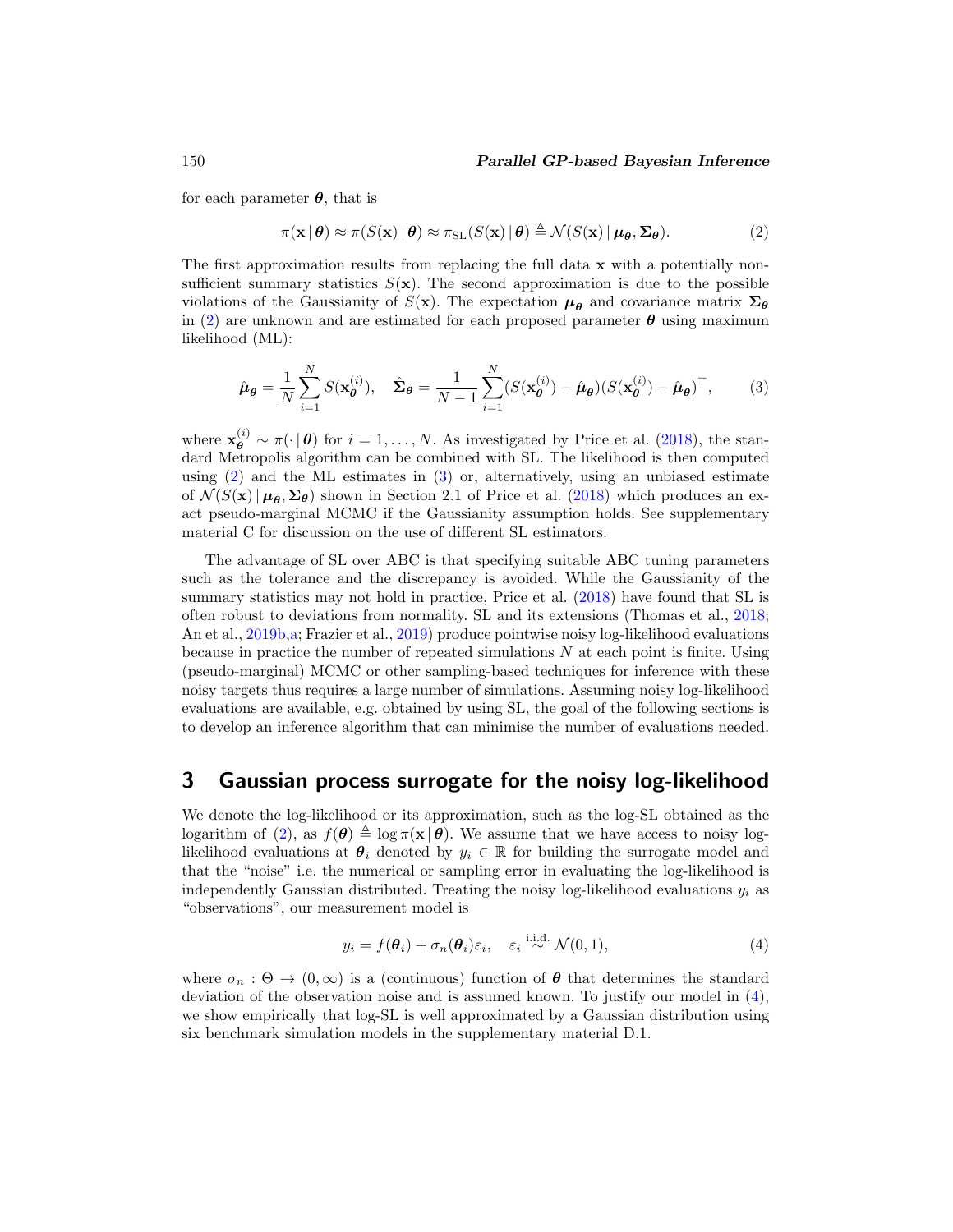<span id="page-4-4"></span>for each parameter *θ*, that is

<span id="page-4-1"></span>
$$
\pi(\mathbf{x} \mid \boldsymbol{\theta}) \approx \pi(S(\mathbf{x}) \mid \boldsymbol{\theta}) \approx \pi_{\mathrm{SL}}(S(\mathbf{x}) \mid \boldsymbol{\theta}) \triangleq \mathcal{N}(S(\mathbf{x}) \mid \boldsymbol{\mu}_{\boldsymbol{\theta}}, \boldsymbol{\Sigma}_{\boldsymbol{\theta}}).
$$
(2)

The first approximation results from replacing the full data **x** with a potentially nonsufficient summary statistics  $S(\mathbf{x})$ . The second approximation is due to the possible violations of the Gaussianity of  $S(\mathbf{x})$ . The expectation  $\mu_{\theta}$  and covariance matrix  $\Sigma_{\theta}$ in [\(2\)](#page-4-1) are unknown and are estimated for each proposed parameter  $\theta$  using maximum likelihood (ML):

<span id="page-4-2"></span>
$$
\hat{\boldsymbol{\mu}}_{\boldsymbol{\theta}} = \frac{1}{N} \sum_{i=1}^{N} S(\mathbf{x}_{\boldsymbol{\theta}}^{(i)}), \quad \hat{\boldsymbol{\Sigma}}_{\boldsymbol{\theta}} = \frac{1}{N-1} \sum_{i=1}^{N} (S(\mathbf{x}_{\boldsymbol{\theta}}^{(i)}) - \hat{\boldsymbol{\mu}}_{\boldsymbol{\theta}}) (S(\mathbf{x}_{\boldsymbol{\theta}}^{(i)}) - \hat{\boldsymbol{\mu}}_{\boldsymbol{\theta}})^{\top},
$$
(3)

where  $\mathbf{x}_{\theta}^{(i)} \sim \pi(\cdot | \theta)$  for  $i = 1, ..., N$ . As investigated by Price et al. [\(2018\)](#page-30-5), the standard Metropolis algorithm can be combined with SL. The likelihood is then computed using [\(2\)](#page-4-1) and the ML estimates in [\(3\)](#page-4-2) or, alternatively, using an unbiased estimate of  $\mathcal{N}(S(\mathbf{x}) | \mu_{\theta}, \Sigma_{\theta})$  shown in Section 2.1 of Price et al. [\(2018](#page-30-5)) which produces an exact pseudo-marginal MCMC if the Gaussianity assumption holds. See supplementary material C for discussion on the use of different SL estimators.

The advantage of SL over ABC is that specifying suitable ABC tuning parameters such as the tolerance and the discrepancy is avoided. While the Gaussianity of the summary statistics may not hold in practice, Price et al. [\(2018](#page-30-5)) have found that SL is often robust to deviations from normality. SL and its extensions (Thomas et al., [2018;](#page-31-9) An et al., [2019b](#page-27-6)[,a](#page-26-1); Frazier et al., [2019\)](#page-28-8) produce pointwise noisy log-likelihood evaluations because in practice the number of repeated simulations  $N$  at each point is finite. Using (pseudo-marginal) MCMC or other sampling-based techniques for inference with these noisy targets thus requires a large number of simulations. Assuming noisy log-likelihood evaluations are available, e.g. obtained by using SL, the goal of the following sections is to develop an inference algorithm that can minimise the number of evaluations needed.

## <span id="page-4-0"></span>**3 Gaussian process surrogate for the noisy log-likelihood**

We denote the log-likelihood or its approximation, such as the log-SL obtained as the logarithm of [\(2\)](#page-4-1), as  $f(\theta) \triangleq \log \pi(x|\theta)$ . We assume that we have access to noisy loglikelihood evaluations at  $\theta_i$  denoted by  $y_i \in \mathbb{R}$  for building the surrogate model and that the "noise" i.e. the numerical or sampling error in evaluating the log-likelihood is independently Gaussian distributed. Treating the noisy log-likelihood evaluations  $y_i$  as "observations", our measurement model is

<span id="page-4-3"></span>
$$
y_i = f(\boldsymbol{\theta}_i) + \sigma_n(\boldsymbol{\theta}_i)\varepsilon_i, \quad \varepsilon_i \stackrel{\text{i.i.d.}}{\sim} \mathcal{N}(0, 1), \tag{4}
$$

where  $\sigma_n$ :  $\Theta \to (0,\infty)$  is a (continuous) function of  $\theta$  that determines the standard deviation of the observation noise and is assumed known. To justify our model in  $(4)$ , we show empirically that log-SL is well approximated by a Gaussian distribution using six benchmark simulation models in the supplementary material D.1.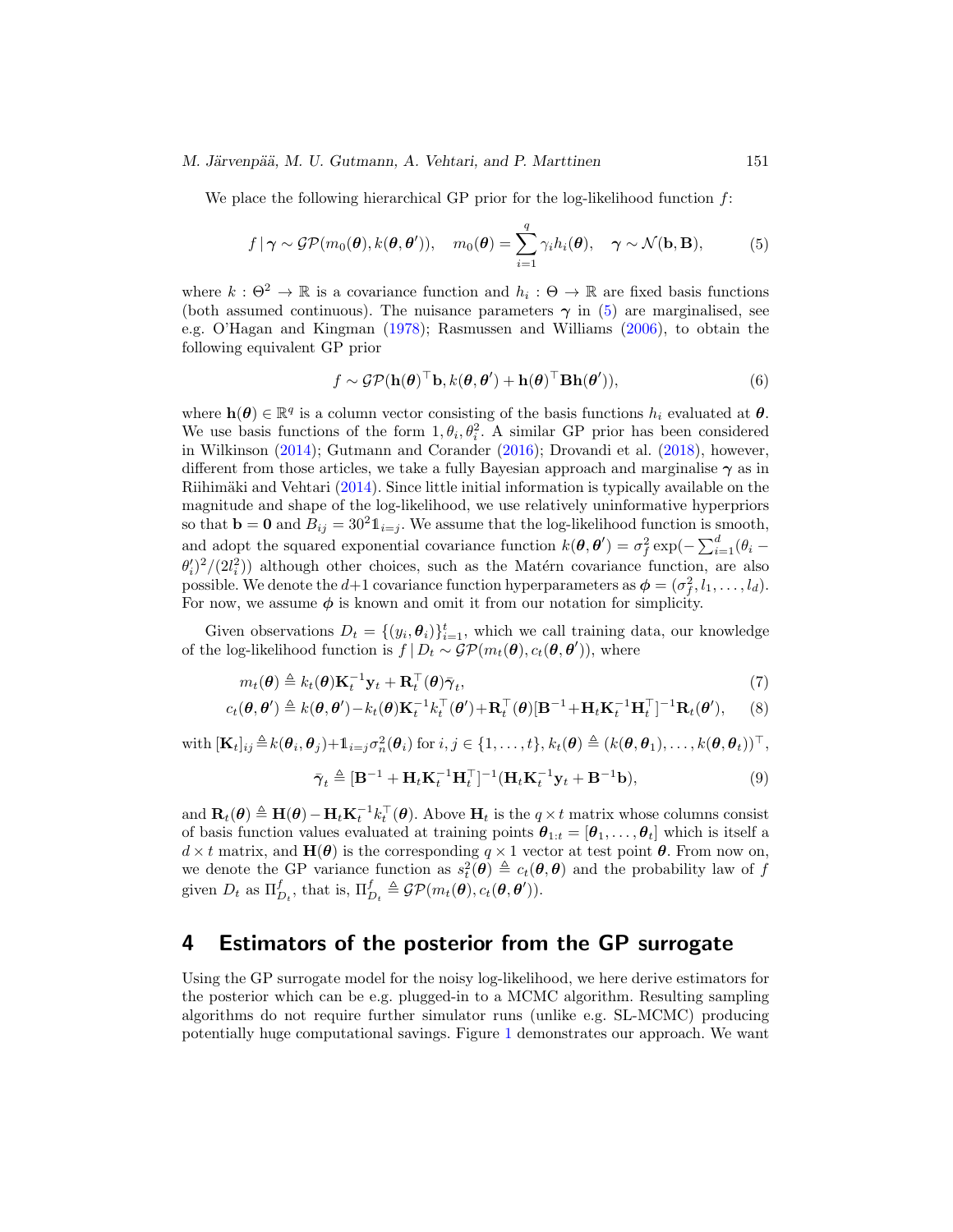#### <span id="page-5-2"></span>*M. Järvenpää, M. U. Gutmann, A. Vehtari, and P. Marttinen* 151

We place the following hierarchical GP prior for the log-likelihood function  $f$ :

$$
f | \gamma \sim \mathcal{GP}(m_0(\boldsymbol{\theta}), k(\boldsymbol{\theta}, \boldsymbol{\theta}')), \quad m_0(\boldsymbol{\theta}) = \sum_{i=1}^q \gamma_i h_i(\boldsymbol{\theta}), \quad \gamma \sim \mathcal{N}(\mathbf{b}, \mathbf{B}), \tag{5}
$$

where  $k : \Theta^2 \to \mathbb{R}$  is a covariance function and  $h_i : \Theta \to \mathbb{R}$  are fixed basis functions (both assumed continuous). The nuisance parameters  $\gamma$  in [\(5\)](#page-5-1) are marginalised, see e.g. O'Hagan and Kingman [\(1978\)](#page-30-8); Rasmussen and Williams [\(2006](#page-30-2)), to obtain the following equivalent GP prior

<span id="page-5-1"></span>
$$
f \sim \mathcal{GP}(\mathbf{h}(\boldsymbol{\theta})^{\top} \mathbf{b}, k(\boldsymbol{\theta}, \boldsymbol{\theta}') + \mathbf{h}(\boldsymbol{\theta})^{\top} \mathbf{B} \mathbf{h}(\boldsymbol{\theta}')),
$$
\n(6)

where  $h(\theta) \in \mathbb{R}^q$  is a column vector consisting of the basis functions  $h_i$  evaluated at  $\theta$ . We use basis functions of the form  $1, \theta_i, \theta_i^2$ . A similar GP prior has been considered in Wilkinson [\(2014\)](#page-31-2); Gutmann and Corander [\(2016\)](#page-28-1); Drovandi et al. [\(2018\)](#page-28-0), however, different from those articles, we take a fully Bayesian approach and marginalise *γ* as in Riihimäki and Vehtari [\(2014\)](#page-30-9). Since little initial information is typically available on the magnitude and shape of the log-likelihood, we use relatively uninformative hyperpriors so that  $\mathbf{b} = \mathbf{0}$  and  $B_{ij} = 30^2 \mathbb{1}_{i=j}$ . We assume that the log-likelihood function is smooth, and adopt the squared exponential covariance function  $k(\theta, \theta') = \sigma_f^2 \exp(-\sum_{i=1}^d (\theta_i - \theta_i))$  $\theta_i^{\prime}/(2l_i^2)$  although other choices, such as the Matérn covariance function, are also possible. We denote the  $d+1$  covariance function hyperparameters as  $\phi = (\sigma_f^2, l_1, \ldots, l_d)$ . For now, we assume  $\phi$  is known and omit it from our notation for simplicity.

Given observations  $D_t = \{(y_i, \theta_i)\}_{i=1}^t$ , which we call training data, our knowledge of the log-likelihood function is  $f | D_t \sim \mathcal{GP}(m_t(\theta), c_t(\theta, \theta'))$ , where

$$
m_t(\boldsymbol{\theta}) \triangleq k_t(\boldsymbol{\theta}) \mathbf{K}_t^{-1} \mathbf{y}_t + \mathbf{R}_t^{\top}(\boldsymbol{\theta}) \bar{\boldsymbol{\gamma}}_t, \tag{7}
$$

$$
c_t(\boldsymbol{\theta}, \boldsymbol{\theta}') \triangleq k(\boldsymbol{\theta}, \boldsymbol{\theta}') - k_t(\boldsymbol{\theta}) \mathbf{K}_t^{-1} k_t^{\top}(\boldsymbol{\theta}') + \mathbf{R}_t^{\top}(\boldsymbol{\theta}) [\mathbf{B}^{-1} + \mathbf{H}_t \mathbf{K}_t^{-1} \mathbf{H}_t^{\top}]^{-1} \mathbf{R}_t(\boldsymbol{\theta}'), \qquad (8)
$$

 $\text{with } [\mathbf{K}_t]_{ij} \triangleq k(\boldsymbol{\theta}_i, \boldsymbol{\theta}_j) + \mathbb{1}_{i=j} \sigma_n^2(\boldsymbol{\theta}_i) \text{ for } i, j \in \{1, \ldots, t\}, k_t(\boldsymbol{\theta}) \triangleq (k(\boldsymbol{\theta}, \boldsymbol{\theta}_1), \ldots, k(\boldsymbol{\theta}, \boldsymbol{\theta}_t))^{\top},$ 

$$
\bar{\boldsymbol{\gamma}}_t \triangleq [\mathbf{B}^{-1} + \mathbf{H}_t \mathbf{K}_t^{-1} \mathbf{H}_t^\top]^{-1} (\mathbf{H}_t \mathbf{K}_t^{-1} \mathbf{y}_t + \mathbf{B}^{-1} \mathbf{b}), \tag{9}
$$

and  $\mathbf{R}_t(\theta) \triangleq \mathbf{H}(\theta) - \mathbf{H}_t \mathbf{K}_t^{-1} k_t^{\top}(\theta)$ . Above  $\mathbf{H}_t$  is the  $q \times t$  matrix whose columns consist of basis function values evaluated at training points  $\boldsymbol{\theta}_{1:t} = [\boldsymbol{\theta}_1,\ldots,\boldsymbol{\theta}_t]$  which is itself a  $d \times t$  matrix, and  $\mathbf{H}(\theta)$  is the corresponding  $q \times 1$  vector at test point  $\theta$ . From now on, we denote the GP variance function as  $s_t^2(\theta) \triangleq c_t(\theta, \theta)$  and the probability law of f given  $D_t$  as  $\Pi_{D_t}^f$ , that is,  $\Pi_{D_t}^f \triangleq \mathcal{GP}(m_t(\theta), c_t(\theta, \theta')).$ 

## <span id="page-5-0"></span>**4 Estimators of the posterior from the GP surrogate**

Using the GP surrogate model for the noisy log-likelihood, we here derive estimators for the posterior which can be e.g. plugged-in to a MCMC algorithm. Resulting sampling algorithms do not require further simulator runs (unlike e.g. SL-MCMC) producing potentially huge computational savings. Figure [1](#page-7-0) demonstrates our approach. We want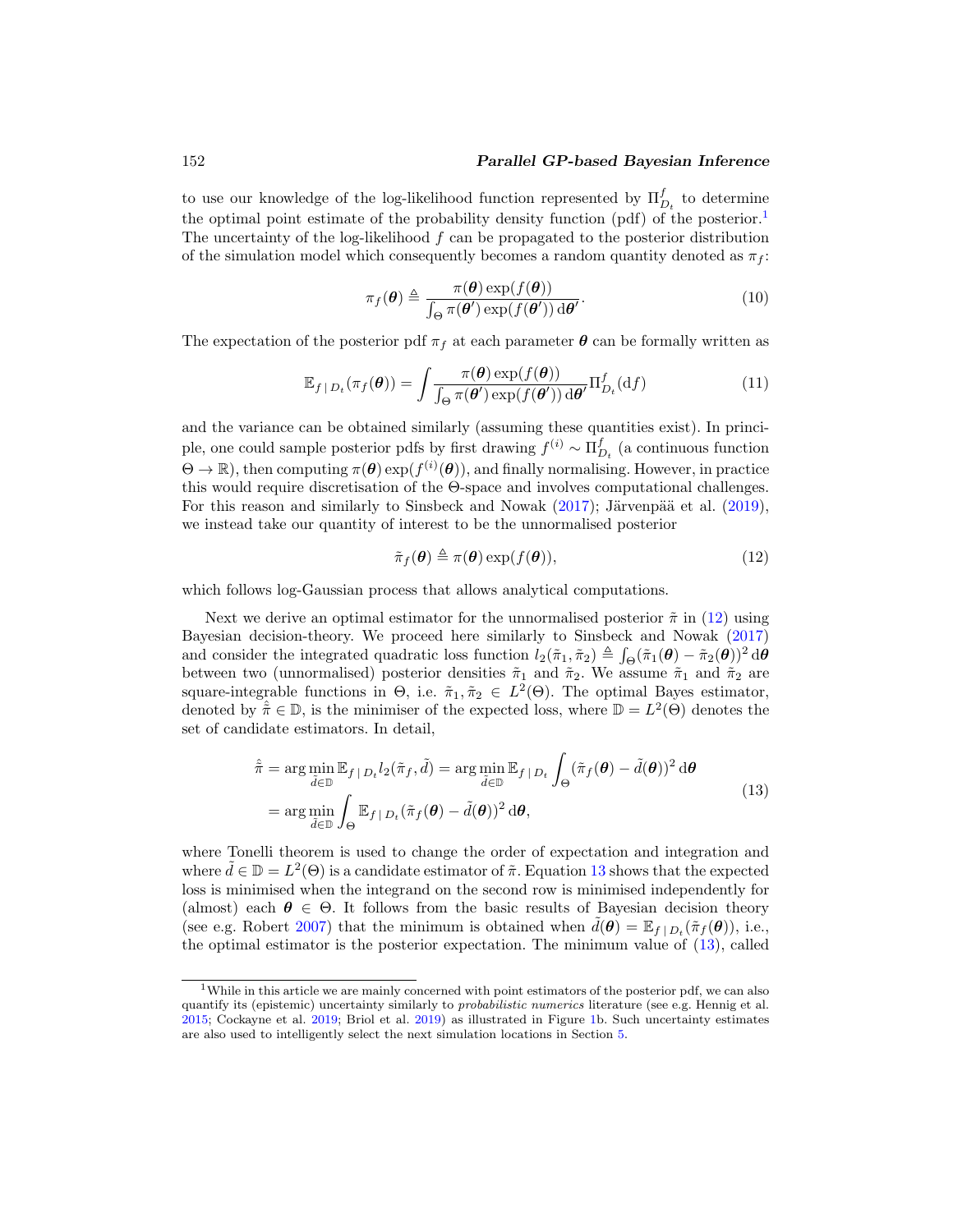#### <span id="page-6-5"></span>152 *Parallel GP-based Bayesian Inference*

to use our knowledge of the log-likelihood function represented by  $\Pi_{D_t}^f$  to determine the optimal point estimate of the probability density function (pdf) of the posterior.<sup>[1](#page-6-0)</sup> The uncertainty of the log-likelihood  $f$  can be propagated to the posterior distribution of the simulation model which consequently becomes a random quantity denoted as  $\pi_f$ :

<span id="page-6-4"></span><span id="page-6-3"></span>
$$
\pi_f(\boldsymbol{\theta}) \triangleq \frac{\pi(\boldsymbol{\theta}) \exp(f(\boldsymbol{\theta}))}{\int_{\Theta} \pi(\boldsymbol{\theta}') \exp(f(\boldsymbol{\theta}')) d\boldsymbol{\theta}'}.
$$
\n(10)

The expectation of the posterior pdf  $\pi_f$  at each parameter  $\theta$  can be formally written as

$$
\mathbb{E}_{f|D_t}(\pi_f(\boldsymbol{\theta})) = \int \frac{\pi(\boldsymbol{\theta}) \exp(f(\boldsymbol{\theta}))}{\int_{\Theta} \pi(\boldsymbol{\theta}') \exp(f(\boldsymbol{\theta}')) d\boldsymbol{\theta}'} \Pi_{D_t}^f(\mathrm{d}f) \tag{11}
$$

and the variance can be obtained similarly (assuming these quantities exist). In principle, one could sample posterior pdfs by first drawing  $f^{(i)} \sim \prod_{D_t}^{f}$  (a continuous function  $\Theta \to \mathbb{R}$ , then computing  $\pi(\theta) \exp(f^{(i)}(\theta))$ , and finally normalising. However, in practice this would require discretisation of the Θ-space and involves computational challenges. For this reason and similarly to Sinsbeck and Nowak  $(2017)$ ; Järvenpää et al.  $(2019)$ , we instead take our quantity of interest to be the unnormalised posterior

<span id="page-6-2"></span><span id="page-6-1"></span>
$$
\tilde{\pi}_f(\boldsymbol{\theta}) \triangleq \pi(\boldsymbol{\theta}) \exp(f(\boldsymbol{\theta})), \tag{12}
$$

which follows log-Gaussian process that allows analytical computations.

Next we derive an optimal estimator for the unnormalised posterior  $\tilde{\pi}$  in [\(12\)](#page-6-1) using Bayesian decision-theory. We proceed here similarly to Sinsbeck and Nowak [\(2017\)](#page-31-0) and consider the integrated quadratic loss function  $l_2(\tilde{\pi}_1, \tilde{\pi}_2) \triangleq \int_{\Theta} (\tilde{\pi}_1(\boldsymbol{\theta}) - \tilde{\pi}_2(\boldsymbol{\theta}))^2 d\boldsymbol{\theta}$ between two (unnormalised) posterior densities  $\tilde{\pi}_1$  and  $\tilde{\pi}_2$ . We assume  $\tilde{\pi}_1$  and  $\tilde{\pi}_2$  are square-integrable functions in  $\Theta$ , i.e.  $\tilde{\pi}_1, \tilde{\pi}_2 \in L^2(\Theta)$ . The optimal Bayes estimator, denoted by  $\tilde{\pi} \in \mathbb{D}$ , is the minimiser of the expected loss, where  $\mathbb{D} = L^2(\Theta)$  denotes the set of candidate estimators. In detail,

$$
\hat{\tilde{\pi}} = \arg \min_{\tilde{d} \in \mathbb{D}} \mathbb{E}_{f \mid D_t} l_2(\tilde{\pi}_f, \tilde{d}) = \arg \min_{\tilde{d} \in \mathbb{D}} \mathbb{E}_{f \mid D_t} \int_{\Theta} (\tilde{\pi}_f(\boldsymbol{\theta}) - \tilde{d}(\boldsymbol{\theta}))^2 d\boldsymbol{\theta}
$$
\n
$$
= \arg \min_{\tilde{d} \in \mathbb{D}} \int_{\Theta} \mathbb{E}_{f \mid D_t} (\tilde{\pi}_f(\boldsymbol{\theta}) - \tilde{d}(\boldsymbol{\theta}))^2 d\boldsymbol{\theta}, \tag{13}
$$

where Tonelli theorem is used to change the order of expectation and integration and where  $\tilde{d} \in \mathbb{D} = L^2(\Theta)$  is a candidate estimator of  $\tilde{\pi}$ . Equation [13](#page-6-2) shows that the expected loss is minimised when the integrand on the second row is minimised independently for (almost) each  $\theta \in \Theta$ . It follows from the basic results of Bayesian decision theory (see e.g. Robert [2007\)](#page-30-10) that the minimum is obtained when  $\tilde{d}(\theta) = \mathbb{E}_{f | D_t}(\tilde{\pi}_f(\theta))$ , i.e., the optimal estimator is the posterior expectation. The minimum value of [\(13\)](#page-6-2), called

<span id="page-6-0"></span><sup>&</sup>lt;sup>1</sup>While in this article we are mainly concerned with point estimators of the posterior pdf, we can also quantify its (epistemic) uncertainty similarly to *probabilistic numerics* literature (see e.g. Hennig et al. [2015;](#page-28-2) Cockayne et al. [2019](#page-27-7); Briol et al. [2019\)](#page-27-8) as illustrated in Figure [1b](#page-7-0). Such uncertainty estimates are also used to intelligently select the next simulation locations in Section [5.](#page-8-0)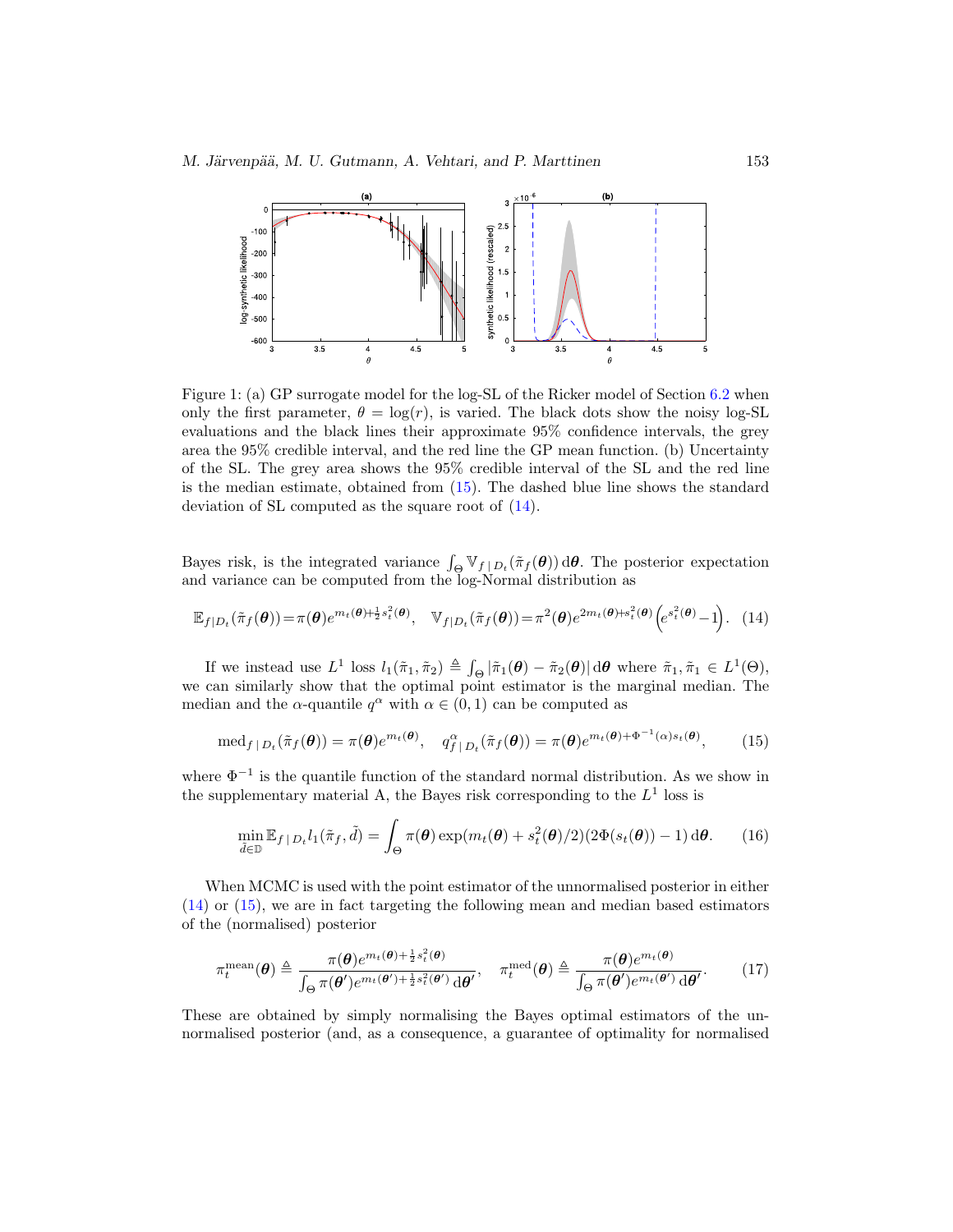<span id="page-7-0"></span>

Figure 1: (a) GP surrogate model for the log-SL of the Ricker model of Section [6.2](#page-21-1) when only the first parameter,  $\theta = \log(r)$ , is varied. The black dots show the noisy log-SL evaluations and the black lines their approximate 95% confidence intervals, the grey area the 95% credible interval, and the red line the GP mean function. (b) Uncertainty of the SL. The grey area shows the 95% credible interval of the SL and the red line is the median estimate, obtained from [\(15\)](#page-7-1). The dashed blue line shows the standard deviation of SL computed as the square root of [\(14\)](#page-7-2).

Bayes risk, is the integrated variance  $\int_{\Theta} \mathbb{V}_{f|D_t}(\tilde{\pi}_f(\theta)) d\theta$ . The posterior expectation and variance can be computed from the log-Normal distribution as

$$
\mathbb{E}_{f|D_t}(\tilde{\pi}_f(\boldsymbol{\theta})) = \pi(\boldsymbol{\theta})e^{m_t(\boldsymbol{\theta}) + \frac{1}{2}s_t^2(\boldsymbol{\theta})}, \quad \mathbb{V}_{f|D_t}(\tilde{\pi}_f(\boldsymbol{\theta})) = \pi^2(\boldsymbol{\theta})e^{2m_t(\boldsymbol{\theta}) + s_t^2(\boldsymbol{\theta})}\left(e^{s_t^2(\boldsymbol{\theta})} - 1\right).
$$
 (14)

If we instead use  $L^1$  loss  $l_1(\tilde{\pi}_1, \tilde{\pi}_2) \triangleq \int_{\Theta} |\tilde{\pi}_1(\boldsymbol{\theta}) - \tilde{\pi}_2(\boldsymbol{\theta})| d\boldsymbol{\theta}$  where  $\tilde{\pi}_1, \tilde{\pi}_1 \in L^1(\Theta)$ , we can similarly show that the optimal point estimator is the marginal median. The median and the  $\alpha$ -quantile  $q^{\alpha}$  with  $\alpha \in (0,1)$  can be computed as

<span id="page-7-2"></span>
$$
\operatorname{med}_{f|D_t}(\tilde{\pi}_f(\boldsymbol{\theta})) = \pi(\boldsymbol{\theta})e^{m_t(\boldsymbol{\theta})}, \quad q^{\alpha}_{f|D_t}(\tilde{\pi}_f(\boldsymbol{\theta})) = \pi(\boldsymbol{\theta})e^{m_t(\boldsymbol{\theta}) + \Phi^{-1}(\alpha)s_t(\boldsymbol{\theta})}, \tag{15}
$$

where  $\Phi^{-1}$  is the quantile function of the standard normal distribution. As we show in the supplementary material A, the Bayes risk corresponding to the  $L^1$  loss is

<span id="page-7-4"></span><span id="page-7-3"></span><span id="page-7-1"></span>
$$
\min_{\tilde{d}\in\mathbb{D}} \mathbb{E}_{f|D_t} l_1(\tilde{\pi}_f, \tilde{d}) = \int_{\Theta} \pi(\boldsymbol{\theta}) \exp(m_t(\boldsymbol{\theta}) + s_t^2(\boldsymbol{\theta})/2) (2\Phi(s_t(\boldsymbol{\theta})) - 1) \, \mathrm{d}\boldsymbol{\theta}.\tag{16}
$$

When MCMC is used with the point estimator of the unnormalised posterior in either [\(14\)](#page-7-2) or [\(15\)](#page-7-1), we are in fact targeting the following mean and median based estimators of the (normalised) posterior

$$
\pi_t^{\text{mean}}(\boldsymbol{\theta}) \triangleq \frac{\pi(\boldsymbol{\theta})e^{m_t(\boldsymbol{\theta}) + \frac{1}{2}s_t^2(\boldsymbol{\theta})}}{\int_{\Theta} \pi(\boldsymbol{\theta}')e^{m_t(\boldsymbol{\theta}') + \frac{1}{2}s_t^2(\boldsymbol{\theta}')}\,\mathrm{d}\boldsymbol{\theta}'}, \quad \pi_t^{\text{med}}(\boldsymbol{\theta}) \triangleq \frac{\pi(\boldsymbol{\theta})e^{m_t(\boldsymbol{\theta})}}{\int_{\Theta} \pi(\boldsymbol{\theta}')e^{m_t(\boldsymbol{\theta}')}\,\mathrm{d}\boldsymbol{\theta}'}.
$$
 (17)

These are obtained by simply normalising the Bayes optimal estimators of the unnormalised posterior (and, as a consequence, a guarantee of optimality for normalised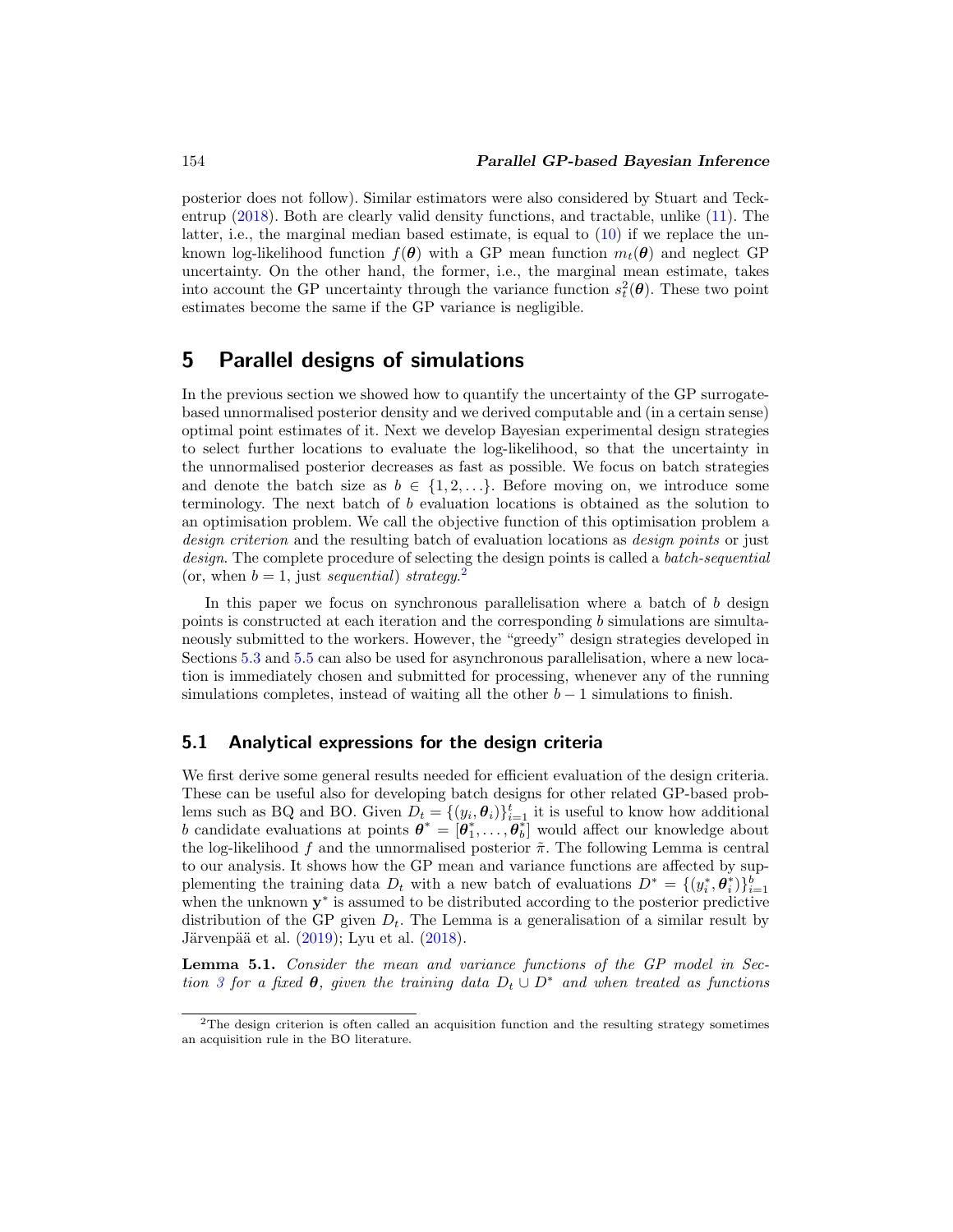<span id="page-8-3"></span>posterior does not follow). Similar estimators were also considered by Stuart and Teckentrup [\(2018](#page-31-10)). Both are clearly valid density functions, and tractable, unlike [\(11\)](#page-6-3). The latter, i.e., the marginal median based estimate, is equal to  $(10)$  if we replace the unknown log-likelihood function  $f(\theta)$  with a GP mean function  $m_t(\theta)$  and neglect GP uncertainty. On the other hand, the former, i.e., the marginal mean estimate, takes into account the GP uncertainty through the variance function  $s_t^2(\theta)$ . These two point estimates become the same if the GP variance is negligible.

## <span id="page-8-0"></span>**5 Parallel designs of simulations**

In the previous section we showed how to quantify the uncertainty of the GP surrogatebased unnormalised posterior density and we derived computable and (in a certain sense) optimal point estimates of it. Next we develop Bayesian experimental design strategies to select further locations to evaluate the log-likelihood, so that the uncertainty in the unnormalised posterior decreases as fast as possible. We focus on batch strategies and denote the batch size as  $b \in \{1, 2, \ldots\}$ . Before moving on, we introduce some terminology. The next batch of b evaluation locations is obtained as the solution to an optimisation problem. We call the objective function of this optimisation problem a design criterion and the resulting batch of evaluation locations as *design points* or just design. The complete procedure of selecting the design points is called a *batch-sequential* (or, when  $b = 1$ , just sequential) strategy.<sup>[2](#page-8-1)</sup>

In this paper we focus on synchronous parallelisation where a batch of  $b$  design points is constructed at each iteration and the corresponding  $b$  simulations are simultaneously submitted to the workers. However, the "greedy" design strategies developed in Sections [5.3](#page-13-0) and [5.5](#page-16-0) can also be used for asynchronous parallelisation, where a new location is immediately chosen and submitted for processing, whenever any of the running simulations completes, instead of waiting all the other  $b - 1$  simulations to finish.

#### **5.1 Analytical expressions for the design criteria**

We first derive some general results needed for efficient evaluation of the design criteria. These can be useful also for developing batch designs for other related GP-based problems such as BQ and BO. Given  $D_t = \{(y_i, \theta_i)\}_{i=1}^t$  it is useful to know how additional b candidate evaluations at points  $\boldsymbol{\theta}^* = [\theta_1^*, \dots, \theta_b^*]$  would affect our knowledge about the log-likelihood f and the unnormalised posterior  $\tilde{\pi}$ . The following Lemma is central to our analysis. It shows how the GP mean and variance functions are affected by supplementing the training data  $D_t$  with a new batch of evaluations  $D^* = \{(y_i^*, \theta_i^*)\}_{i=1}^b$ when the unknown **y**<sup>∗</sup> is assumed to be distributed according to the posterior predictive distribution of the GP given  $D_t$ . The Lemma is a generalisation of a similar result by Järvenpää et al.  $(2019)$ ; Lyu et al.  $(2018)$  $(2018)$ .

<span id="page-8-2"></span>**Lemma 5.1.** Consider the mean and variance functions of the GP model in Sec-tion [3](#page-4-0) for a fixed  $\theta$ , given the training data  $D_t \cup D^*$  and when treated as functions

<span id="page-8-1"></span><sup>&</sup>lt;sup>2</sup>The design criterion is often called an acquisition function and the resulting strategy sometimes an acquisition rule in the BO literature.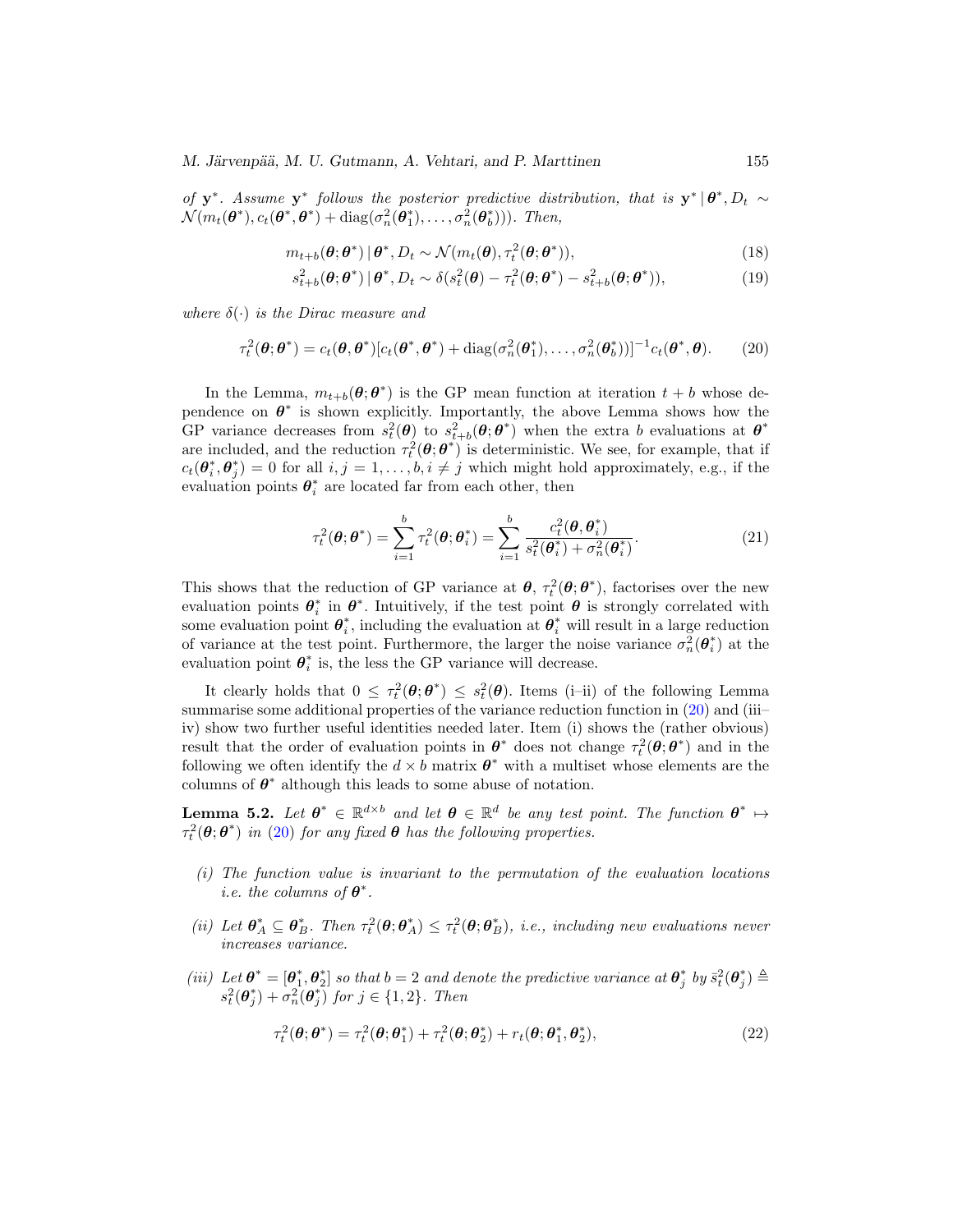*M. Järvenpää, M. U. Gutmann, A. Vehtari, and P. Marttinen* 155

of **y**<sup>∗</sup>. Assume **y**<sup>∗</sup> follows the posterior predictive distribution, that is  $y^* | \theta^*, D_t \sim$  $\mathcal{N}(m_t(\boldsymbol{\theta}^*), c_t(\boldsymbol{\theta}^*, \boldsymbol{\theta}^*) + \text{diag}(\sigma_n^2(\boldsymbol{\theta}_1^*), \ldots, \sigma_n^2(\boldsymbol{\theta}_b^*))$ ). Then,

$$
m_{t+b}(\boldsymbol{\theta};\boldsymbol{\theta}^*) \,|\,\boldsymbol{\theta}^*, D_t \sim \mathcal{N}(m_t(\boldsymbol{\theta}), \tau_t^2(\boldsymbol{\theta};\boldsymbol{\theta}^*)),\tag{18}
$$

$$
s_{t+b}^2(\boldsymbol{\theta};\boldsymbol{\theta}^*)\,|\,\boldsymbol{\theta}^*,D_t \sim \delta(s_t^2(\boldsymbol{\theta}) - \tau_t^2(\boldsymbol{\theta};\boldsymbol{\theta}^*) - s_{t+b}^2(\boldsymbol{\theta};\boldsymbol{\theta}^*)),\tag{19}
$$

where  $\delta(\cdot)$  is the Dirac measure and

<span id="page-9-0"></span>
$$
\tau_t^2(\boldsymbol{\theta};\boldsymbol{\theta}^*) = c_t(\boldsymbol{\theta},\boldsymbol{\theta}^*)[c_t(\boldsymbol{\theta}^*,\boldsymbol{\theta}^*) + \text{diag}(\sigma_n^2(\boldsymbol{\theta}_1^*),\ldots,\sigma_n^2(\boldsymbol{\theta}_b^*))]^{-1}c_t(\boldsymbol{\theta}^*,\boldsymbol{\theta}).\tag{20}
$$

In the Lemma,  $m_{t+b}(\theta; \theta^*)$  is the GP mean function at iteration  $t + b$  whose dependence on  $\theta^*$  is shown explicitly. Importantly, the above Lemma shows how the GP variance decreases from  $s_t^2(\theta)$  to  $s_{t+b}^2(\theta; \theta^*)$  when the extra b evaluations at  $\theta^*$ are included, and the reduction  $\tau_t^2(\theta; \theta^*)$  is deterministic. We see, for example, that if  $c_t(\theta_i^*, \theta_j^*) = 0$  for all  $i, j = 1, \ldots, b, i \neq j$  which might hold approximately, e.g., if the evaluation points  $\theta_i^*$  are located far from each other, then

<span id="page-9-2"></span>
$$
\tau_t^2(\boldsymbol{\theta};\boldsymbol{\theta}^*) = \sum_{i=1}^b \tau_t^2(\boldsymbol{\theta};\boldsymbol{\theta}_i^*) = \sum_{i=1}^b \frac{c_t^2(\boldsymbol{\theta},\boldsymbol{\theta}_i^*)}{s_t^2(\boldsymbol{\theta}_i^*) + \sigma_n^2(\boldsymbol{\theta}_i^*)}.
$$
(21)

This shows that the reduction of GP variance at  $\theta$ ,  $\tau_t^2(\theta; \theta^*)$ , factorises over the new evaluation points  $\theta_i^*$  in  $\theta^*$ . Intuitively, if the test point  $\theta$  is strongly correlated with some evaluation point  $\theta_i^*$ , including the evaluation at  $\theta_i^*$  will result in a large reduction of variance at the test point. Furthermore, the larger the noise variance  $\sigma_n^2(\theta_i^*)$  at the evaluation point  $\theta_i^*$  is, the less the GP variance will decrease.

It clearly holds that  $0 \leq \tau_t^2(\theta; \theta^*) \leq s_t^2(\theta)$ . Items (i–ii) of the following Lemma summarise some additional properties of the variance reduction function in [\(20\)](#page-9-0) and (iii– iv) show two further useful identities needed later. Item (i) shows the (rather obvious) result that the order of evaluation points in  $\theta^*$  does not change  $\tau_t^2(\theta; \theta^*)$  and in the following we often identify the  $d \times b$  matrix  $\theta^*$  with a multiset whose elements are the columns of  $\theta^*$  although this leads to some abuse of notation.

<span id="page-9-1"></span>**Lemma 5.2.** Let  $\theta^* \in \mathbb{R}^{d \times b}$  and let  $\theta \in \mathbb{R}^d$  be any test point. The function  $\theta^* \mapsto$  $\tau_t^2(\theta; \theta^*)$  in [\(20\)](#page-9-0) for any fixed  $\theta$  has the following properties.

- (i) The function value is invariant to the permutation of the evaluation locations i.e. the columns of  $\theta^*$ .
- (ii) Let  $\theta_A^* \subseteq \theta_B^*$ . Then  $\tau_t^2(\theta; \theta_A^*) \leq \tau_t^2(\theta; \theta_B^*)$ , i.e., including new evaluations never increases variance.
- (iii) Let  $\boldsymbol{\theta}^* = [\theta_1^*, \theta_2^*]$  so that  $b = 2$  and denote the predictive variance at  $\theta_j^*$  by  $\bar{s}_t^2(\theta_j^*) \triangleq$  $s_t^2(\boldsymbol{\theta}_j^*) + \sigma_n^2(\boldsymbol{\theta}_j^*)$  for  $j \in \{1,2\}$ . Then

$$
\tau_t^2(\boldsymbol{\theta};\boldsymbol{\theta}^*) = \tau_t^2(\boldsymbol{\theta};\boldsymbol{\theta}_1^*) + \tau_t^2(\boldsymbol{\theta};\boldsymbol{\theta}_2^*) + r_t(\boldsymbol{\theta};\boldsymbol{\theta}_1^*,\boldsymbol{\theta}_2^*),
$$
\n(22)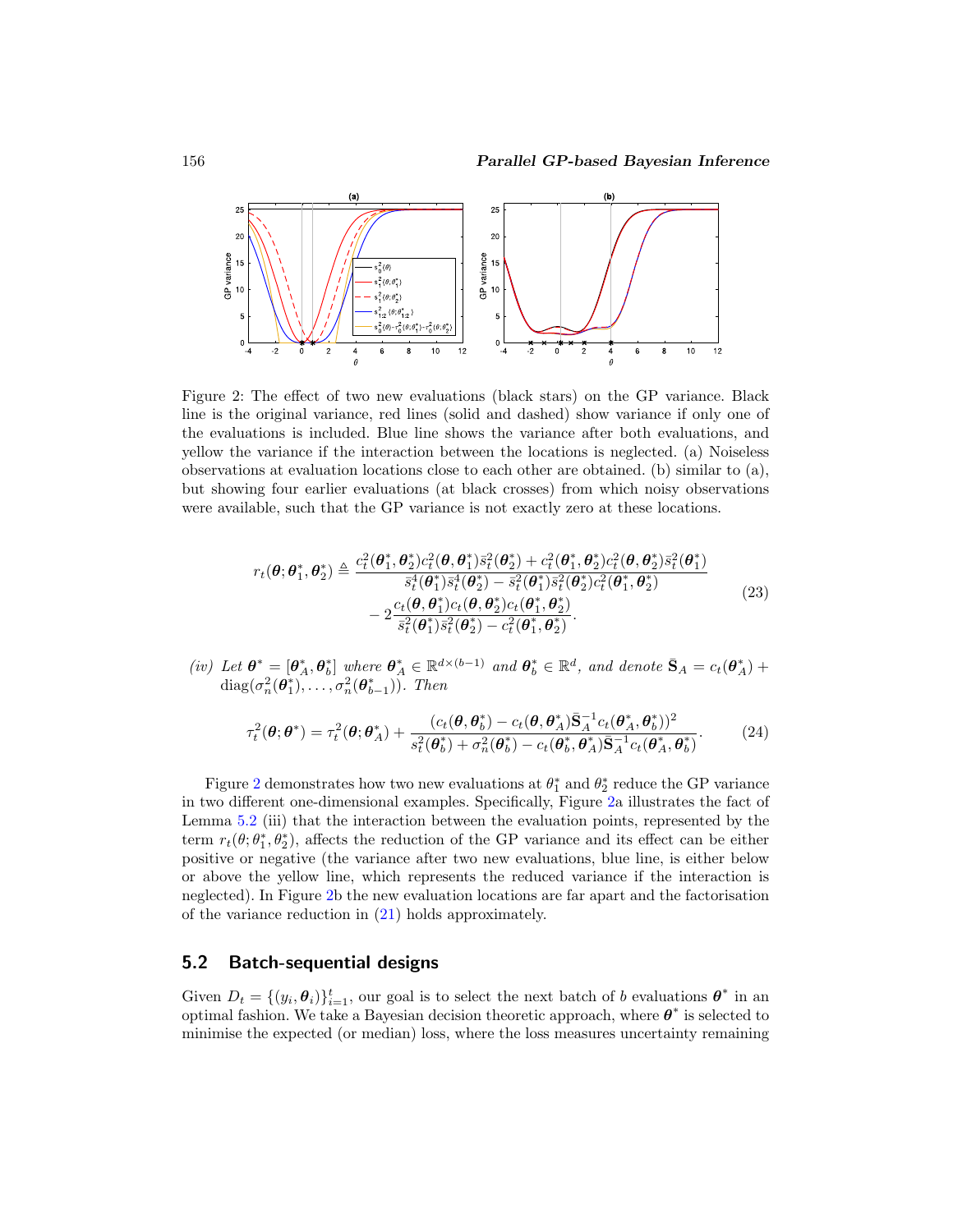

Figure 2: The effect of two new evaluations (black stars) on the GP variance. Black line is the original variance, red lines (solid and dashed) show variance if only one of the evaluations is included. Blue line shows the variance after both evaluations, and yellow the variance if the interaction between the locations is neglected. (a) Noiseless observations at evaluation locations close to each other are obtained. (b) similar to (a), but showing four earlier evaluations (at black crosses) from which noisy observations were available, such that the GP variance is not exactly zero at these locations.

<span id="page-10-1"></span><span id="page-10-0"></span>
$$
r_{t}(\theta; \theta_{1}^{*}, \theta_{2}^{*}) \triangleq \frac{c_{t}^{2}(\theta_{1}^{*}, \theta_{2}^{*})c_{t}^{2}(\theta, \theta_{1}^{*})\bar{s}_{t}^{2}(\theta_{2}^{*}) + c_{t}^{2}(\theta_{1}^{*}, \theta_{2}^{*})c_{t}^{2}(\theta, \theta_{2}^{*})\bar{s}_{t}^{2}(\theta_{1}^{*})}{\bar{s}_{t}^{4}(\theta_{1}^{*})\bar{s}_{t}^{4}(\theta_{2}^{*}) - \bar{s}_{t}^{2}(\theta_{1}^{*})\bar{s}_{t}^{2}(\theta_{2}^{*})c_{t}^{2}(\theta_{1}^{*}, \theta_{2}^{*})}{\bar{s}_{t}^{2}(\theta_{1}^{*})\bar{s}_{t}^{2}(\theta_{2}^{*}) - c_{t}^{2}(\theta_{1}^{*}, \theta_{2}^{*})}.
$$
\n
$$
(23)
$$

(iv) Let  $\boldsymbol{\theta}^* = [\boldsymbol{\theta}_A^*, \boldsymbol{\theta}_b^*]$  where  $\boldsymbol{\theta}_A^* \in \mathbb{R}^{d \times (b-1)}$  and  $\boldsymbol{\theta}_b^* \in \mathbb{R}^d$ , and denote  $\bar{\mathbf{S}}_A = c_t(\boldsymbol{\theta}_A^*)$  + diag( $\sigma_n^2(\boldsymbol{\theta}_1^*), \ldots, \sigma_n^2(\boldsymbol{\theta}_{b-1}^*)$ ). Then

$$
\tau_t^2(\boldsymbol{\theta};\boldsymbol{\theta}^*) = \tau_t^2(\boldsymbol{\theta};\boldsymbol{\theta}_A^*) + \frac{(c_t(\boldsymbol{\theta},\boldsymbol{\theta}_b^*) - c_t(\boldsymbol{\theta},\boldsymbol{\theta}_A^*)\bar{\mathbf{S}}_A^{-1}c_t(\boldsymbol{\theta}_A^*,\boldsymbol{\theta}_b^*) )^2}{s_t^2(\boldsymbol{\theta}_b^*) + \sigma_n^2(\boldsymbol{\theta}_b^*) - c_t(\boldsymbol{\theta}_b^*,\boldsymbol{\theta}_A^*)\bar{\mathbf{S}}_A^{-1}c_t(\boldsymbol{\theta}_A^*,\boldsymbol{\theta}_b^*)}.
$$
(24)

Figure [2](#page-10-0) demonstrates how two new evaluations at  $\theta_1^*$  and  $\theta_2^*$  reduce the GP variance in two different one-dimensional examples. Specifically, Figure [2a](#page-10-0) illustrates the fact of Lemma [5.2](#page-9-1) (iii) that the interaction between the evaluation points, represented by the term  $r_t(\theta; \theta_1^*, \theta_2^*)$ , affects the reduction of the GP variance and its effect can be either positive or negative (the variance after two new evaluations, blue line, is either below or above the yellow line, which represents the reduced variance if the interaction is neglected). In Figure [2b](#page-10-0) the new evaluation locations are far apart and the factorisation of the variance reduction in [\(21\)](#page-9-2) holds approximately.

#### **5.2 Batch-sequential designs**

Given  $D_t = \{(y_i, \theta_i)\}_{i=1}^t$ , our goal is to select the next batch of b evaluations  $\theta^*$  in an optimal fashion. We take a Bayesian decision theoretic approach, where  $\boldsymbol{\theta}^*$  is selected to minimise the expected (or median) loss, where the loss measures uncertainty remaining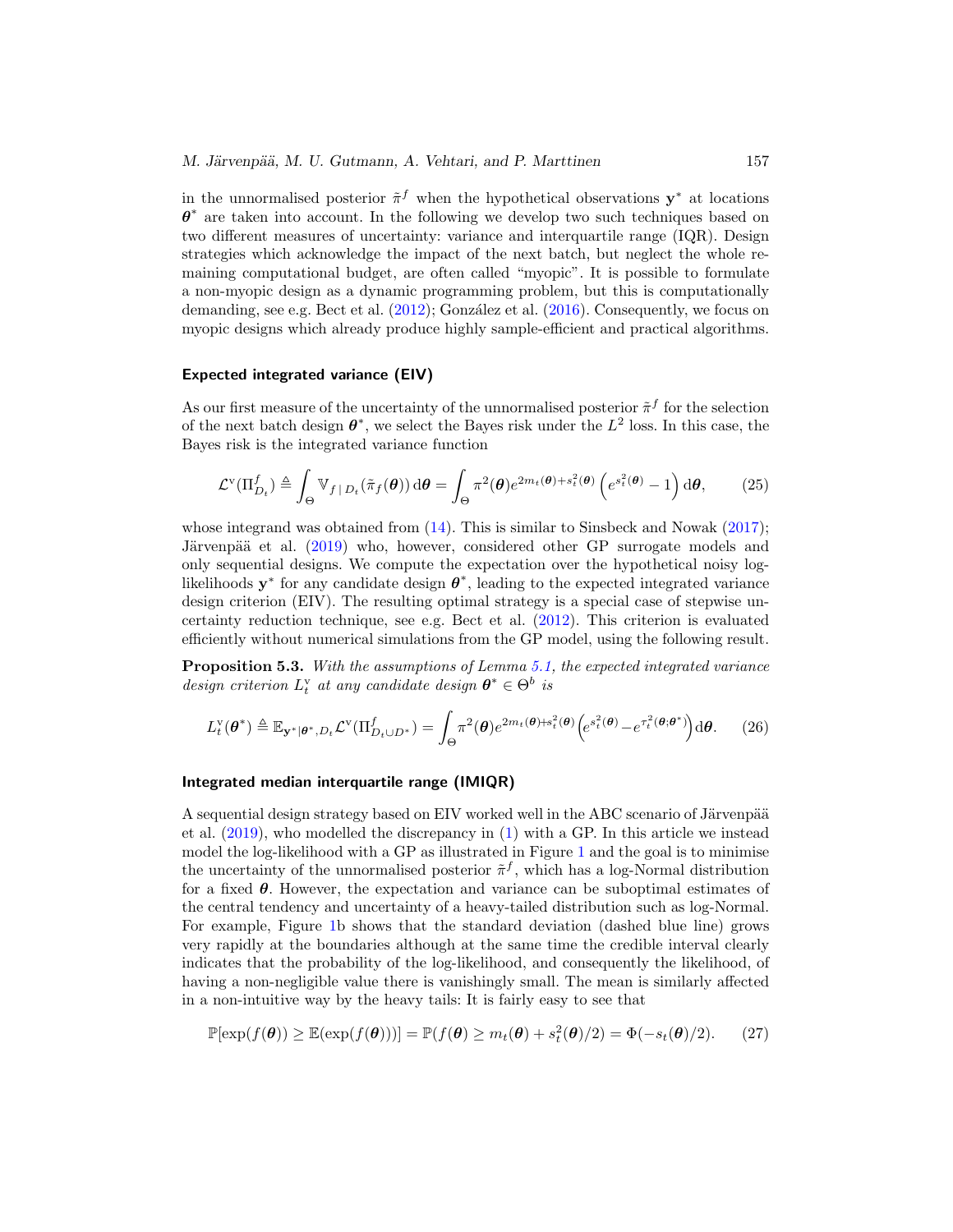<span id="page-11-1"></span>in the unnormalised posterior  $\tilde{\pi}^f$  when the hypothetical observations **y**<sup>∗</sup> at locations *θ*<sup>∗</sup> are taken into account. In the following we develop two such techniques based on two different measures of uncertainty: variance and interquartile range (IQR). Design strategies which acknowledge the impact of the next batch, but neglect the whole remaining computational budget, are often called "myopic". It is possible to formulate a non-myopic design as a dynamic programming problem, but this is computationally demanding, see e.g. Bect et al.  $(2012)$  $(2012)$ ; González et al.  $(2016)$ . Consequently, we focus on myopic designs which already produce highly sample-efficient and practical algorithms.

#### **Expected integrated variance (EIV)**

As our first measure of the uncertainty of the unnormalised posterior  $\tilde{\pi}^f$  for the selection of the next batch design  $\theta^*$ , we select the Bayes risk under the  $L^2$  loss. In this case, the Bayes risk is the integrated variance function

$$
\mathcal{L}^{\mathbf{v}}(\Pi_{D_t}^f) \triangleq \int_{\Theta} \mathbb{V}_{f \,|\, D_t}(\tilde{\pi}_f(\boldsymbol{\theta})) \,d\boldsymbol{\theta} = \int_{\Theta} \pi^2(\boldsymbol{\theta}) e^{2m_t(\boldsymbol{\theta}) + s_t^2(\boldsymbol{\theta})} \left( e^{s_t^2(\boldsymbol{\theta})} - 1 \right) \,d\boldsymbol{\theta},\qquad(25)
$$

whose integrand was obtained from  $(14)$ . This is similar to Sinsbeck and Nowak  $(2017)$ ; Järvenpää et al. [\(2019\)](#page-29-6) who, however, considered other GP surrogate models and only sequential designs. We compute the expectation over the hypothetical noisy loglikelihoods  $y^*$  for any candidate design  $\theta^*$ , leading to the expected integrated variance design criterion (EIV). The resulting optimal strategy is a special case of stepwise uncertainty reduction technique, see e.g. Bect et al. [\(2012](#page-27-4)). This criterion is evaluated efficiently without numerical simulations from the GP model, using the following result.

**Proposition 5.3.** With the assumptions of Lemma [5.1,](#page-8-2) the expected integrated variance design criterion  $L_t^{\mathbf{v}}$  at any candidate design  $\boldsymbol{\theta}^* \in \Theta^b$  is

<span id="page-11-0"></span>
$$
L_t^{\mathbf{v}}(\boldsymbol{\theta}^*) \triangleq \mathbb{E}_{\mathbf{y}^*|\boldsymbol{\theta}^*, D_t} \mathcal{L}^{\mathbf{v}}(\Pi_{D_t \cup D^*}^f) = \int_{\Theta} \pi^2(\boldsymbol{\theta}) e^{2m_t(\boldsymbol{\theta}) + s_t^2(\boldsymbol{\theta})} \Big(e^{s_t^2(\boldsymbol{\theta})} - e^{\tau_t^2(\boldsymbol{\theta}; \boldsymbol{\theta}^*)}\Big) d\boldsymbol{\theta}.
$$
 (26)

#### **Integrated median interquartile range (IMIQR)**

A sequential design strategy based on EIV worked well in the ABC scenario of Järvenpää et al. [\(2019\)](#page-29-6), who modelled the discrepancy in [\(1\)](#page-3-1) with a GP. In this article we instead model the log-likelihood with a GP as illustrated in Figure [1](#page-7-0) and the goal is to minimise the uncertainty of the unnormalised posterior  $\tilde{\pi}^f$ , which has a log-Normal distribution for a fixed *θ*. However, the expectation and variance can be suboptimal estimates of the central tendency and uncertainty of a heavy-tailed distribution such as log-Normal. For example, Figure [1b](#page-7-0) shows that the standard deviation (dashed blue line) grows very rapidly at the boundaries although at the same time the credible interval clearly indicates that the probability of the log-likelihood, and consequently the likelihood, of having a non-negligible value there is vanishingly small. The mean is similarly affected in a non-intuitive way by the heavy tails: It is fairly easy to see that

$$
\mathbb{P}[\exp(f(\boldsymbol{\theta})) \geq \mathbb{E}(\exp(f(\boldsymbol{\theta})))] = \mathbb{P}(f(\boldsymbol{\theta}) \geq m_t(\boldsymbol{\theta}) + s_t^2(\boldsymbol{\theta})/2) = \Phi(-s_t(\boldsymbol{\theta})/2). \tag{27}
$$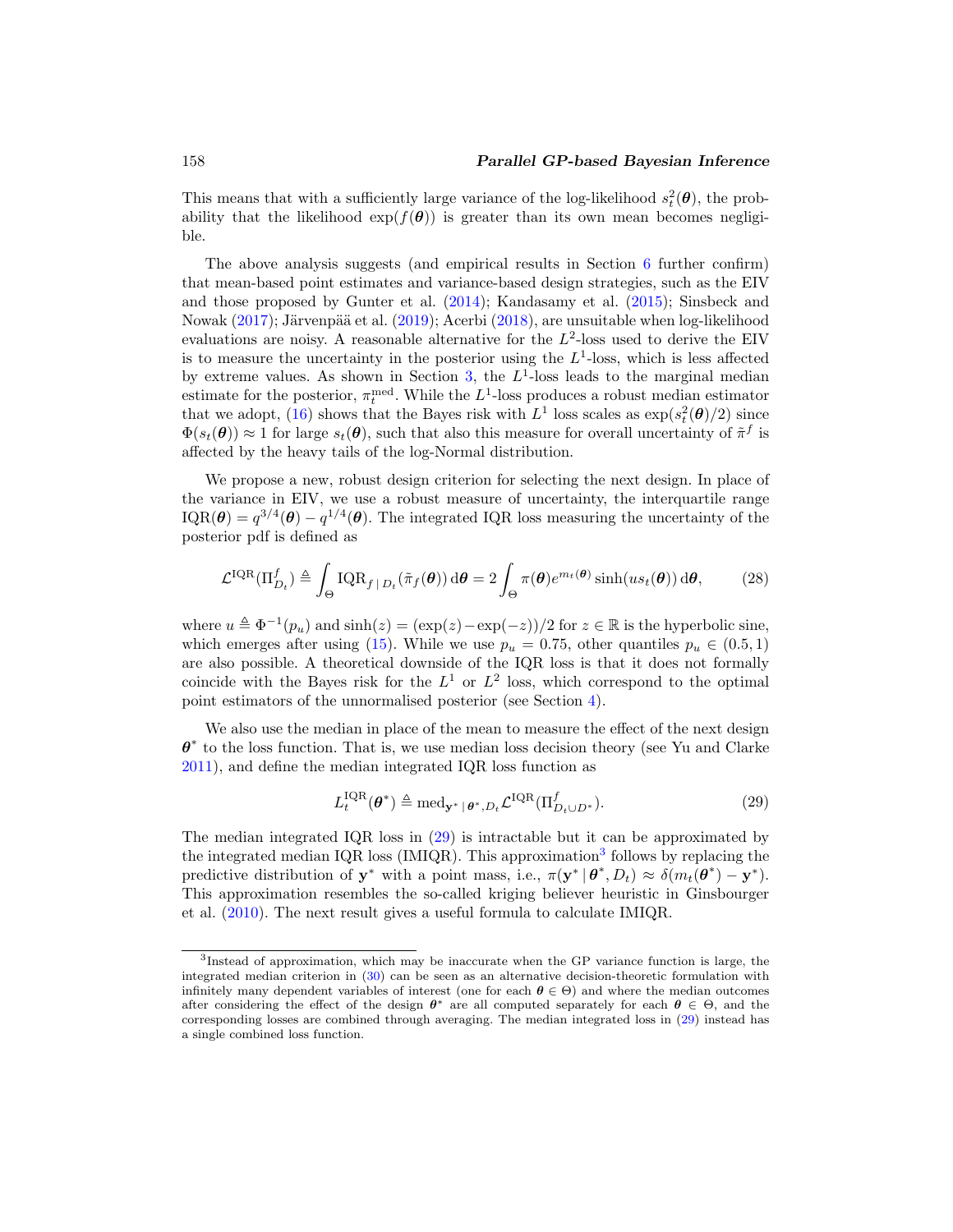<span id="page-12-2"></span>This means that with a sufficiently large variance of the log-likelihood  $s_t^2(\theta)$ , the probability that the likelihood  $\exp(f(\theta))$  is greater than its own mean becomes negligible.

The above analysis suggests (and empirical results in Section [6](#page-18-0) further confirm) that mean-based point estimates and variance-based design strategies, such as the EIV and those proposed by Gunter et al. [\(2014\)](#page-28-3); Kandasamy et al. [\(2015\)](#page-29-4); Sinsbeck and Nowak [\(2017](#page-31-0)); Järvenpää et al. [\(2019\)](#page-29-6); Acerbi [\(2018](#page-26-0)), are unsuitable when log-likelihood evaluations are noisy. A reasonable alternative for the  $L^2$ -loss used to derive the EIV is to measure the uncertainty in the posterior using the  $L<sup>1</sup>$ -loss, which is less affected by extreme values. As shown in Section [3,](#page-4-0) the  $L^1$ -loss leads to the marginal median estimate for the posterior,  $\pi_t^{\text{med}}$ . While the  $L^1$ -loss produces a robust median estimator that we adopt, [\(16\)](#page-7-3) shows that the Bayes risk with  $L^1$  loss scales as  $\exp(s_t^2(\theta)/2)$  since  $\Phi(s_t(\theta)) \approx 1$  for large  $s_t(\theta)$ , such that also this measure for overall uncertainty of  $\tilde{\pi}^f$  is affected by the heavy tails of the log-Normal distribution.

We propose a new, robust design criterion for selecting the next design. In place of the variance in EIV, we use a robust measure of uncertainty, the interquartile range  $IQR(\theta) = q^{3/4}(\theta) - q^{1/4}(\theta)$ . The integrated IQR loss measuring the uncertainty of the posterior pdf is defined as

$$
\mathcal{L}^{\text{IQR}}(\Pi_{D_t}^f) \triangleq \int_{\Theta} \text{IQR}_{f \,|\, D_t}(\tilde{\pi}_f(\theta)) \,\mathrm{d}\theta = 2 \int_{\Theta} \pi(\theta) e^{m_t(\theta)} \sinh(us_t(\theta)) \,\mathrm{d}\theta,\tag{28}
$$

where  $u \triangleq \Phi^{-1}(p_u)$  and  $\sinh(z) = (\exp(z) - \exp(-z))/2$  for  $z \in \mathbb{R}$  is the hyperbolic sine, which emerges after using [\(15\)](#page-7-1). While we use  $p_u = 0.75$ , other quantiles  $p_u \in (0.5, 1)$ are also possible. A theoretical downside of the IQR loss is that it does not formally coincide with the Bayes risk for the  $L^1$  or  $L^2$  loss, which correspond to the optimal point estimators of the unnormalised posterior (see Section [4\)](#page-5-0).

We also use the median in place of the mean to measure the effect of the next design *θ*<sup>∗</sup> to the loss function. That is, we use median loss decision theory (see Yu and Clarke [2011\)](#page-32-1), and define the median integrated IQR loss function as

<span id="page-12-0"></span>
$$
L_t^{\text{IQR}}(\boldsymbol{\theta}^*) \triangleq \text{med}_{\mathbf{y}^* \mid \boldsymbol{\theta}^*, D_t} \mathcal{L}^{\text{IQR}}(\Pi_{D_t \cup D^*}^f). \tag{29}
$$

The median integrated IQR loss in [\(29\)](#page-12-0) is intractable but it can be approximated by the integrated median IQR loss ( $IMIQR$ ). This approximation<sup>[3](#page-12-1)</sup> follows by replacing the predictive distribution of **y**<sup>∗</sup> with a point mass, i.e.,  $\pi(\mathbf{y}^* | \boldsymbol{\theta}^*, D_t) \approx \delta(m_t(\boldsymbol{\theta}^*) - \mathbf{y}^*)$ . This approximation resembles the so-called kriging believer heuristic in Ginsbourger et al. [\(2010](#page-28-4)). The next result gives a useful formula to calculate IMIQR.

<span id="page-12-1"></span><sup>3</sup>Instead of approximation, which may be inaccurate when the GP variance function is large, the integrated median criterion in [\(30\)](#page-13-1) can be seen as an alternative decision-theoretic formulation with infinitely many dependent variables of interest (one for each  $\theta \in \Theta$ ) and where the median outcomes after considering the effect of the design  $\theta^*$  are all computed separately for each  $\theta \in \Theta$ , and the corresponding losses are combined through averaging. The median integrated loss in [\(29\)](#page-12-0) instead has a single combined loss function.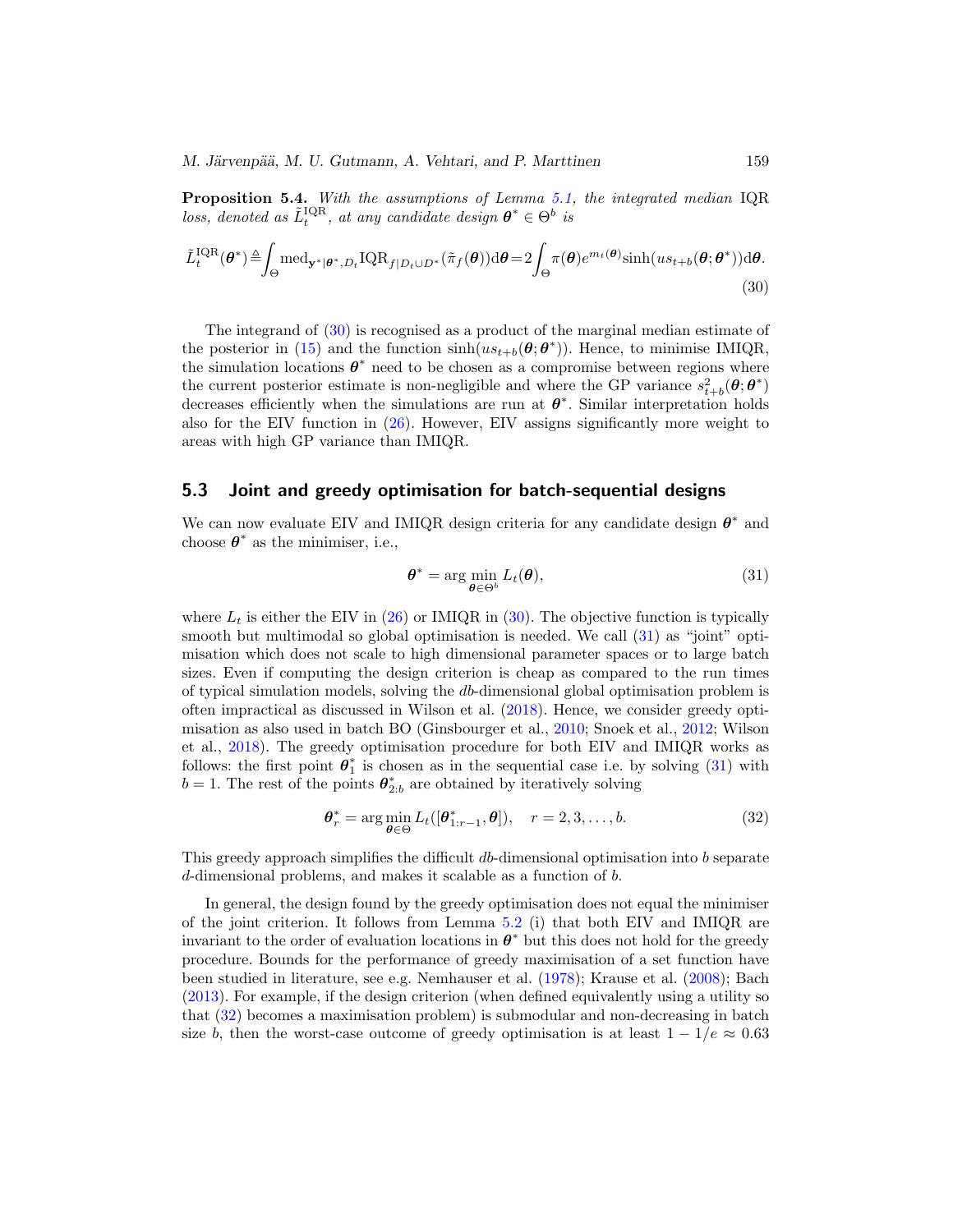<span id="page-13-4"></span>*M. Järvenpää, M. U. Gutmann, A. Vehtari, and P. Marttinen* 159

**Proposition 5.4.** With the assumptions of Lemma [5.1,](#page-8-2) the integrated median IQR loss, denoted as  $\tilde{L}_t^{\text{IQR}}$ , at any candidate design  $\boldsymbol{\theta}^* \in \Theta^b$  is

$$
\tilde{L}_{t}^{\text{IQR}}(\boldsymbol{\theta}^{*}) \triangleq \int_{\Theta} \text{med}_{\mathbf{y}^{*}|\boldsymbol{\theta}^{*},D_{t}} \text{IQR}_{f|D_{t}\cup D^{*}}(\tilde{\pi}_{f}(\boldsymbol{\theta}))d\boldsymbol{\theta} = 2 \int_{\Theta} \pi(\boldsymbol{\theta})e^{m_{t}(\boldsymbol{\theta})}\sinh(us_{t+b}(\boldsymbol{\theta};\boldsymbol{\theta}^{*}))d\boldsymbol{\theta}.
$$
\n(30)

The integrand of [\(30\)](#page-13-1) is recognised as a product of the marginal median estimate of the posterior in [\(15\)](#page-7-1) and the function  $\sinh(us_{t+b}(\theta;\theta^*))$ . Hence, to minimise IMIQR, the simulation locations  $\theta^*$  need to be chosen as a compromise between regions where the current posterior estimate is non-negligible and where the GP variance  $s_{t+b}^2(\theta; \theta^*)$ decreases efficiently when the simulations are run at *θ*∗. Similar interpretation holds also for the EIV function in [\(26\)](#page-11-0). However, EIV assigns significantly more weight to areas with high GP variance than IMIQR.

#### <span id="page-13-0"></span>**5.3 Joint and greedy optimisation for batch-sequential designs**

We can now evaluate EIV and IMIQR design criteria for any candidate design *θ*<sup>∗</sup> and choose  $\theta^*$  as the minimiser, i.e.,

<span id="page-13-2"></span><span id="page-13-1"></span>
$$
\boldsymbol{\theta}^* = \arg\min_{\boldsymbol{\theta} \in \Theta^b} L_t(\boldsymbol{\theta}),\tag{31}
$$

where  $L_t$  is either the EIV in [\(26\)](#page-11-0) or IMIQR in [\(30\)](#page-13-1). The objective function is typically smooth but multimodal so global optimisation is needed. We call [\(31\)](#page-13-2) as "joint" optimisation which does not scale to high dimensional parameter spaces or to large batch sizes. Even if computing the design criterion is cheap as compared to the run times of typical simulation models, solving the db-dimensional global optimisation problem is often impractical as discussed in Wilson et al. [\(2018](#page-31-7)). Hence, we consider greedy optimisation as also used in batch BO (Ginsbourger et al., [2010;](#page-28-4) Snoek et al., [2012](#page-31-5); Wilson et al., [2018\)](#page-31-7). The greedy optimisation procedure for both EIV and IMIQR works as follows: the first point  $\theta_1^*$  is chosen as in the sequential case i.e. by solving  $(31)$  with  $b = 1$ . The rest of the points  $\boldsymbol{\theta}_{2:b}^*$  are obtained by iteratively solving

<span id="page-13-3"></span>
$$
\boldsymbol{\theta}_r^* = \arg\min_{\boldsymbol{\theta} \in \Theta} L_t([\boldsymbol{\theta}_{1:r-1}^*, \boldsymbol{\theta}]), \quad r = 2, 3, \dots, b. \tag{32}
$$

This greedy approach simplifies the difficult db-dimensional optimisation into b separate d-dimensional problems, and makes it scalable as a function of b.

In general, the design found by the greedy optimisation does not equal the minimiser of the joint criterion. It follows from Lemma [5.2](#page-9-1) (i) that both EIV and IMIQR are invariant to the order of evaluation locations in  $\theta^*$  but this does not hold for the greedy procedure. Bounds for the performance of greedy maximisation of a set function have been studied in literature, see e.g. Nemhauser et al. [\(1978](#page-30-11)); Krause et al. [\(2008\)](#page-29-10); Bach [\(2013\)](#page-27-9). For example, if the design criterion (when defined equivalently using a utility so that [\(32\)](#page-13-3) becomes a maximisation problem) is submodular and non-decreasing in batch size b, then the worst-case outcome of greedy optimisation is at least  $1 - 1/e \approx 0.63$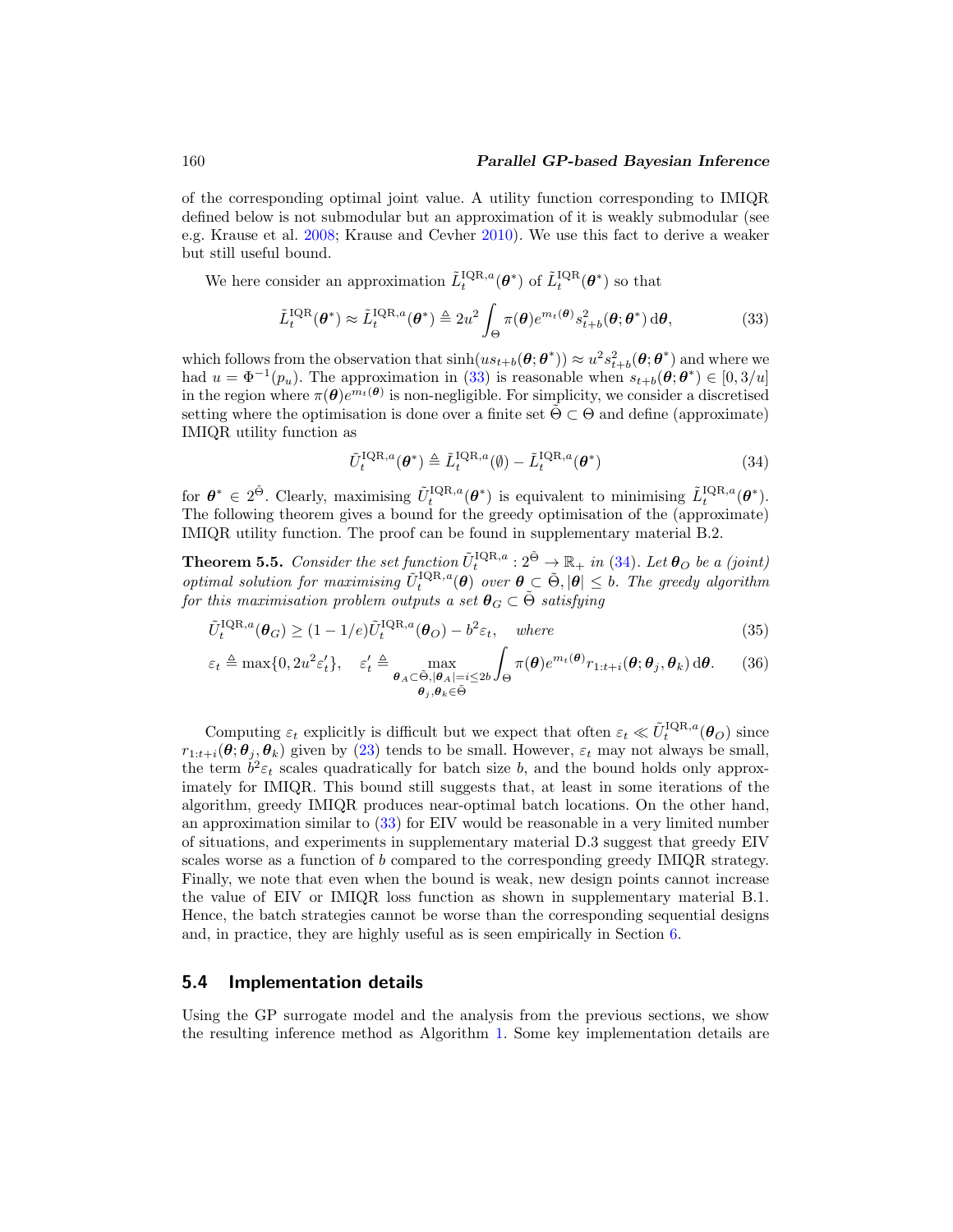<span id="page-14-3"></span>of the corresponding optimal joint value. A utility function corresponding to IMIQR defined below is not submodular but an approximation of it is weakly submodular (see e.g. Krause et al. [2008](#page-29-10); Krause and Cevher [2010\)](#page-29-11). We use this fact to derive a weaker but still useful bound.

We here consider an approximation  $\tilde{L}_t^{\text{IQR},a}(\theta^*)$  of  $\tilde{L}_t^{\text{IQR}}(\theta^*)$  so that

$$
\tilde{L}_t^{\text{IQR}}(\boldsymbol{\theta}^*) \approx \tilde{L}_t^{\text{IQR},a}(\boldsymbol{\theta}^*) \triangleq 2u^2 \int_{\Theta} \pi(\boldsymbol{\theta}) e^{m_t(\boldsymbol{\theta})} s_{t+b}^2(\boldsymbol{\theta}; \boldsymbol{\theta}^*) d\boldsymbol{\theta},\tag{33}
$$

which follows from the observation that  $\sinh(us_{t+b}(\theta;\theta^*))\approx u^2s_{t+b}^2(\theta;\theta^*)$  and where we had  $u = \Phi^{-1}(p_u)$ . The approximation in [\(33\)](#page-14-0) is reasonable when  $s_{t+b}(\theta; \theta^*) \in [0, 3/u]$ in the region where  $\pi(\theta)e^{m_t(\theta)}$  is non-negligible. For simplicity, we consider a discretised setting where the optimisation is done over a finite set  $\tilde{\Theta} \subset \Theta$  and define (approximate) IMIQR utility function as

<span id="page-14-1"></span><span id="page-14-0"></span>
$$
\tilde{U}_t^{\text{IQR},a}(\boldsymbol{\theta}^*) \triangleq \tilde{L}_t^{\text{IQR},a}(\emptyset) - \tilde{L}_t^{\text{IQR},a}(\boldsymbol{\theta}^*)
$$
\n(34)

for  $\theta^* \in 2^{\tilde{\Theta}}$ . Clearly, maximising  $\tilde{U}_t^{\text{IQR},a}(\theta^*)$  is equivalent to minimising  $\tilde{L}_t^{\text{IQR},a}(\theta^*)$ . The following theorem gives a bound for the greedy optimisation of the (approximate) IMIQR utility function. The proof can be found in supplementary material B.2.

**Theorem 5.5.** Consider the set function  $\tilde{U}_t^{\text{IQR},a}: 2^{\tilde{\Theta}} \to \mathbb{R}_+$  in [\(34\)](#page-14-1). Let  $\theta_O$  be a (joint) optimal solution for maximising  $\tilde{U}_{t}^{\text{IQR},a}(\theta)$  over  $\theta \subset \tilde{\Theta}, |\theta| \leq b$ . The greedy algorithm for this maximisation problem outputs a set  $\theta_G \subset \tilde{\Theta}$  satisfying

$$
\tilde{U}_t^{\text{IQR},a}(\boldsymbol{\theta}_G) \ge (1 - 1/e)\tilde{U}_t^{\text{IQR},a}(\boldsymbol{\theta}_O) - b^2 \varepsilon_t, \quad \text{where}
$$
\n(35)

$$
\varepsilon_t \triangleq \max\{0, 2u^2 \varepsilon_t'\}, \quad \varepsilon_t' \triangleq \max_{\substack{\theta_A \subset \tilde{\Theta}, |\theta_A| = i \le 2b \\ \theta_j, \theta_k \in \tilde{\Theta}}} \int_{\Theta} \pi(\theta) e^{m_t(\theta)} r_{1:t+i}(\theta; \theta_j, \theta_k) d\theta. \tag{36}
$$

Computing  $\varepsilon_t$  explicitly is difficult but we expect that often  $\varepsilon_t \ll \tilde{U}_t^{\text{IQR},a}(\theta_O)$  since  $r_{1:t+i}(\theta; \theta_i, \theta_k)$  given by [\(23\)](#page-10-1) tends to be small. However,  $\varepsilon_t$  may not always be small, the term  $b^2 \varepsilon_t$  scales quadratically for batch size b, and the bound holds only approximately for IMIQR. This bound still suggests that, at least in some iterations of the algorithm, greedy IMIQR produces near-optimal batch locations. On the other hand, an approximation similar to [\(33\)](#page-14-0) for EIV would be reasonable in a very limited number of situations, and experiments in supplementary material D.3 suggest that greedy EIV scales worse as a function of b compared to the corresponding greedy IMIQR strategy. Finally, we note that even when the bound is weak, new design points cannot increase the value of EIV or IMIQR loss function as shown in supplementary material B.1. Hence, the batch strategies cannot be worse than the corresponding sequential designs and, in practice, they are highly useful as is seen empirically in Section [6.](#page-18-0)

#### <span id="page-14-2"></span>**5.4 Implementation details**

Using the GP surrogate model and the analysis from the previous sections, we show the resulting inference method as Algorithm [1.](#page-15-0) Some key implementation details are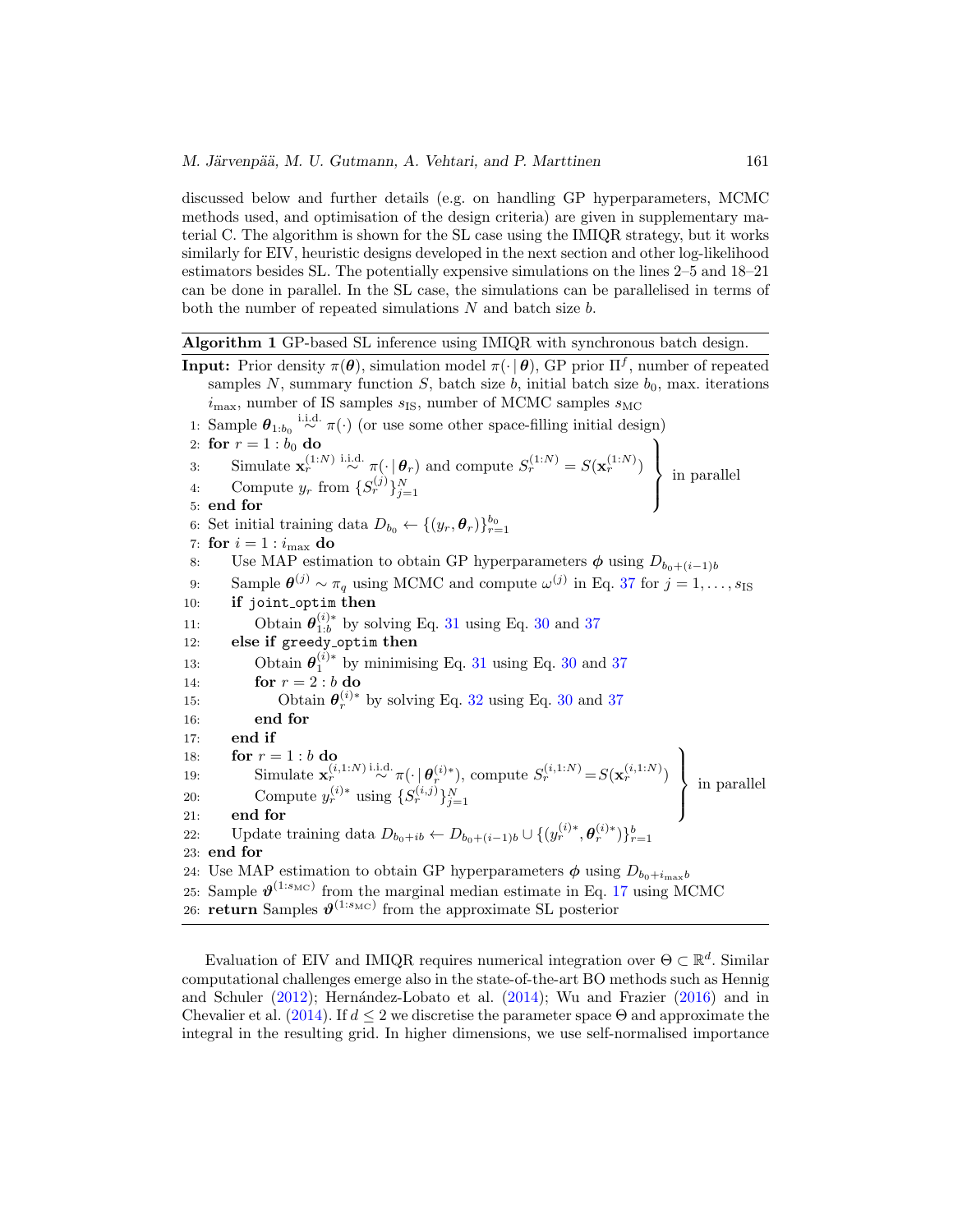<span id="page-15-1"></span>discussed below and further details (e.g. on handling GP hyperparameters, MCMC methods used, and optimisation of the design criteria) are given in supplementary material C. The algorithm is shown for the SL case using the IMIQR strategy, but it works similarly for EIV, heuristic designs developed in the next section and other log-likelihood estimators besides SL. The potentially expensive simulations on the lines 2–5 and 18–21 can be done in parallel. In the SL case, the simulations can be parallelised in terms of both the number of repeated simulations  $N$  and batch size  $b$ .

#### <span id="page-15-0"></span>**Algorithm 1** GP-based SL inference using IMIQR with synchronous batch design.

**Input:** Prior density  $\pi(\theta)$ , simulation model  $\pi(\cdot | \theta)$ , GP prior  $\Pi^f$ , number of repeated samples N, summary function S, batch size  $b$ , initial batch size  $b_0$ , max. iterations  $i_{\text{max}}$ , number of IS samples  $s_{\text{IS}}$ , number of MCMC samples  $s_{\text{MC}}$ 1: Sample  $\theta_{1:b_0} \stackrel{\text{i.i.d.}}{\sim} \pi(\cdot)$  (or use some other space-filling initial design) 2: **for**  $r = 1 : b_0$  **do** 3: Simulate  $\mathbf{x}_r^{(1:N)} \stackrel{\text{i.i.d.}}{\sim} \pi(\cdot | \boldsymbol{\theta}_r)$  and compute  $S_r^{(1:N)} = S(\mathbf{x}_r^{(1:N)})$  $\mathcal{L}$  $\overline{\mathcal{L}}$  $\int$ 4: Compute  $y_r$  from  $\{S_r^{(j)}\}_{j=1}^N$  for  $\{S_r^{(j)}\}_{j=1}^N$  and compute  $S_r$  are  $\emptyset$  in parallel 6: Set initial training data  $D_{b_0} \leftarrow \{(y_r, \theta_r)\}_{r=1}^{b_0}$ 7: **for**  $i = 1$  :  $i_{\text{max}}$  **do** 8: Use MAP estimation to obtain GP hyperparameters  $\phi$  using  $D_{b_0+(i-1)b}$ 9: Sample  $\theta^{(j)} \sim \pi_q$  using MCMC and compute  $\omega^{(j)}$  in Eq. [37](#page-16-1) for  $j = 1, \ldots, s_{IS}$ 10: **if** joint optim **then** 11: Obtain  $\theta_{1:b}^{(i)*}$  by solving Eq. [31](#page-13-2) using Eq. [30](#page-13-1) and [37](#page-16-1) 12: **else if** greedy optim **then** 13: Obtain  $\theta_1^{(i)*}$  by minimising Eq. [31](#page-13-2) using Eq. [30](#page-13-1) and [37](#page-16-1) 14: **for**  $r = 2 : b$  **do** 15: Obtain  $\theta_r^{(i)*}$  by solving Eq. [32](#page-13-3) using Eq. [30](#page-13-1) and [37](#page-16-1) 16: **end for** 17: **end if** 18: **for**  $r = 1:b$  **do** 19: Simulate  $\mathbf{x}_r^{(i,1:N)} \stackrel{\text{i.i.d.}}{\sim} \pi(\cdot \mid \boldsymbol{\theta}_r^{(i)*}), \text{ compute } S_r^{(i,1:N)} = S(\mathbf{x}_r^{(i,1:N)})$ ⎫  $\overline{\mathcal{L}}$  $\int$ 13. Simulate  $\mathbf{x}_r^r$  is  $\mathbb{E}[\mathbf{x}_r^{(i)}]$ , compute  $\mathbb{E}[\mathbf{x}_r^{(i+1)}]$  in parallel<br>
20: Compute  $y_r^{(i)*}$  using  $\{S_r^{(i,j)}\}_{j=1}^N$ 21: **end for** 22: Update training data  $D_{b_0+ib} \leftarrow D_{b_0+(i-1)b} \cup \{(y_r^{(i)*}, \theta_r^{(i)*})\}_{r=1}^b$ 23: **end for** 24: Use MAP estimation to obtain GP hyperparameters  $\phi$  using  $D_{b_0+i_{\text{max}}b}$ 25: Sample  $\mathcal{V}^{(1:s_{\text{MC}})}$  from the marginal median estimate in Eq. [17](#page-7-4) using MCMC 26: **return** Samples  $\vartheta^{(1:s_{\text{MC}})}$  from the approximate SL posterior

Evaluation of EIV and IMIOR requires numerical integration over  $\Theta \subset \mathbb{R}^d$ . Similar computational challenges emerge also in the state-of-the-art BO methods such as Hennig and Schuler  $(2012)$ ; Hernández-Lobato et al.  $(2014)$  $(2014)$ ; Wu and Frazier  $(2016)$  and in Chevalier et al.  $(2014)$  $(2014)$ . If  $d \leq 2$  we discretise the parameter space  $\Theta$  and approximate the integral in the resulting grid. In higher dimensions, we use self-normalised importance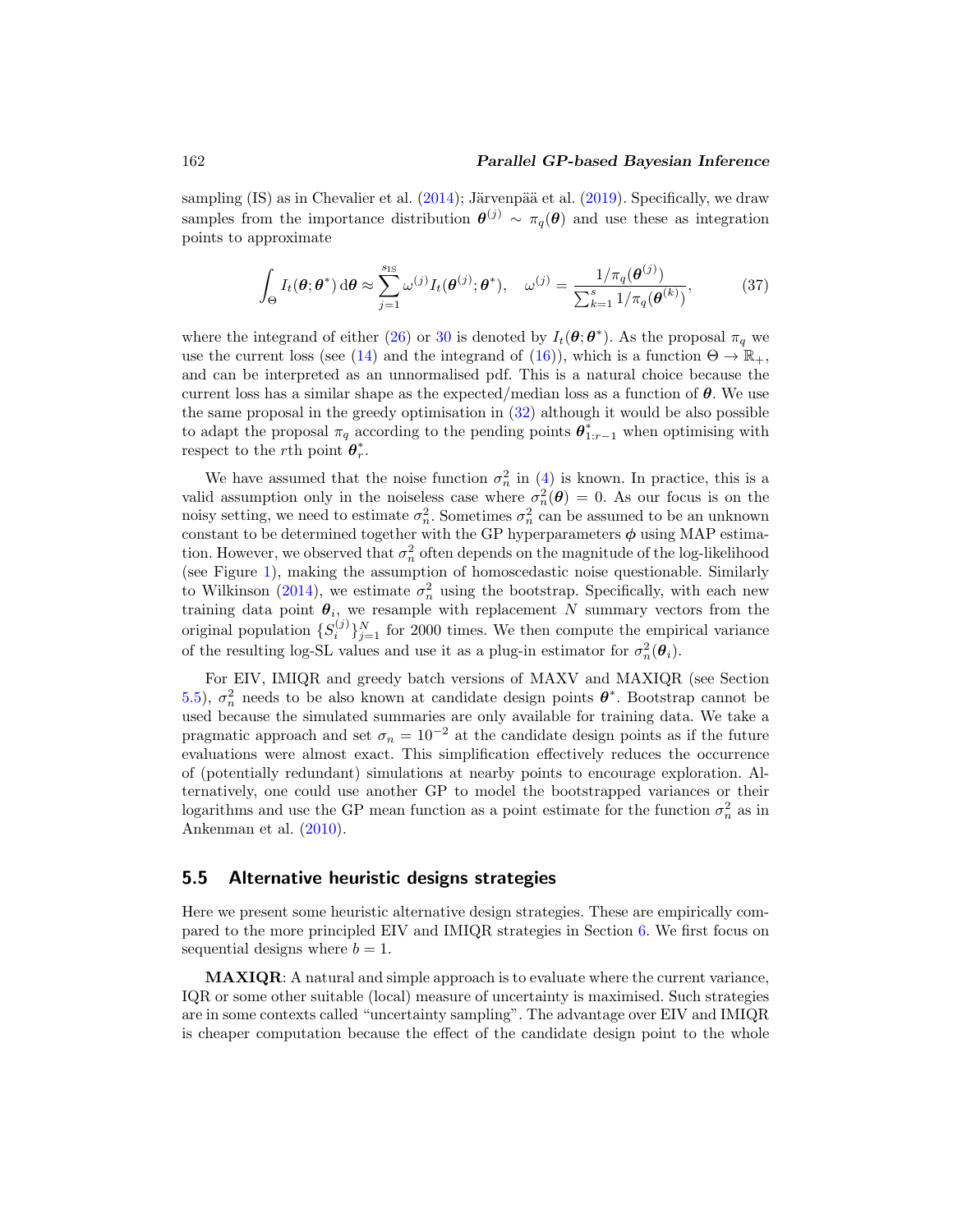#### <span id="page-16-2"></span>162 *Parallel GP-based Bayesian Inference*

sampling (IS) as in Chevalier et al.  $(2014)$ ; Järvenpää et al.  $(2019)$  $(2019)$ . Specifically, we draw samples from the importance distribution  $\theta^{(j)} \sim \pi_q(\theta)$  and use these as integration points to approximate

<span id="page-16-1"></span>
$$
\int_{\Theta} I_t(\boldsymbol{\theta}; \boldsymbol{\theta}^*) d\boldsymbol{\theta} \approx \sum_{j=1}^{s_{\text{IS}}} \omega^{(j)} I_t(\boldsymbol{\theta}^{(j)}; \boldsymbol{\theta}^*), \quad \omega^{(j)} = \frac{1/\pi_q(\boldsymbol{\theta}^{(j)})}{\sum_{k=1}^s 1/\pi_q(\boldsymbol{\theta}^{(k)})},\tag{37}
$$

where the integrand of either [\(26\)](#page-11-0) or [30](#page-13-1) is denoted by  $I_t(\theta; \theta^*)$ . As the proposal  $\pi_q$  we use the current loss (see [\(14\)](#page-7-2) and the integrand of [\(16\)](#page-7-3)), which is a function  $\Theta \to \mathbb{R}_+$ , and can be interpreted as an unnormalised pdf. This is a natural choice because the current loss has a similar shape as the expected/median loss as a function of *θ*. We use the same proposal in the greedy optimisation in [\(32\)](#page-13-3) although it would be also possible to adapt the proposal  $\pi_q$  according to the pending points  $\theta^*_{1:r-1}$  when optimising with respect to the *r*th point  $\theta_r^*$ .

We have assumed that the noise function  $\sigma_n^2$  in [\(4\)](#page-4-3) is known. In practice, this is a valid assumption only in the noiseless case where  $\sigma_n^2(\theta) = 0$ . As our focus is on the noisy setting, we need to estimate  $\sigma_n^2$ . Sometimes  $\sigma_n^2$  can be assumed to be an unknown constant to be determined together with the GP hyperparameters  $\phi$  using MAP estimation. However, we observed that  $\sigma_n^2$  often depends on the magnitude of the log-likelihood (see Figure [1\)](#page-7-0), making the assumption of homoscedastic noise questionable. Similarly to Wilkinson [\(2014](#page-31-2)), we estimate  $\sigma_n^2$  using the bootstrap. Specifically, with each new training data point  $\theta_i$ , we resample with replacement N summary vectors from the original population  $\{S_i^{(j)}\}_{j=1}^N$  for 2000 times. We then compute the empirical variance of the resulting log-SL values and use it as a plug-in estimator for  $\sigma_n^2(\theta_i)$ .

For EIV, IMIQR and greedy batch versions of MAXV and MAXIQR (see Section [5.5\)](#page-16-0),  $\sigma_n^2$  needs to be also known at candidate design points  $\boldsymbol{\theta}^*$ . Bootstrap cannot be used because the simulated summaries are only available for training data. We take a pragmatic approach and set  $\sigma_n = 10^{-2}$  at the candidate design points as if the future evaluations were almost exact. This simplification effectively reduces the occurrence of (potentially redundant) simulations at nearby points to encourage exploration. Alternatively, one could use another GP to model the bootstrapped variances or their logarithms and use the GP mean function as a point estimate for the function  $\sigma_n^2$  as in Ankenman et al. [\(2010](#page-27-10)).

#### <span id="page-16-0"></span>**5.5 Alternative heuristic designs strategies**

Here we present some heuristic alternative design strategies. These are empirically compared to the more principled EIV and IMIQR strategies in Section [6.](#page-18-0) We first focus on sequential designs where  $b = 1$ .

**MAXIQR**: A natural and simple approach is to evaluate where the current variance, IQR or some other suitable (local) measure of uncertainty is maximised. Such strategies are in some contexts called "uncertainty sampling". The advantage over EIV and IMIQR is cheaper computation because the effect of the candidate design point to the whole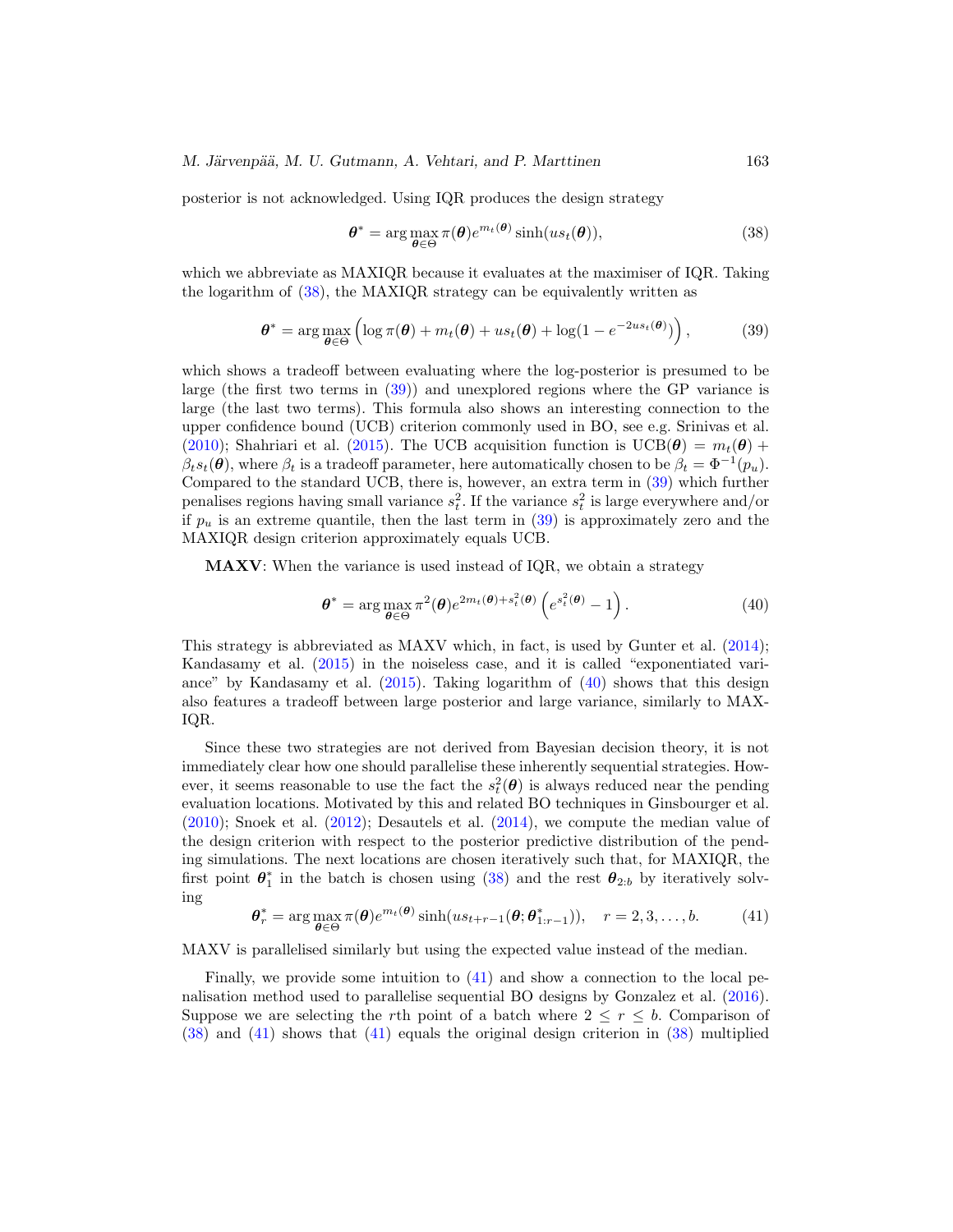<span id="page-17-4"></span>*M. Järvenpää, M. U. Gutmann, A. Vehtari, and P. Marttinen* 163

posterior is not acknowledged. Using IQR produces the design strategy

<span id="page-17-0"></span>
$$
\boldsymbol{\theta}^* = \arg \max_{\boldsymbol{\theta} \in \Theta} \pi(\boldsymbol{\theta}) e^{m_t(\boldsymbol{\theta})} \sinh(us_t(\boldsymbol{\theta})), \tag{38}
$$

which we abbreviate as MAXIQR because it evaluates at the maximiser of IQR. Taking the logarithm of [\(38\)](#page-17-0), the MAXIQR strategy can be equivalently written as

<span id="page-17-1"></span>
$$
\boldsymbol{\theta}^* = \arg \max_{\boldsymbol{\theta} \in \Theta} \left( \log \pi(\boldsymbol{\theta}) + m_t(\boldsymbol{\theta}) + us_t(\boldsymbol{\theta}) + \log(1 - e^{-2us_t(\boldsymbol{\theta})}) \right), \tag{39}
$$

which shows a tradeoff between evaluating where the log-posterior is presumed to be large (the first two terms in [\(39\)](#page-17-1)) and unexplored regions where the GP variance is large (the last two terms). This formula also shows an interesting connection to the upper confidence bound (UCB) criterion commonly used in BO, see e.g. Srinivas et al. [\(2010\)](#page-31-11); Shahriari et al. [\(2015\)](#page-31-4). The UCB acquisition function is  $UCB(\theta) = m_t(\theta) +$  $\beta_t s_t(\theta)$ , where  $\beta_t$  is a tradeoff parameter, here automatically chosen to be  $\beta_t = \Phi^{-1}(p_u)$ . Compared to the standard UCB, there is, however, an extra term in [\(39\)](#page-17-1) which further penalises regions having small variance  $s_t^2$ . If the variance  $s_t^2$  is large everywhere and/or if  $p_u$  is an extreme quantile, then the last term in [\(39\)](#page-17-1) is approximately zero and the MAXIQR design criterion approximately equals UCB.

**MAXV**: When the variance is used instead of IQR, we obtain a strategy

<span id="page-17-2"></span>
$$
\boldsymbol{\theta}^* = \arg \max_{\boldsymbol{\theta} \in \Theta} \pi^2(\boldsymbol{\theta}) e^{2m_t(\boldsymbol{\theta}) + s_t^2(\boldsymbol{\theta})} \left( e^{s_t^2(\boldsymbol{\theta})} - 1 \right). \tag{40}
$$

This strategy is abbreviated as MAXV which, in fact, is used by Gunter et al. [\(2014\)](#page-28-3); Kandasamy et al. [\(2015](#page-29-4)) in the noiseless case, and it is called "exponentiated variance" by Kandasamy et al.  $(2015)$  $(2015)$ . Taking logarithm of  $(40)$  shows that this design also features a tradeoff between large posterior and large variance, similarly to MAX-IQR.

Since these two strategies are not derived from Bayesian decision theory, it is not immediately clear how one should parallelise these inherently sequential strategies. However, it seems reasonable to use the fact the  $s_t^2(\theta)$  is always reduced near the pending evaluation locations. Motivated by this and related BO techniques in Ginsbourger et al.  $(2010)$ ; Snoek et al.  $(2012)$  $(2012)$ ; Desautels et al.  $(2014)$  $(2014)$ , we compute the median value of the design criterion with respect to the posterior predictive distribution of the pending simulations. The next locations are chosen iteratively such that, for MAXIQR, the first point  $\theta_1^*$  in the batch is chosen using [\(38\)](#page-17-0) and the rest  $\theta_{2:b}$  by iteratively solving

<span id="page-17-3"></span>
$$
\boldsymbol{\theta}_r^* = \arg \max_{\boldsymbol{\theta} \in \Theta} \pi(\boldsymbol{\theta}) e^{m_t(\boldsymbol{\theta})} \sinh(u s_{t+r-1}(\boldsymbol{\theta}; \boldsymbol{\theta}_{1:r-1}^*)), \quad r = 2, 3, \dots, b. \tag{41}
$$

MAXV is parallelised similarly but using the expected value instead of the median.

Finally, we provide some intuition to [\(41\)](#page-17-3) and show a connection to the local penalisation method used to parallelise sequential BO designs by Gonzalez et al. [\(2016\)](#page-28-7). Suppose we are selecting the rth point of a batch where  $2 \leq r \leq b$ . Comparison of [\(38\)](#page-17-0) and [\(41\)](#page-17-3) shows that [\(41\)](#page-17-3) equals the original design criterion in [\(38\)](#page-17-0) multiplied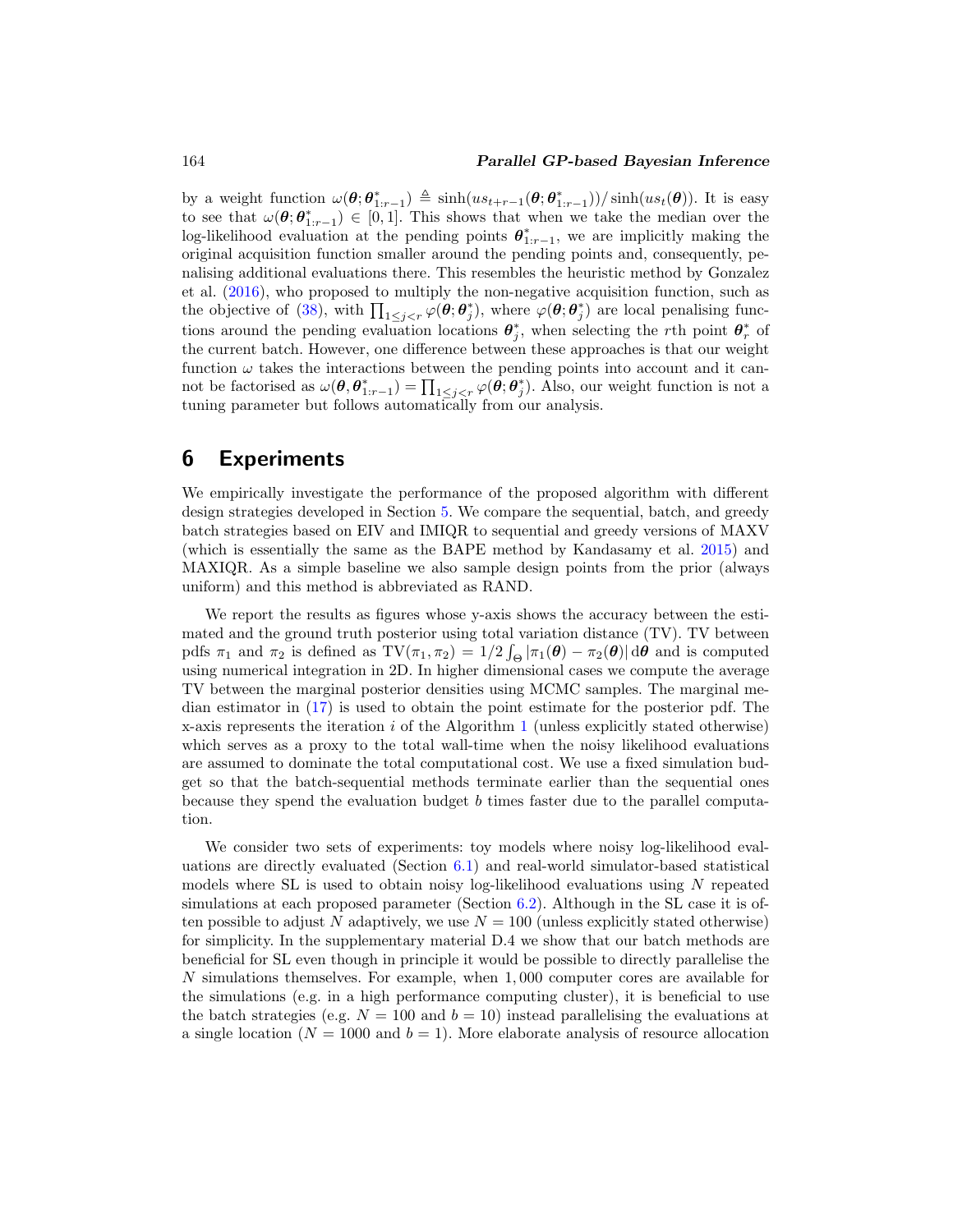#### <span id="page-18-1"></span>164 *Parallel GP-based Bayesian Inference*

by a weight function  $\omega(\boldsymbol{\theta}; \boldsymbol{\theta}_{1:r-1}^{*}) \triangleq \sinh(us_{t+r-1}(\boldsymbol{\theta}; \boldsymbol{\theta}_{1:r-1}^{*})) / \sinh(us_t(\boldsymbol{\theta}))$ . It is easy to see that  $\omega(\theta; \theta^*_{1:r-1}) \in [0, 1]$ . This shows that when we take the median over the log-likelihood evaluation at the pending points  $\theta^*_{1:r-1}$ , we are implicitly making the original acquisition function smaller around the pending points and, consequently, penalising additional evaluations there. This resembles the heuristic method by Gonzalez et al. [\(2016\)](#page-28-7), who proposed to multiply the non-negative acquisition function, such as the objective of [\(38\)](#page-17-0), with  $\prod_{1 \leq j \leq r} \varphi(\theta; \theta_j^*)$ , where  $\varphi(\theta; \theta_j^*)$  are local penalising functions around the pending evaluation locations  $\theta_j^*$ , when selecting the rth point  $\theta_r^*$  of the current batch. However, one difference between these approaches is that our weight function  $\omega$  takes the interactions between the pending points into account and it cannot be factorised as  $\omega(\theta, \theta_{1:r-1}^*) = \prod_{1 \leq j \leq r} \varphi(\theta; \theta_j^*)$ . Also, our weight function is not a tuning parameter but follows automatically from our analysis.

## <span id="page-18-0"></span>**6 Experiments**

We empirically investigate the performance of the proposed algorithm with different design strategies developed in Section [5.](#page-8-0) We compare the sequential, batch, and greedy batch strategies based on EIV and IMIQR to sequential and greedy versions of MAXV (which is essentially the same as the BAPE method by Kandasamy et al. [2015](#page-29-4)) and MAXIQR. As a simple baseline we also sample design points from the prior (always uniform) and this method is abbreviated as RAND.

We report the results as figures whose y-axis shows the accuracy between the estimated and the ground truth posterior using total variation distance (TV). TV between pdfs  $\pi_1$  and  $\pi_2$  is defined as  $TV(\pi_1, \pi_2) = 1/2 \int_{\Theta} |\pi_1(\theta) - \pi_2(\theta)| d\theta$  and is computed using numerical integration in 2D. In higher dimensional cases we compute the average TV between the marginal posterior densities using MCMC samples. The marginal median estimator in [\(17\)](#page-7-4) is used to obtain the point estimate for the posterior pdf. The x-axis represents the iteration i of the Algorithm [1](#page-15-0) (unless explicitly stated otherwise) which serves as a proxy to the total wall-time when the noisy likelihood evaluations are assumed to dominate the total computational cost. We use a fixed simulation budget so that the batch-sequential methods terminate earlier than the sequential ones because they spend the evaluation budget b times faster due to the parallel computation.

We consider two sets of experiments: toy models where noisy log-likelihood evaluations are directly evaluated (Section [6.1\)](#page-19-0) and real-world simulator-based statistical models where SL is used to obtain noisy log-likelihood evaluations using  $N$  repeated simulations at each proposed parameter (Section [6.2\)](#page-21-0). Although in the SL case it is often possible to adjust N adaptively, we use  $N = 100$  (unless explicitly stated otherwise) for simplicity. In the supplementary material D.4 we show that our batch methods are beneficial for SL even though in principle it would be possible to directly parallelise the N simulations themselves. For example, when 1, 000 computer cores are available for the simulations (e.g. in a high performance computing cluster), it is beneficial to use the batch strategies (e.g.  $N = 100$  and  $b = 10$ ) instead parallelising the evaluations at a single location ( $N = 1000$  and  $b = 1$ ). More elaborate analysis of resource allocation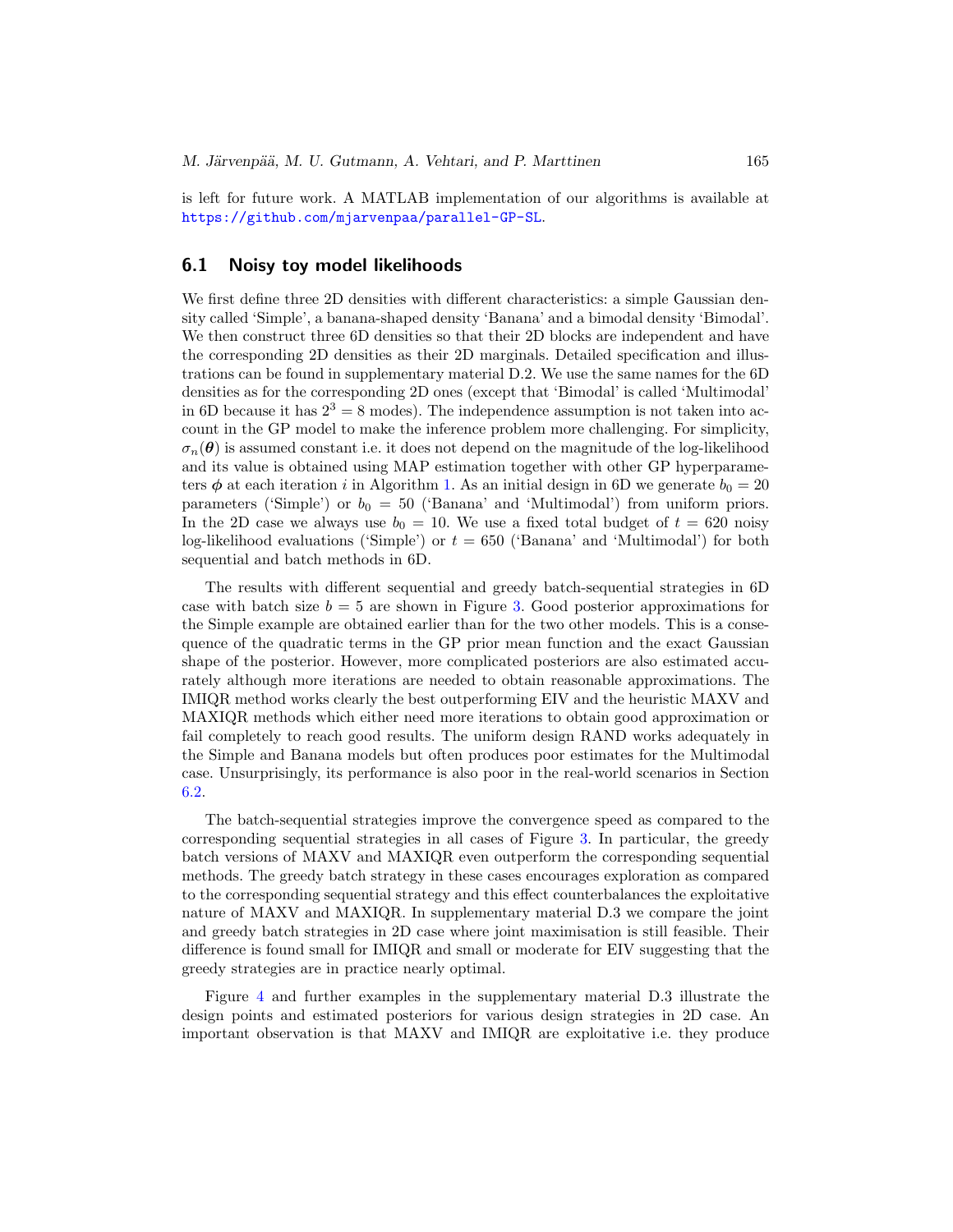is left for future work. A MATLAB implementation of our algorithms is available at <https://github.com/mjarvenpaa/parallel-GP-SL>.

#### <span id="page-19-0"></span>**6.1 Noisy toy model likelihoods**

We first define three 2D densities with different characteristics: a simple Gaussian density called 'Simple', a banana-shaped density 'Banana' and a bimodal density 'Bimodal'. We then construct three 6D densities so that their 2D blocks are independent and have the corresponding 2D densities as their 2D marginals. Detailed specification and illustrations can be found in supplementary material D.2. We use the same names for the 6D densities as for the corresponding 2D ones (except that 'Bimodal' is called 'Multimodal' in 6D because it has  $2^3 = 8$  modes). The independence assumption is not taken into account in the GP model to make the inference problem more challenging. For simplicity,  $\sigma_n(\theta)$  is assumed constant i.e. it does not depend on the magnitude of the log-likelihood and its value is obtained using MAP estimation together with other GP hyperparameters  $\phi$  at each iteration i in Algorithm [1.](#page-15-0) As an initial design in 6D we generate  $b_0 = 20$ parameters ('Simple') or  $b_0 = 50$  ('Banana' and 'Multimodal') from uniform priors. In the 2D case we always use  $b_0 = 10$ . We use a fixed total budget of  $t = 620$  noisy log-likelihood evaluations ('Simple') or  $t = 650$  ('Banana' and 'Multimodal') for both sequential and batch methods in 6D.

The results with different sequential and greedy batch-sequential strategies in 6D case with batch size  $b = 5$  are shown in Figure [3.](#page-20-0) Good posterior approximations for the Simple example are obtained earlier than for the two other models. This is a consequence of the quadratic terms in the GP prior mean function and the exact Gaussian shape of the posterior. However, more complicated posteriors are also estimated accurately although more iterations are needed to obtain reasonable approximations. The IMIQR method works clearly the best outperforming EIV and the heuristic MAXV and MAXIQR methods which either need more iterations to obtain good approximation or fail completely to reach good results. The uniform design RAND works adequately in the Simple and Banana models but often produces poor estimates for the Multimodal case. Unsurprisingly, its performance is also poor in the real-world scenarios in Section [6.2.](#page-21-0)

The batch-sequential strategies improve the convergence speed as compared to the corresponding sequential strategies in all cases of Figure [3.](#page-20-0) In particular, the greedy batch versions of MAXV and MAXIQR even outperform the corresponding sequential methods. The greedy batch strategy in these cases encourages exploration as compared to the corresponding sequential strategy and this effect counterbalances the exploitative nature of MAXV and MAXIQR. In supplementary material D.3 we compare the joint and greedy batch strategies in 2D case where joint maximisation is still feasible. Their difference is found small for IMIQR and small or moderate for EIV suggesting that the greedy strategies are in practice nearly optimal.

Figure [4](#page-20-1) and further examples in the supplementary material D.3 illustrate the design points and estimated posteriors for various design strategies in 2D case. An important observation is that MAXV and IMIQR are exploitative i.e. they produce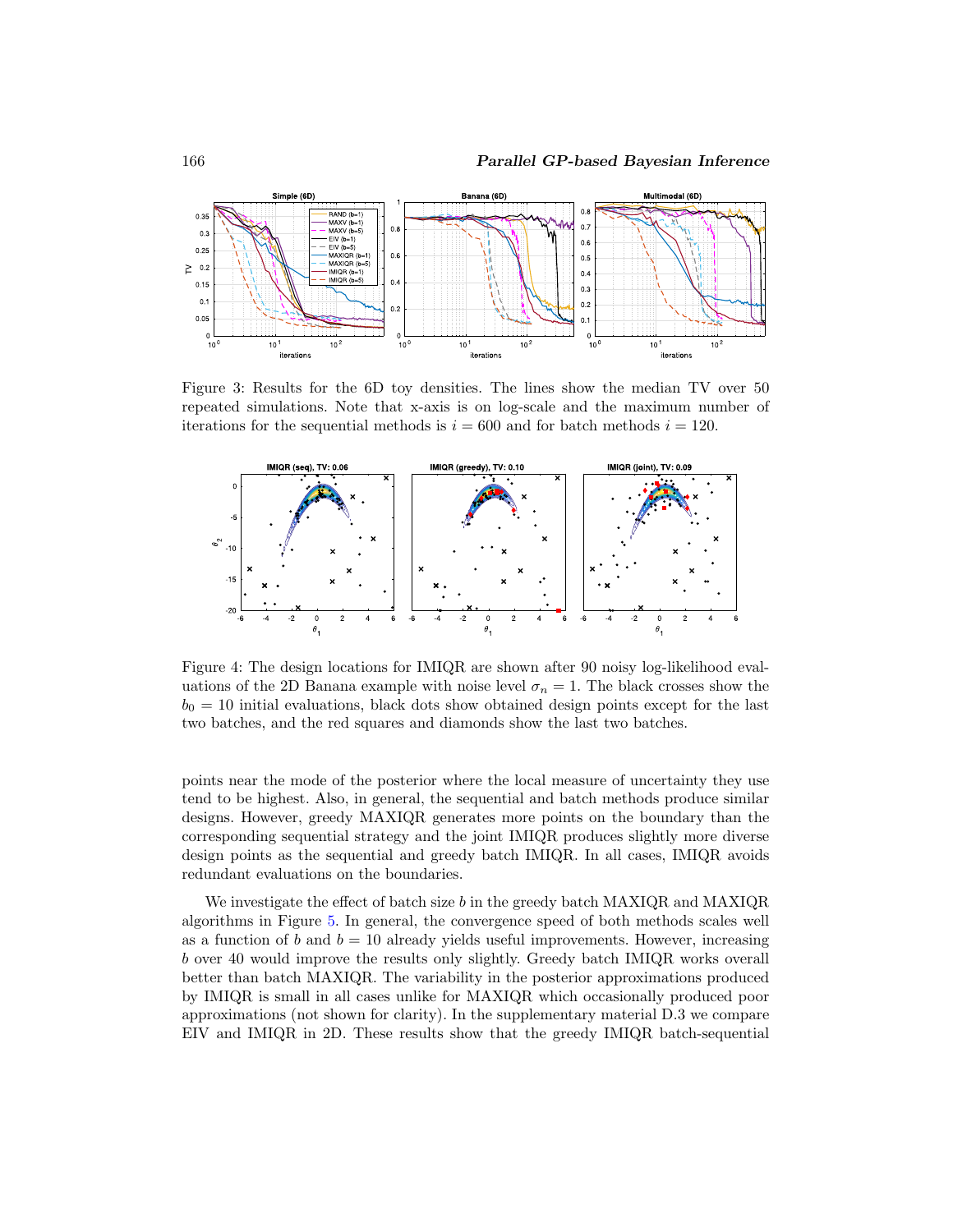

<span id="page-20-0"></span>Figure 3: Results for the 6D toy densities. The lines show the median TV over 50 repeated simulations. Note that x-axis is on log-scale and the maximum number of iterations for the sequential methods is  $i = 600$  and for batch methods  $i = 120$ .



<span id="page-20-1"></span>Figure 4: The design locations for IMIQR are shown after 90 noisy log-likelihood evaluations of the 2D Banana example with noise level  $\sigma_n = 1$ . The black crosses show the  $b<sub>0</sub> = 10$  initial evaluations, black dots show obtained design points except for the last two batches, and the red squares and diamonds show the last two batches.

points near the mode of the posterior where the local measure of uncertainty they use tend to be highest. Also, in general, the sequential and batch methods produce similar designs. However, greedy MAXIQR generates more points on the boundary than the corresponding sequential strategy and the joint IMIQR produces slightly more diverse design points as the sequential and greedy batch IMIQR. In all cases, IMIQR avoids redundant evaluations on the boundaries.

We investigate the effect of batch size b in the greedy batch MAXIQR and MAXIQR algorithms in Figure [5.](#page-21-2) In general, the convergence speed of both methods scales well as a function of b and  $b = 10$  already yields useful improvements. However, increasing b over 40 would improve the results only slightly. Greedy batch IMIQR works overall better than batch MAXIQR. The variability in the posterior approximations produced by IMIQR is small in all cases unlike for MAXIQR which occasionally produced poor approximations (not shown for clarity). In the supplementary material D.3 we compare EIV and IMIQR in 2D. These results show that the greedy IMIQR batch-sequential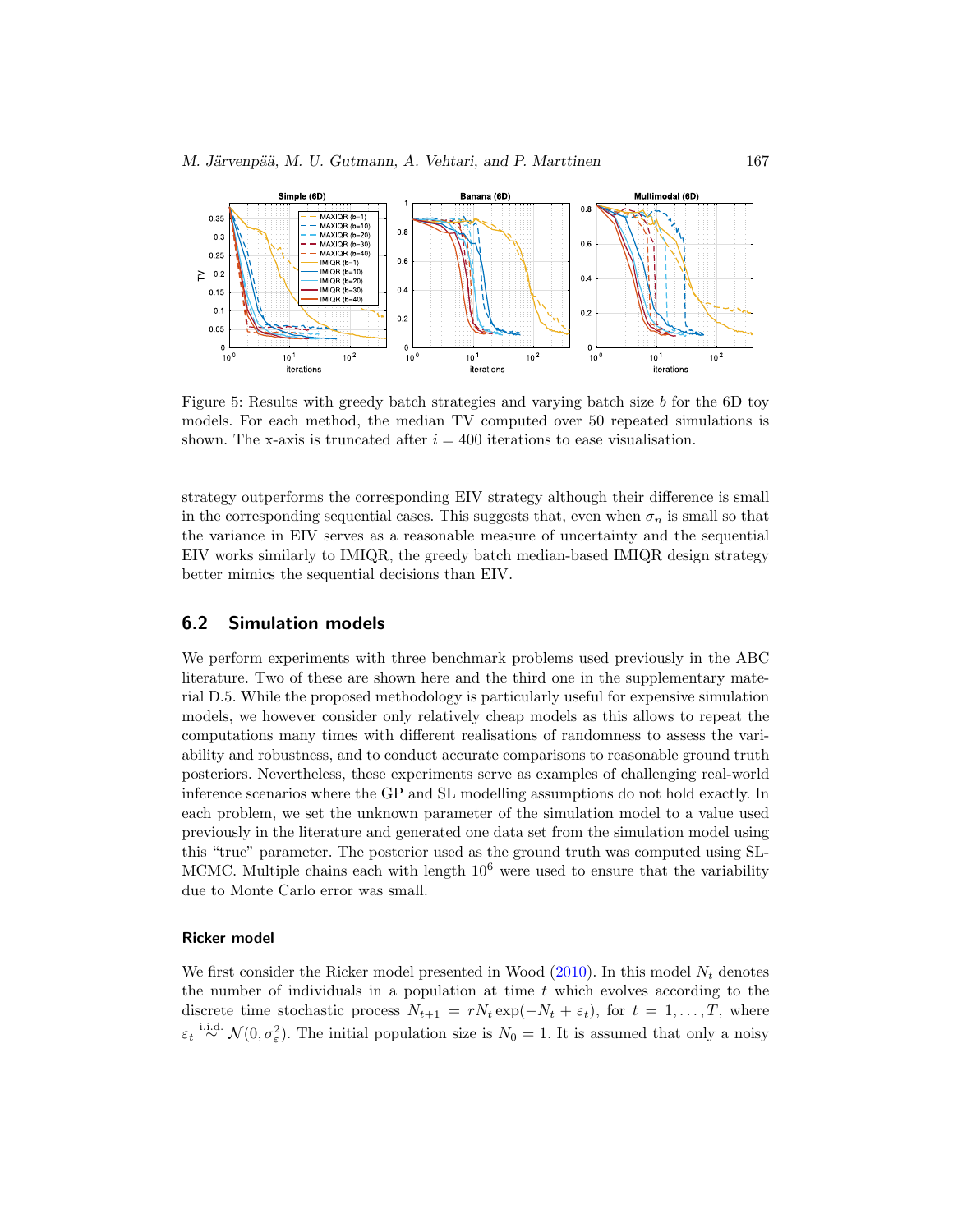<span id="page-21-3"></span>

<span id="page-21-2"></span>Figure 5: Results with greedy batch strategies and varying batch size b for the 6D toy models. For each method, the median TV computed over 50 repeated simulations is shown. The x-axis is truncated after  $i = 400$  iterations to ease visualisation.

strategy outperforms the corresponding EIV strategy although their difference is small in the corresponding sequential cases. This suggests that, even when  $\sigma_n$  is small so that the variance in EIV serves as a reasonable measure of uncertainty and the sequential EIV works similarly to IMIQR, the greedy batch median-based IMIQR design strategy better mimics the sequential decisions than EIV.

#### <span id="page-21-0"></span>**6.2 Simulation models**

We perform experiments with three benchmark problems used previously in the ABC literature. Two of these are shown here and the third one in the supplementary material D.5. While the proposed methodology is particularly useful for expensive simulation models, we however consider only relatively cheap models as this allows to repeat the computations many times with different realisations of randomness to assess the variability and robustness, and to conduct accurate comparisons to reasonable ground truth posteriors. Nevertheless, these experiments serve as examples of challenging real-world inference scenarios where the GP and SL modelling assumptions do not hold exactly. In each problem, we set the unknown parameter of the simulation model to a value used previously in the literature and generated one data set from the simulation model using this "true" parameter. The posterior used as the ground truth was computed using SL-MCMC. Multiple chains each with length  $10<sup>6</sup>$  were used to ensure that the variability due to Monte Carlo error was small.

#### <span id="page-21-1"></span>**Ricker model**

We first consider the Ricker model presented in Wood  $(2010)$  $(2010)$ . In this model  $N_t$  denotes the number of individuals in a population at time  $t$  which evolves according to the discrete time stochastic process  $N_{t+1} = rN_t \exp(-N_t + \varepsilon_t)$ , for  $t = 1, ..., T$ , where  $\varepsilon_t \stackrel{\text{i.i.d.}}{\sim} \mathcal{N}(0, \sigma_{\varepsilon}^2)$ . The initial population size is  $N_0 = 1$ . It is assumed that only a noisy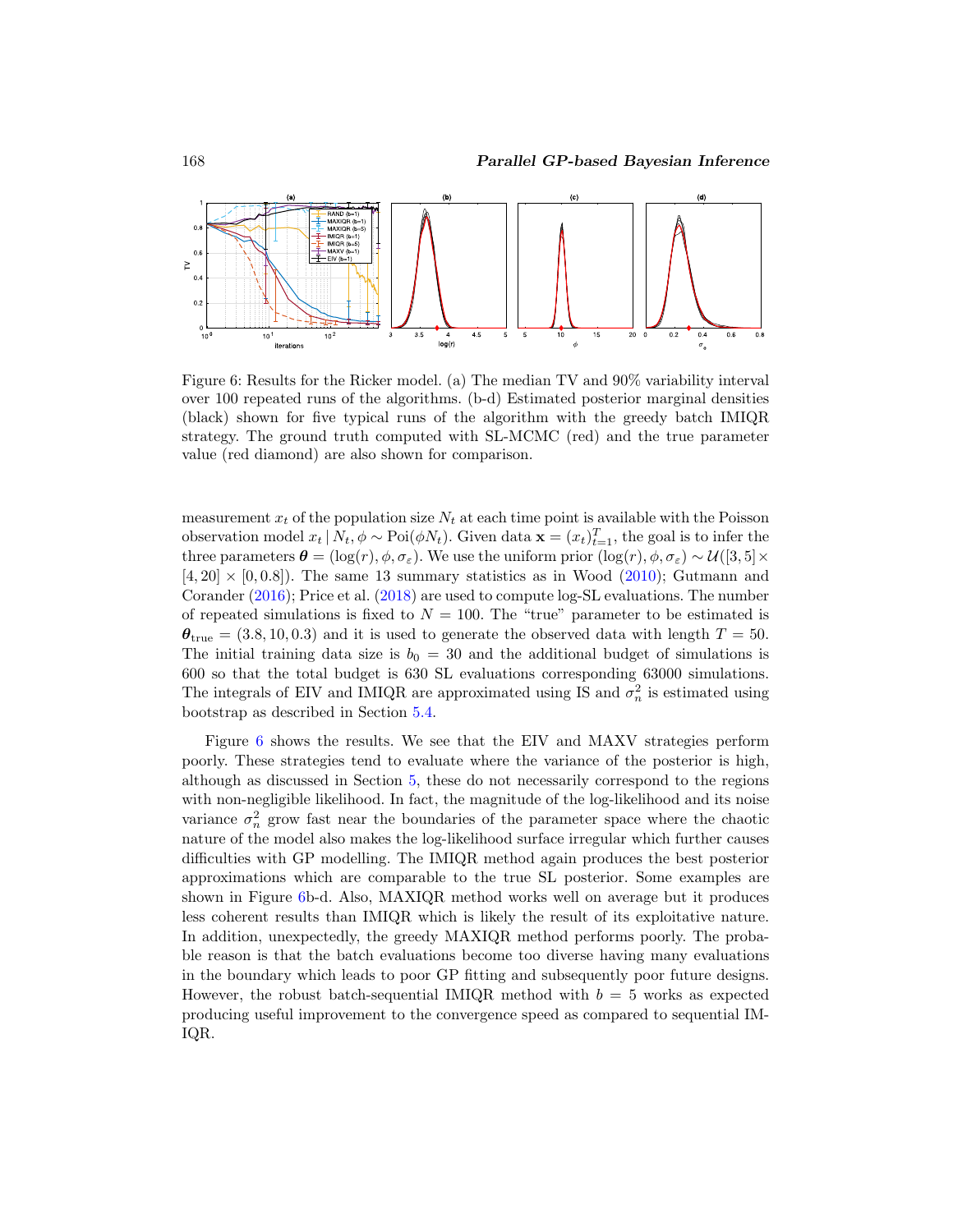<span id="page-22-1"></span>

<span id="page-22-0"></span>Figure 6: Results for the Ricker model. (a) The median TV and 90% variability interval over 100 repeated runs of the algorithms. (b-d) Estimated posterior marginal densities (black) shown for five typical runs of the algorithm with the greedy batch IMIQR strategy. The ground truth computed with SL-MCMC (red) and the true parameter value (red diamond) are also shown for comparison.

measurement  $x_t$  of the population size  $N_t$  at each time point is available with the Poisson observation model  $x_t | N_t, \phi \sim \text{Poi}(\phi N_t)$ . Given data  $\mathbf{x} = (x_t)_{t=1}^T$ , the goal is to infer the three parameters  $\boldsymbol{\theta} = (\log(r), \phi, \sigma_{\varepsilon})$ . We use the uniform prior  $(\log(r), \phi, \sigma_{\varepsilon}) \sim \mathcal{U}([3, 5] \times$  $[4, 20] \times [0, 0.8]$ . The same 13 summary statistics as in Wood [\(2010\)](#page-31-3); Gutmann and Corander [\(2016](#page-28-1)); Price et al. [\(2018](#page-30-5)) are used to compute log-SL evaluations. The number of repeated simulations is fixed to  $N = 100$ . The "true" parameter to be estimated is  $\theta_{\text{true}} = (3.8, 10, 0.3)$  and it is used to generate the observed data with length  $T = 50$ . The initial training data size is  $b_0 = 30$  and the additional budget of simulations is 600 so that the total budget is 630 SL evaluations corresponding 63000 simulations. The integrals of EIV and IMIQR are approximated using IS and  $\sigma_n^2$  is estimated using bootstrap as described in Section [5.4.](#page-14-2)

Figure [6](#page-22-0) shows the results. We see that the EIV and MAXV strategies perform poorly. These strategies tend to evaluate where the variance of the posterior is high, although as discussed in Section [5,](#page-8-0) these do not necessarily correspond to the regions with non-negligible likelihood. In fact, the magnitude of the log-likelihood and its noise variance  $\sigma_n^2$  grow fast near the boundaries of the parameter space where the chaotic nature of the model also makes the log-likelihood surface irregular which further causes difficulties with GP modelling. The IMIQR method again produces the best posterior approximations which are comparable to the true SL posterior. Some examples are shown in Figure [6b](#page-22-0)-d. Also, MAXIQR method works well on average but it produces less coherent results than IMIQR which is likely the result of its exploitative nature. In addition, unexpectedly, the greedy MAXIQR method performs poorly. The probable reason is that the batch evaluations become too diverse having many evaluations in the boundary which leads to poor GP fitting and subsequently poor future designs. However, the robust batch-sequential IMIQR method with  $b = 5$  works as expected producing useful improvement to the convergence speed as compared to sequential IM-IQR.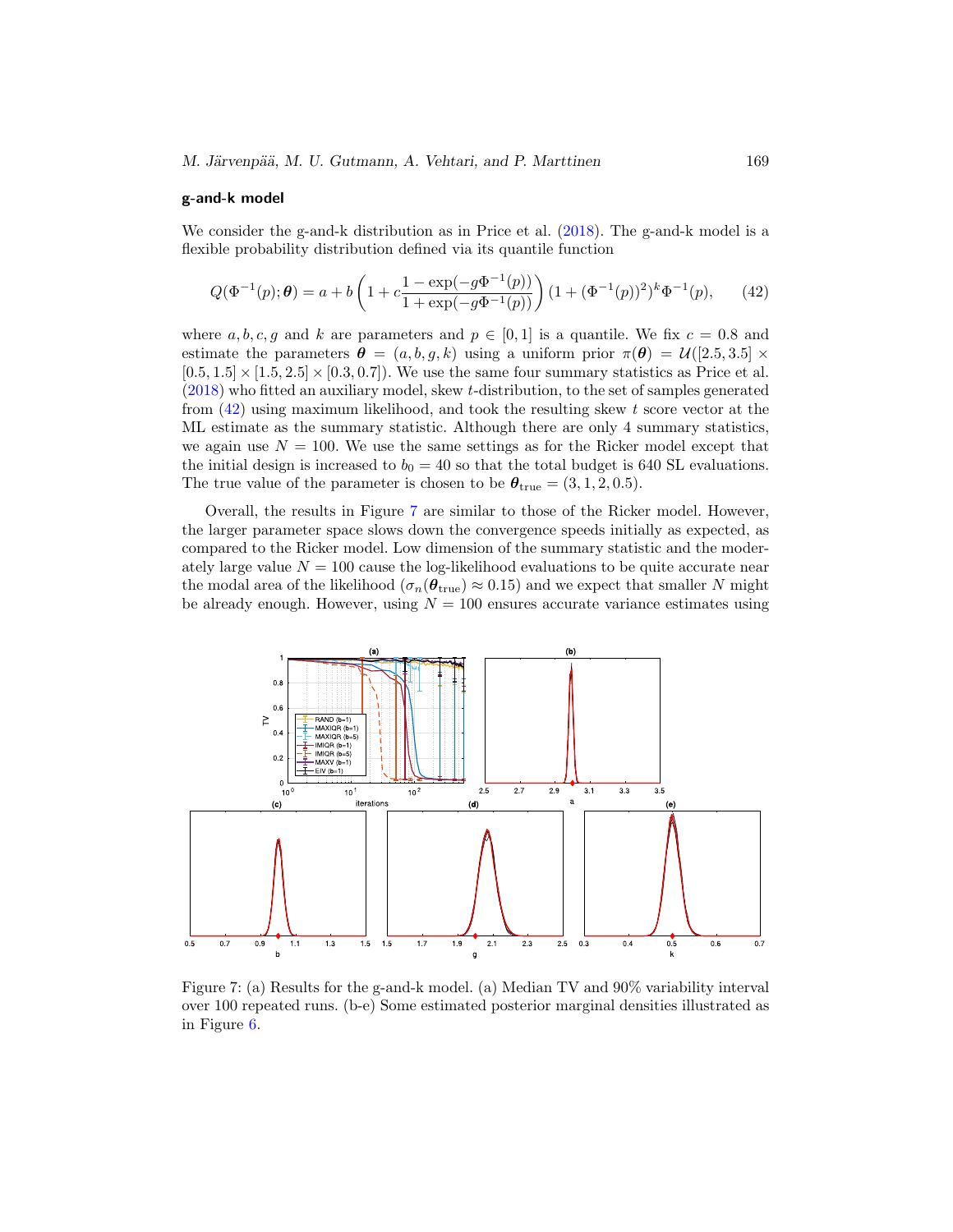#### <span id="page-23-2"></span>**g-and-k model**

We consider the g-and-k distribution as in Price et al. [\(2018\)](#page-30-5). The g-and-k model is a flexible probability distribution defined via its quantile function

<span id="page-23-0"></span>
$$
Q(\Phi^{-1}(p); \theta) = a + b \left( 1 + c \frac{1 - \exp(-g\Phi^{-1}(p))}{1 + \exp(-g\Phi^{-1}(p))} \right) (1 + (\Phi^{-1}(p))^2)^k \Phi^{-1}(p), \qquad (42)
$$

where a, b, c, g and k are parameters and  $p \in [0, 1]$  is a quantile. We fix  $c = 0.8$  and estimate the parameters  $\boldsymbol{\theta} = (a, b, g, k)$  using a uniform prior  $\pi(\boldsymbol{\theta}) = \mathcal{U}([2.5, 3.5] \times$  $[0.5, 1.5] \times [1.5, 2.5] \times [0.3, 0.7]$ . We use the same four summary statistics as Price et al. [\(2018\)](#page-30-5) who fitted an auxiliary model, skew t-distribution, to the set of samples generated from  $(42)$  using maximum likelihood, and took the resulting skew t score vector at the ML estimate as the summary statistic. Although there are only 4 summary statistics, we again use  $N = 100$ . We use the same settings as for the Ricker model except that the initial design is increased to  $b_0 = 40$  so that the total budget is 640 SL evaluations. The true value of the parameter is chosen to be  $\theta_{\text{true}} = (3, 1, 2, 0.5)$ .

Overall, the results in Figure [7](#page-23-1) are similar to those of the Ricker model. However, the larger parameter space slows down the convergence speeds initially as expected, as compared to the Ricker model. Low dimension of the summary statistic and the moderately large value  $N = 100$  cause the log-likelihood evaluations to be quite accurate near the modal area of the likelihood ( $\sigma_n(\theta_{\text{true}}) \approx 0.15$ ) and we expect that smaller N might be already enough. However, using  $N = 100$  ensures accurate variance estimates using



<span id="page-23-1"></span>Figure 7: (a) Results for the g-and-k model. (a) Median TV and 90% variability interval over 100 repeated runs. (b-e) Some estimated posterior marginal densities illustrated as in Figure [6.](#page-22-0)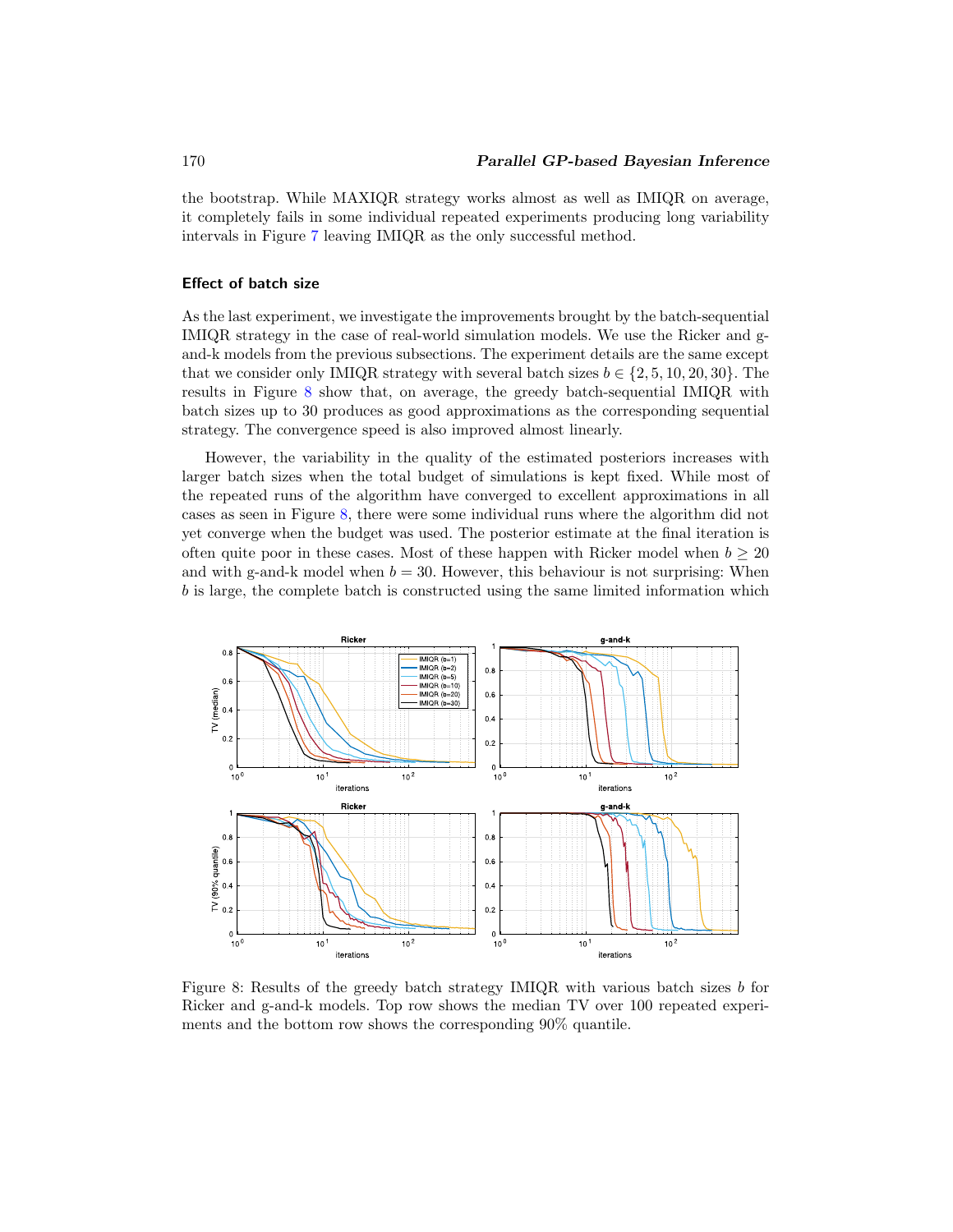the bootstrap. While MAXIQR strategy works almost as well as IMIQR on average, it completely fails in some individual repeated experiments producing long variability intervals in Figure [7](#page-23-1) leaving IMIQR as the only successful method.

#### **Effect of batch size**

As the last experiment, we investigate the improvements brought by the batch-sequential IMIQR strategy in the case of real-world simulation models. We use the Ricker and gand-k models from the previous subsections. The experiment details are the same except that we consider only IMIQR strategy with several batch sizes  $b \in \{2, 5, 10, 20, 30\}$ . The results in Figure [8](#page-24-0) show that, on average, the greedy batch-sequential IMIQR with batch sizes up to 30 produces as good approximations as the corresponding sequential strategy. The convergence speed is also improved almost linearly.

However, the variability in the quality of the estimated posteriors increases with larger batch sizes when the total budget of simulations is kept fixed. While most of the repeated runs of the algorithm have converged to excellent approximations in all cases as seen in Figure [8,](#page-24-0) there were some individual runs where the algorithm did not yet converge when the budget was used. The posterior estimate at the final iteration is often quite poor in these cases. Most of these happen with Ricker model when  $b \geq 20$ and with g-and-k model when  $b = 30$ . However, this behaviour is not surprising: When b is large, the complete batch is constructed using the same limited information which



<span id="page-24-0"></span>Figure 8: Results of the greedy batch strategy IMIQR with various batch sizes b for Ricker and g-and-k models. Top row shows the median TV over 100 repeated experiments and the bottom row shows the corresponding 90% quantile.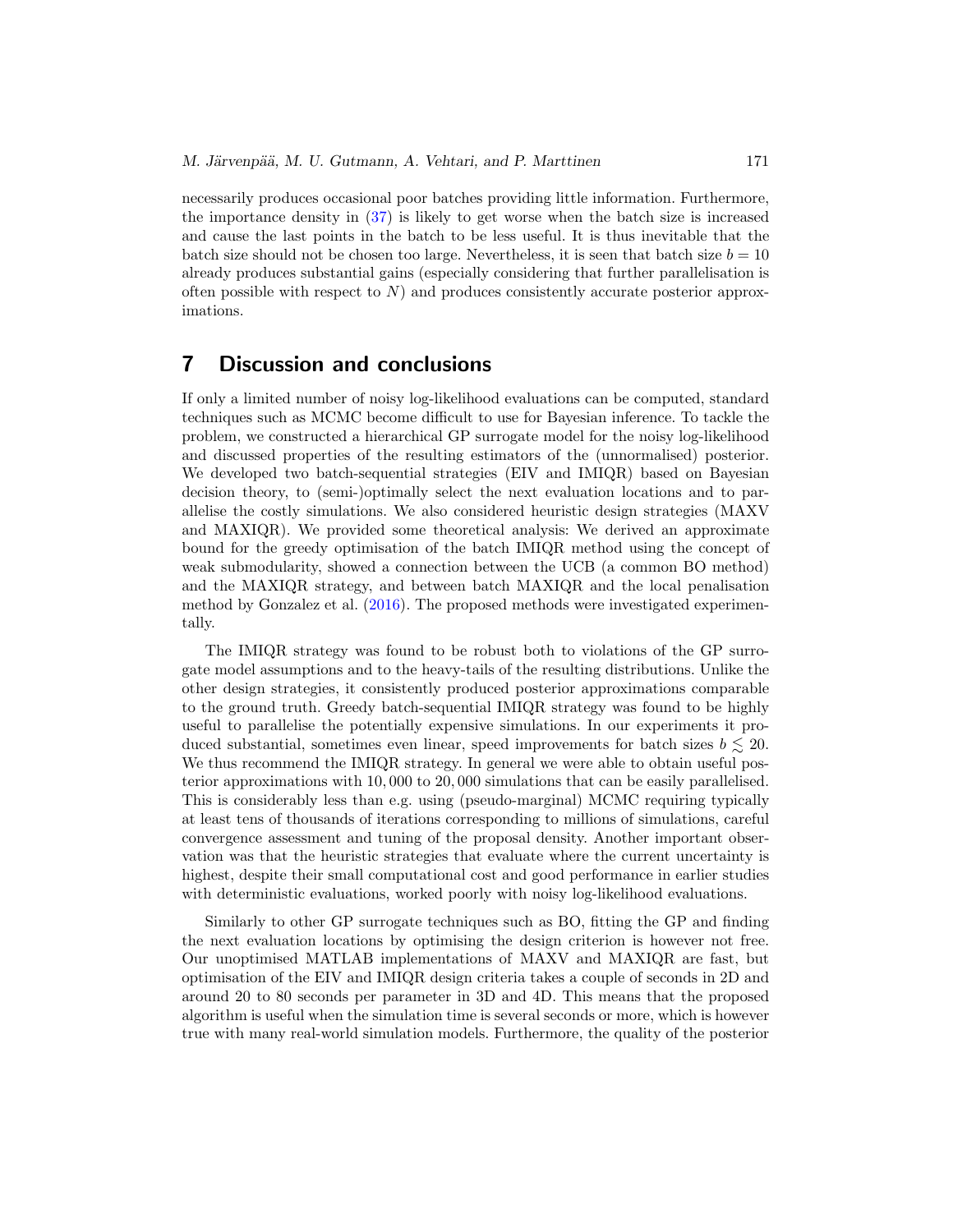<span id="page-25-1"></span>necessarily produces occasional poor batches providing little information. Furthermore, the importance density in [\(37\)](#page-16-1) is likely to get worse when the batch size is increased and cause the last points in the batch to be less useful. It is thus inevitable that the batch size should not be chosen too large. Nevertheless, it is seen that batch size  $b = 10$ already produces substantial gains (especially considering that further parallelisation is often possible with respect to  $N$ ) and produces consistently accurate posterior approximations.

## <span id="page-25-0"></span>**7 Discussion and conclusions**

If only a limited number of noisy log-likelihood evaluations can be computed, standard techniques such as MCMC become difficult to use for Bayesian inference. To tackle the problem, we constructed a hierarchical GP surrogate model for the noisy log-likelihood and discussed properties of the resulting estimators of the (unnormalised) posterior. We developed two batch-sequential strategies (EIV and IMIQR) based on Bayesian decision theory, to (semi-)optimally select the next evaluation locations and to parallelise the costly simulations. We also considered heuristic design strategies (MAXV and MAXIQR). We provided some theoretical analysis: We derived an approximate bound for the greedy optimisation of the batch IMIQR method using the concept of weak submodularity, showed a connection between the UCB (a common BO method) and the MAXIQR strategy, and between batch MAXIQR and the local penalisation method by Gonzalez et al. [\(2016](#page-28-7)). The proposed methods were investigated experimentally.

The IMIQR strategy was found to be robust both to violations of the GP surrogate model assumptions and to the heavy-tails of the resulting distributions. Unlike the other design strategies, it consistently produced posterior approximations comparable to the ground truth. Greedy batch-sequential IMIQR strategy was found to be highly useful to parallelise the potentially expensive simulations. In our experiments it produced substantial, sometimes even linear, speed improvements for batch sizes  $b \lesssim 20$ . We thus recommend the IMIQR strategy. In general we were able to obtain useful posterior approximations with 10, 000 to 20, 000 simulations that can be easily parallelised. This is considerably less than e.g. using (pseudo-marginal) MCMC requiring typically at least tens of thousands of iterations corresponding to millions of simulations, careful convergence assessment and tuning of the proposal density. Another important observation was that the heuristic strategies that evaluate where the current uncertainty is highest, despite their small computational cost and good performance in earlier studies with deterministic evaluations, worked poorly with noisy log-likelihood evaluations.

Similarly to other GP surrogate techniques such as BO, fitting the GP and finding the next evaluation locations by optimising the design criterion is however not free. Our unoptimised MATLAB implementations of MAXV and MAXIQR are fast, but optimisation of the EIV and IMIQR design criteria takes a couple of seconds in 2D and around 20 to 80 seconds per parameter in 3D and 4D. This means that the proposed algorithm is useful when the simulation time is several seconds or more, which is however true with many real-world simulation models. Furthermore, the quality of the posterior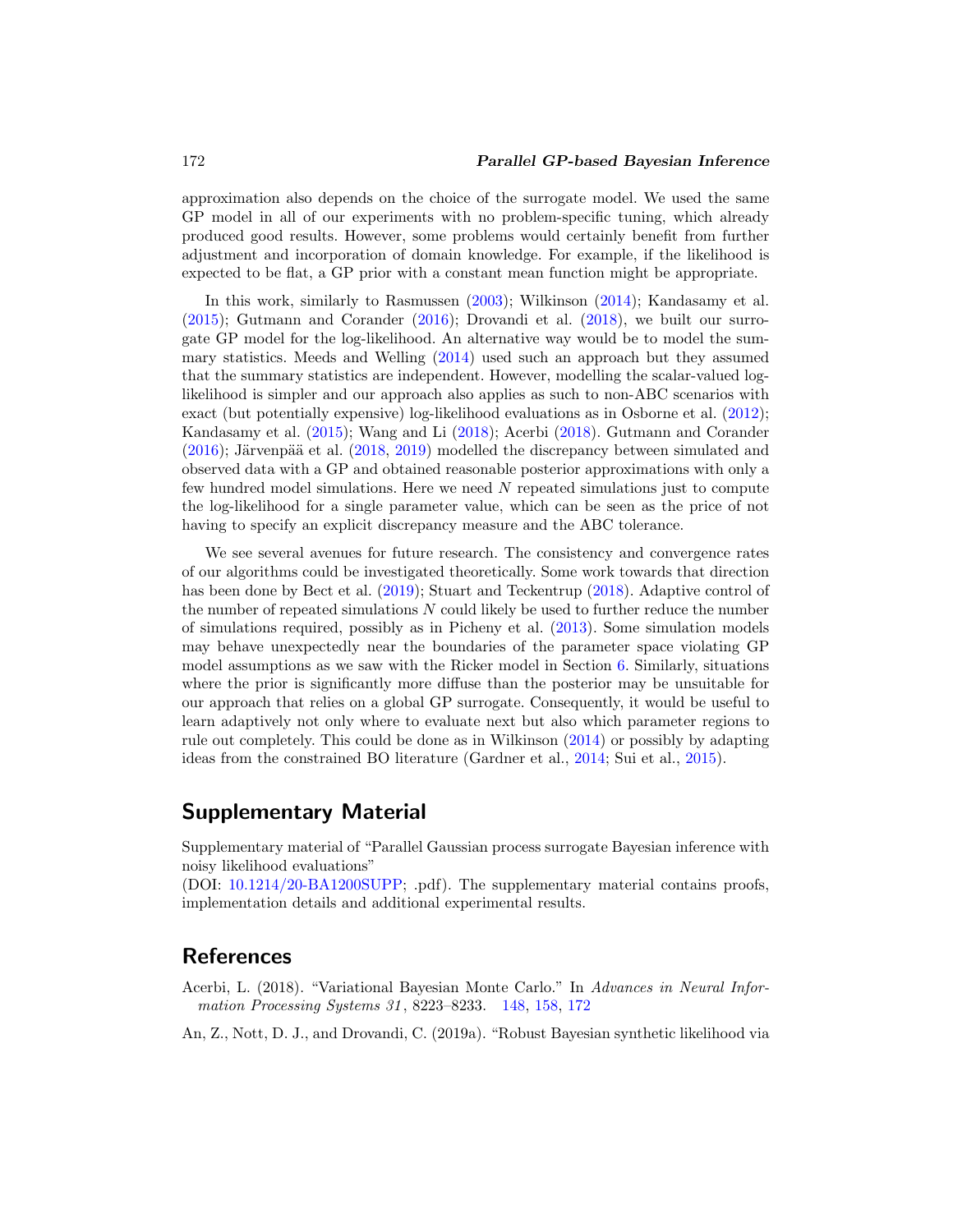<span id="page-26-2"></span>approximation also depends on the choice of the surrogate model. We used the same GP model in all of our experiments with no problem-specific tuning, which already produced good results. However, some problems would certainly benefit from further adjustment and incorporation of domain knowledge. For example, if the likelihood is expected to be flat, a GP prior with a constant mean function might be appropriate.

In this work, similarly to Rasmussen [\(2003](#page-30-3)); Wilkinson [\(2014\)](#page-31-2); Kandasamy et al. [\(2015\)](#page-29-4); Gutmann and Corander [\(2016](#page-28-1)); Drovandi et al. [\(2018\)](#page-28-0), we built our surrogate GP model for the log-likelihood. An alternative way would be to model the summary statistics. Meeds and Welling [\(2014\)](#page-30-4) used such an approach but they assumed that the summary statistics are independent. However, modelling the scalar-valued loglikelihood is simpler and our approach also applies as such to non-ABC scenarios with exact (but potentially expensive) log-likelihood evaluations as in Osborne et al. [\(2012\)](#page-30-7); Kandasamy et al. [\(2015](#page-29-4)); Wang and Li [\(2018](#page-31-1)); Acerbi [\(2018\)](#page-26-0). Gutmann and Corander  $(2016)$ ; Järvenpää et al.  $(2018, 2019)$  $(2018, 2019)$  $(2018, 2019)$  modelled the discrepancy between simulated and observed data with a GP and obtained reasonable posterior approximations with only a few hundred model simulations. Here we need N repeated simulations just to compute the log-likelihood for a single parameter value, which can be seen as the price of not having to specify an explicit discrepancy measure and the ABC tolerance.

We see several avenues for future research. The consistency and convergence rates of our algorithms could be investigated theoretically. Some work towards that direction has been done by Bect et al. [\(2019](#page-27-11)); Stuart and Teckentrup [\(2018\)](#page-31-10). Adaptive control of the number of repeated simulations  $N$  could likely be used to further reduce the number of simulations required, possibly as in Picheny et al. [\(2013](#page-30-12)). Some simulation models may behave unexpectedly near the boundaries of the parameter space violating GP model assumptions as we saw with the Ricker model in Section [6.](#page-18-0) Similarly, situations where the prior is significantly more diffuse than the posterior may be unsuitable for our approach that relies on a global GP surrogate. Consequently, it would be useful to learn adaptively not only where to evaluate next but also which parameter regions to rule out completely. This could be done as in Wilkinson [\(2014\)](#page-31-2) or possibly by adapting ideas from the constrained BO literature (Gardner et al., [2014](#page-28-12); Sui et al., [2015](#page-31-12)).

## **Supplementary Material**

Supplementary material of "Parallel Gaussian process surrogate Bayesian inference with noisy likelihood evaluations"

(DOI: [10.1214/20-BA1200SUPP;](https://doi.org/10.1214/20-BA1200SUPP) .pdf). The supplementary material contains proofs, implementation details and additional experimental results.

## **References**

- <span id="page-26-0"></span>Acerbi, L. (2018). "Variational Bayesian Monte Carlo." In Advances in Neural Infor-mation Processing Systems 31, 8223–8233. [148,](#page-2-0) [158,](#page-12-2) [172](#page-26-2)
- <span id="page-26-1"></span>An, Z., Nott, D. J., and Drovandi, C. (2019a). "Robust Bayesian synthetic likelihood via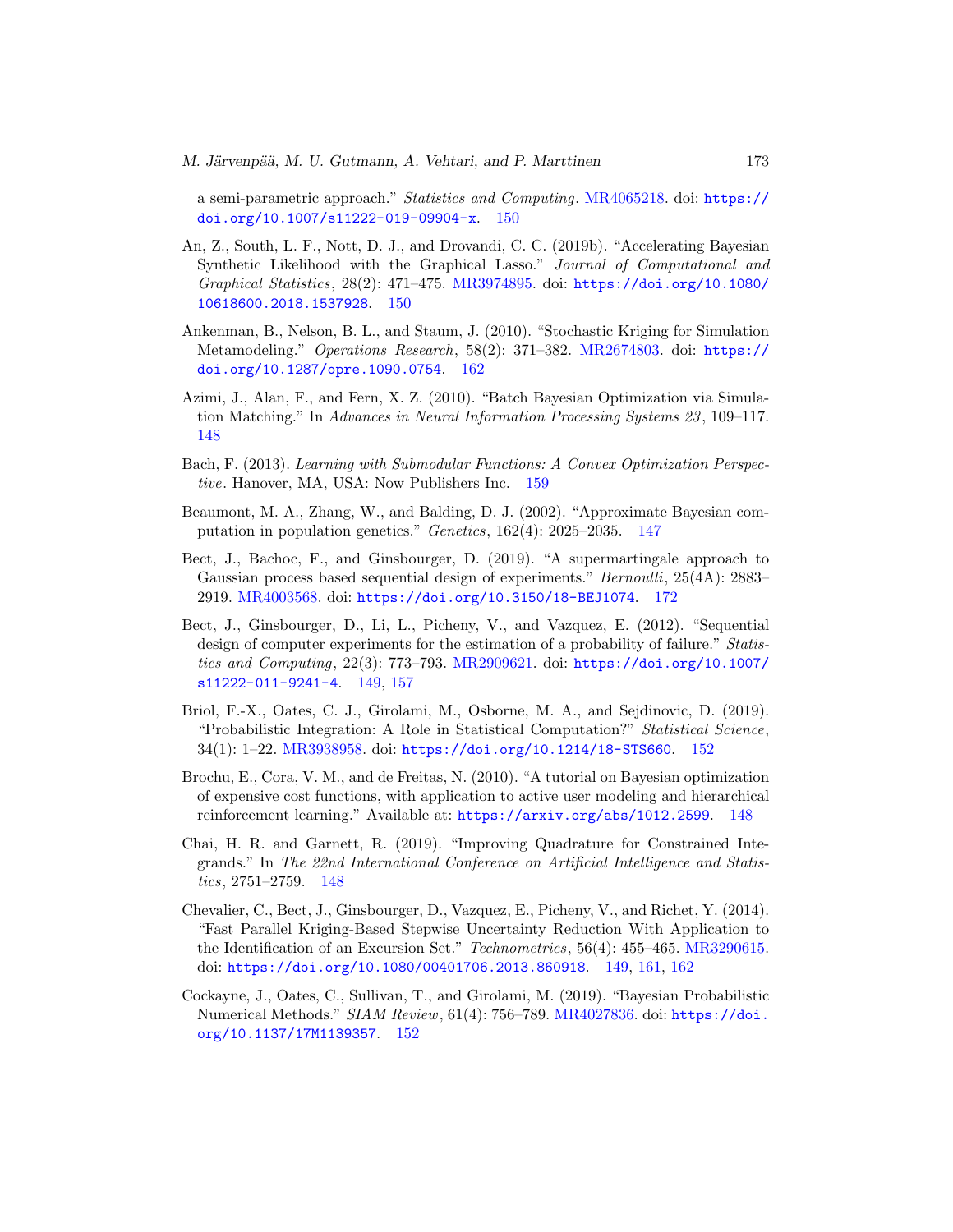a semi-parametric approach." Statistics and Computing. [MR4065218.](https://www.ams.org/mathscinet-getitem?mr=4065218) doi: [https://](https://doi.org/10.1007/s11222-019-09904-x) [doi.org/10.1007/s11222-019-09904-x](https://doi.org/10.1007/s11222-019-09904-x). [150](#page-4-4)

- <span id="page-27-6"></span>An, Z., South, L. F., Nott, D. J., and Drovandi, C. C. (2019b). "Accelerating Bayesian Synthetic Likelihood with the Graphical Lasso." Journal of Computational and Graphical Statistics, 28(2): 471–475. [MR3974895.](https://www.ams.org/mathscinet-getitem?mr=3974895) doi: [https://doi.org/10.1080/](https://doi.org/10.1080/10618600.2018.1537928) [10618600.2018.1537928](https://doi.org/10.1080/10618600.2018.1537928). [150](#page-4-4)
- <span id="page-27-10"></span>Ankenman, B., Nelson, B. L., and Staum, J. (2010). "Stochastic Kriging for Simulation Metamodeling." Operations Research, 58(2): 371–382. [MR2674803.](https://www.ams.org/mathscinet-getitem?mr=2674803) doi: [https://](https://doi.org/10.1287/opre.1090.0754) [doi.org/10.1287/opre.1090.0754](https://doi.org/10.1287/opre.1090.0754). [162](#page-16-2)
- <span id="page-27-3"></span>Azimi, J., Alan, F., and Fern, X. Z. (2010). "Batch Bayesian Optimization via Simulation Matching." In Advances in Neural Information Processing Systems 23 , 109–117. [148](#page-2-0)
- <span id="page-27-9"></span>Bach, F. (2013). Learning with Submodular Functions: A Convex Optimization Perspective. Hanover, MA, USA: Now Publishers Inc. [159](#page-13-4)
- <span id="page-27-0"></span>Beaumont, M. A., Zhang, W., and Balding, D. J. (2002). "Approximate Bayesian computation in population genetics." Genetics, 162(4): 2025–2035. [147](#page-1-2)
- <span id="page-27-11"></span>Bect, J., Bachoc, F., and Ginsbourger, D. (2019). "A supermartingale approach to Gaussian process based sequential design of experiments." *Bernoulli*, 25(4A): 2883– 2919. [MR4003568.](https://www.ams.org/mathscinet-getitem?mr=4003568) doi: <https://doi.org/10.3150/18-BEJ1074>. [172](#page-26-2)
- <span id="page-27-4"></span>Bect, J., Ginsbourger, D., Li, L., Picheny, V., and Vazquez, E. (2012). "Sequential design of computer experiments for the estimation of a probability of failure." Statistics and Computing, 22(3): 773–793. [MR2909621.](https://www.ams.org/mathscinet-getitem?mr=2909621) doi: [https://doi.org/10.1007/](https://doi.org/10.1007/s11222-011-9241-4) [s11222-011-9241-4](https://doi.org/10.1007/s11222-011-9241-4). [149,](#page-3-2) [157](#page-11-1)
- <span id="page-27-8"></span>Briol, F.-X., Oates, C. J., Girolami, M., Osborne, M. A., and Sejdinovic, D. (2019). "Probabilistic Integration: A Role in Statistical Computation?" Statistical Science, 34(1): 1–22. [MR3938958.](https://www.ams.org/mathscinet-getitem?mr=3938958) doi: <https://doi.org/10.1214/18-STS660>. [152](#page-6-5)
- <span id="page-27-2"></span>Brochu, E., Cora, V. M., and de Freitas, N. (2010). "A tutorial on Bayesian optimization of expensive cost functions, with application to active user modeling and hierarchical reinforcement learning." Available at: <https://arxiv.org/abs/1012.2599>. [148](#page-2-0)
- <span id="page-27-1"></span>Chai, H. R. and Garnett, R. (2019). "Improving Quadrature for Constrained Integrands." In The 22nd International Conference on Artificial Intelligence and Statistics, 2751–2759. [148](#page-2-0)
- <span id="page-27-5"></span>Chevalier, C., Bect, J., Ginsbourger, D., Vazquez, E., Picheny, V., and Richet, Y. (2014). "Fast Parallel Kriging-Based Stepwise Uncertainty Reduction With Application to the Identification of an Excursion Set." Technometrics, 56(4): 455–465. [MR3290615.](https://www.ams.org/mathscinet-getitem?mr=3290615) doi: <https://doi.org/10.1080/00401706.2013.860918>. [149,](#page-3-2) [161,](#page-15-1) [162](#page-16-2)
- <span id="page-27-7"></span>Cockayne, J., Oates, C., Sullivan, T., and Girolami, M. (2019). "Bayesian Probabilistic Numerical Methods." SIAM Review, 61(4): 756–789. [MR4027836.](https://www.ams.org/mathscinet-getitem?mr=4027836) doi: [https://doi.](https://doi.org/10.1137/17M1139357) [org/10.1137/17M1139357](https://doi.org/10.1137/17M1139357). [152](#page-6-5)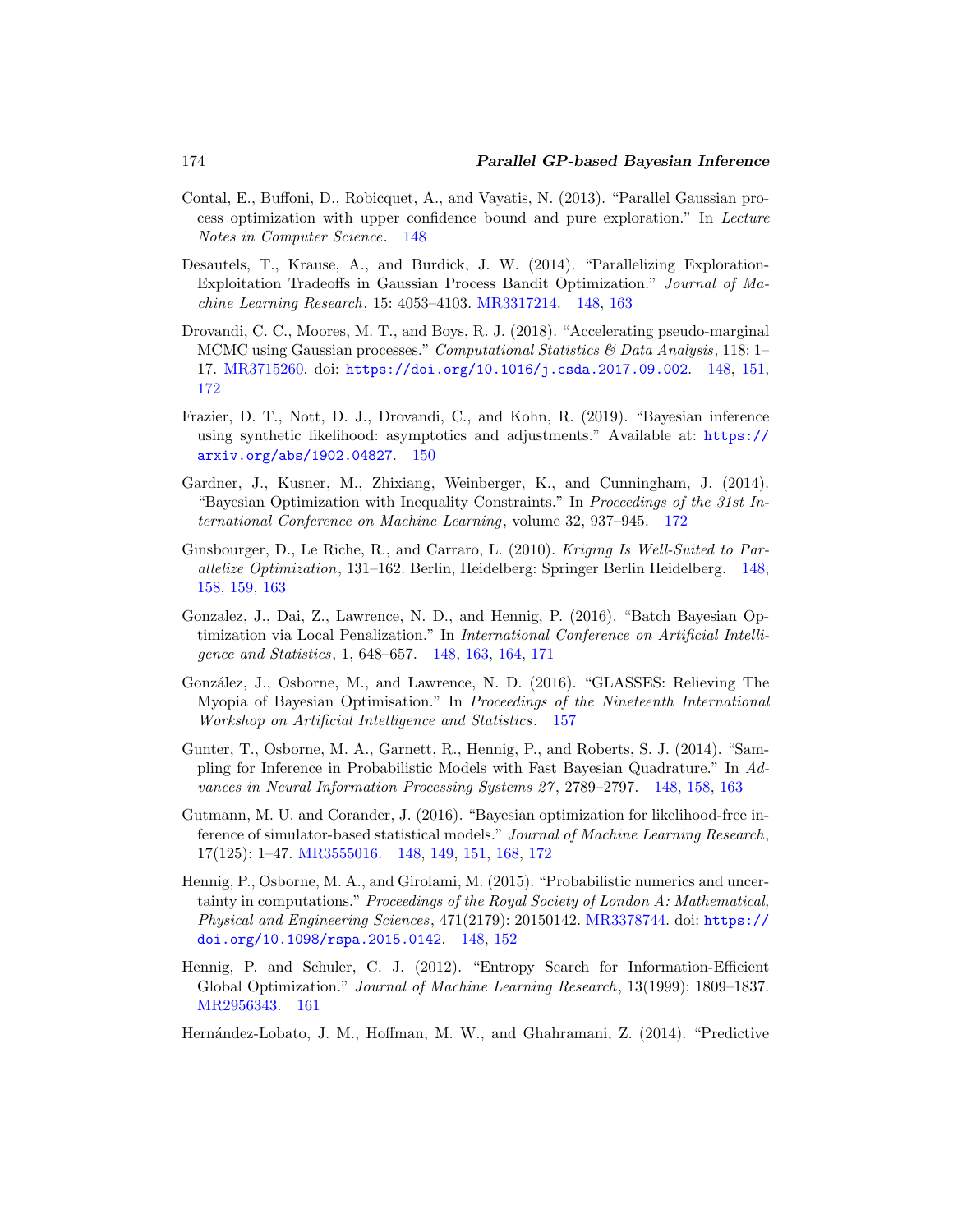- <span id="page-28-5"></span>Contal, E., Buffoni, D., Robicquet, A., and Vayatis, N. (2013). "Parallel Gaussian process optimization with upper confidence bound and pure exploration." In Lecture Notes in Computer Science. [148](#page-2-0)
- <span id="page-28-6"></span>Desautels, T., Krause, A., and Burdick, J. W. (2014). "Parallelizing Exploration-Exploitation Tradeoffs in Gaussian Process Bandit Optimization." Journal of Machine Learning Research, 15: 4053–4103. [MR3317214.](https://www.ams.org/mathscinet-getitem?mr=3317214) [148,](#page-2-0) [163](#page-17-4)
- <span id="page-28-0"></span>Drovandi, C. C., Moores, M. T., and Boys, R. J. (2018). "Accelerating pseudo-marginal MCMC using Gaussian processes." Computational Statistics & Data Analysis, 118: 1– 17. [MR3715260.](https://www.ams.org/mathscinet-getitem?mr=3715260) doi: <https://doi.org/10.1016/j.csda.2017.09.002>. [148,](#page-2-0) [151,](#page-5-2) [172](#page-26-2)
- <span id="page-28-8"></span>Frazier, D. T., Nott, D. J., Drovandi, C., and Kohn, R. (2019). "Bayesian inference using synthetic likelihood: asymptotics and adjustments." Available at: [https://](https://arxiv.org/abs/1902.04827) [arxiv.org/abs/1902.04827](https://arxiv.org/abs/1902.04827). [150](#page-4-4)
- <span id="page-28-12"></span>Gardner, J., Kusner, M., Zhixiang, Weinberger, K., and Cunningham, J. (2014). "Bayesian Optimization with Inequality Constraints." In Proceedings of the 31st International Conference on Machine Learning, volume 32, 937–945. [172](#page-26-2)
- <span id="page-28-4"></span>Ginsbourger, D., Le Riche, R., and Carraro, L. (2010). Kriging Is Well-Suited to Parallelize Optimization, 131–162. Berlin, Heidelberg: Springer Berlin Heidelberg. [148,](#page-2-0) [158,](#page-12-2) [159,](#page-13-4) [163](#page-17-4)
- <span id="page-28-7"></span>Gonzalez, J., Dai, Z., Lawrence, N. D., and Hennig, P. (2016). "Batch Bayesian Optimization via Local Penalization." In International Conference on Artificial Intelligence and Statistics, 1, 648–657. [148,](#page-2-0) [163,](#page-17-4) [164,](#page-18-1) [171](#page-25-1)
- <span id="page-28-9"></span>González, J., Osborne, M., and Lawrence, N. D. (2016). "GLASSES: Relieving The Myopia of Bayesian Optimisation." In Proceedings of the Nineteenth International Workshop on Artificial Intelligence and Statistics. [157](#page-11-1)
- <span id="page-28-3"></span>Gunter, T., Osborne, M. A., Garnett, R., Hennig, P., and Roberts, S. J. (2014). "Sampling for Inference in Probabilistic Models with Fast Bayesian Quadrature." In Advances in Neural Information Processing Systems 27 , 2789–2797. [148,](#page-2-0) [158,](#page-12-2) [163](#page-17-4)
- <span id="page-28-1"></span>Gutmann, M. U. and Corander, J. (2016). "Bayesian optimization for likelihood-free inference of simulator-based statistical models." Journal of Machine Learning Research, 17(125): 1–47. [MR3555016.](https://www.ams.org/mathscinet-getitem?mr=3555016) [148,](#page-2-0) [149,](#page-3-2) [151,](#page-5-2) [168,](#page-22-1) [172](#page-26-2)
- <span id="page-28-2"></span>Hennig, P., Osborne, M. A., and Girolami, M. (2015). "Probabilistic numerics and uncertainty in computations." Proceedings of the Royal Society of London A: Mathematical, Physical and Engineering Sciences, 471(2179): 20150142. [MR3378744.](https://www.ams.org/mathscinet-getitem?mr=3378744) doi: [https://](https://doi.org/10.1098/rspa.2015.0142) [doi.org/10.1098/rspa.2015.0142](https://doi.org/10.1098/rspa.2015.0142). [148,](#page-2-0) [152](#page-6-5)
- <span id="page-28-10"></span>Hennig, P. and Schuler, C. J. (2012). "Entropy Search for Information-Efficient Global Optimization." Journal of Machine Learning Research, 13(1999): 1809–1837. [MR2956343.](https://www.ams.org/mathscinet-getitem?mr=2956343) [161](#page-15-1)

<span id="page-28-11"></span>Hern´andez-Lobato, J. M., Hoffman, M. W., and Ghahramani, Z. (2014). "Predictive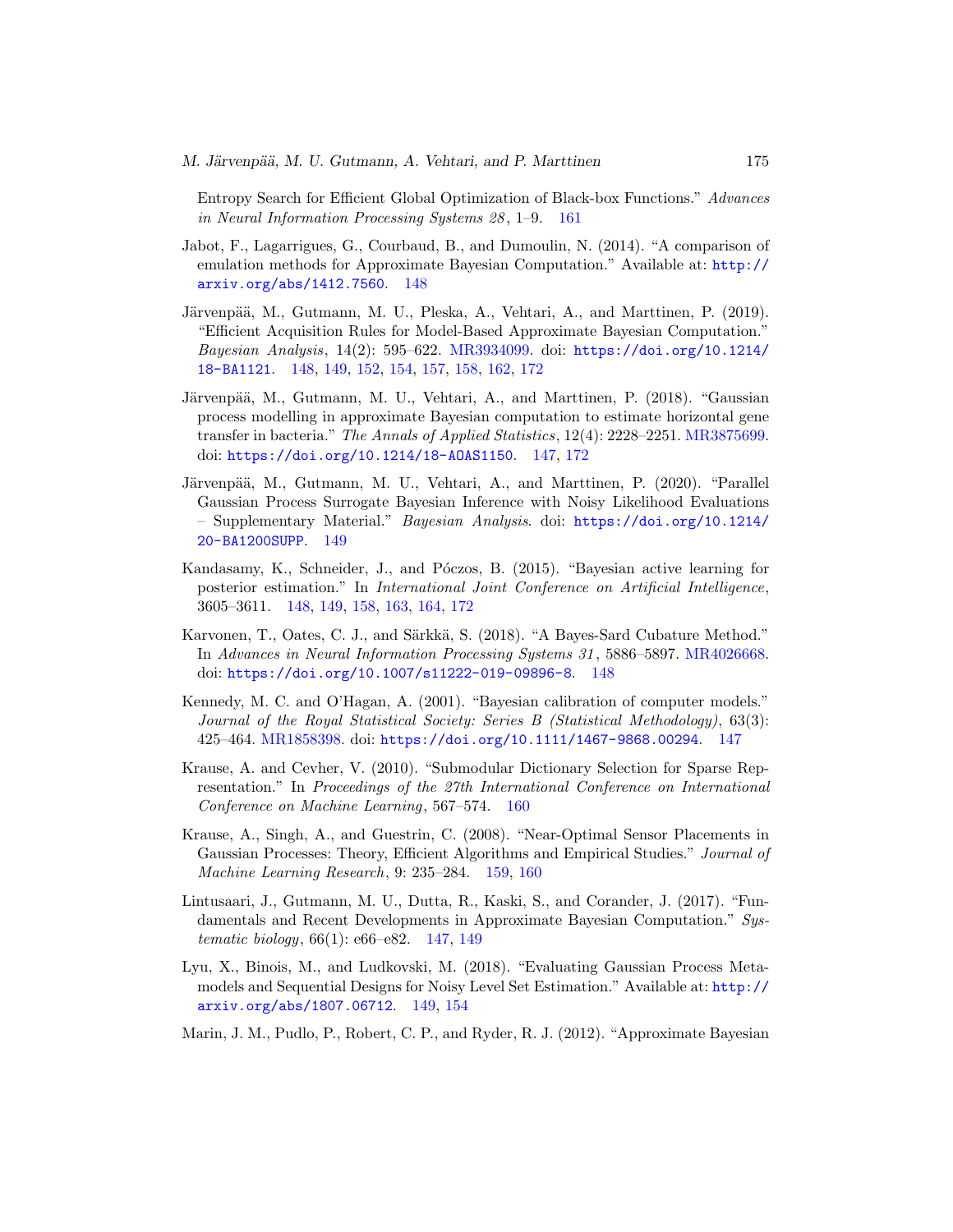Entropy Search for Efficient Global Optimization of Black-box Functions." Advances in Neural Information Processing Systems 28 , 1–9. [161](#page-15-1)

- <span id="page-29-5"></span>Jabot, F., Lagarrigues, G., Courbaud, B., and Dumoulin, N. (2014). "A comparison of emulation methods for Approximate Bayesian Computation." Available at: [http://](http://arxiv.org/abs/1412.7560) [arxiv.org/abs/1412.7560](http://arxiv.org/abs/1412.7560). [148](#page-2-0)
- <span id="page-29-6"></span>Järvenpää, M., Gutmann, M. U., Pleska, A., Vehtari, A., and Marttinen, P. (2019). "Efficient Acquisition Rules for Model-Based Approximate Bayesian Computation." Bayesian Analysis, 14(2): 595–622. [MR3934099.](https://www.ams.org/mathscinet-getitem?mr=3934099) doi: [https://doi.org/10.1214/](https://doi.org/10.1214/18-BA1121) [18-BA1121](https://doi.org/10.1214/18-BA1121). [148,](#page-2-0) [149,](#page-3-2) [152,](#page-6-5) [154,](#page-8-3) [157,](#page-11-1) [158,](#page-12-2) [162,](#page-16-2) [172](#page-26-2)
- <span id="page-29-2"></span>Järvenpää, M., Gutmann, M. U., Vehtari, A., and Marttinen, P. (2018). "Gaussian process modelling in approximate Bayesian computation to estimate horizontal gene transfer in bacteria." The Annals of Applied Statistics, 12(4): 2228–2251. [MR3875699.](https://www.ams.org/mathscinet-getitem?mr=3875699) doi: <https://doi.org/10.1214/18-AOAS1150>. [147,](#page-1-2) [172](#page-26-2)
- <span id="page-29-9"></span>Järvenpää, M., Gutmann, M. U., Vehtari, A., and Marttinen, P. (2020). "Parallel Gaussian Process Surrogate Bayesian Inference with Noisy Likelihood Evaluations – Supplementary Material." Bayesian Analysis. doi: [https://doi.org/10.1214/](https://doi.org/10.1214/20-BA1200SUPP) [20-BA1200SUPP](https://doi.org/10.1214/20-BA1200SUPP). [149](#page-3-2)
- <span id="page-29-4"></span>Kandasamy, K., Schneider, J., and Póczos, B. (2015). "Bayesian active learning for posterior estimation." In International Joint Conference on Artificial Intelligence, 3605–3611. [148,](#page-2-0) [149,](#page-3-2) [158,](#page-12-2) [163,](#page-17-4) [164,](#page-18-1) [172](#page-26-2)
- <span id="page-29-7"></span>Karvonen, T., Oates, C. J., and Särkkä, S. (2018). "A Bayes-Sard Cubature Method." In Advances in Neural Information Processing Systems 31 , 5886–5897. [MR4026668.](https://www.ams.org/mathscinet-getitem?mr=4026668) doi: <https://doi.org/10.1007/s11222-019-09896-8>. [148](#page-2-0)
- <span id="page-29-3"></span>Kennedy, M. C. and O'Hagan, A. (2001). "Bayesian calibration of computer models." Journal of the Royal Statistical Society: Series B (Statistical Methodology), 63(3): 425–464. [MR1858398.](https://www.ams.org/mathscinet-getitem?mr=1858398) doi: <https://doi.org/10.1111/1467-9868.00294>. [147](#page-1-2)
- <span id="page-29-11"></span>Krause, A. and Cevher, V. (2010). "Submodular Dictionary Selection for Sparse Representation." In Proceedings of the 27th International Conference on International Conference on Machine Learning, 567–574. [160](#page-14-3)
- <span id="page-29-10"></span>Krause, A., Singh, A., and Guestrin, C. (2008). "Near-Optimal Sensor Placements in Gaussian Processes: Theory, Efficient Algorithms and Empirical Studies." Journal of Machine Learning Research, 9: 235–284. [159,](#page-13-4) [160](#page-14-3)
- <span id="page-29-1"></span>Lintusaari, J., Gutmann, M. U., Dutta, R., Kaski, S., and Corander, J. (2017). "Fundamentals and Recent Developments in Approximate Bayesian Computation." Systematic biology, 66(1): e66–e82. [147,](#page-1-2) [149](#page-3-2)
- <span id="page-29-8"></span>Lyu, X., Binois, M., and Ludkovski, M. (2018). "Evaluating Gaussian Process Metamodels and Sequential Designs for Noisy Level Set Estimation." Available at: [http://](http://arxiv.org/abs/1807.06712) [arxiv.org/abs/1807.06712](http://arxiv.org/abs/1807.06712). [149,](#page-3-2) [154](#page-8-3)
- <span id="page-29-0"></span>Marin, J. M., Pudlo, P., Robert, C. P., and Ryder, R. J. (2012). "Approximate Bayesian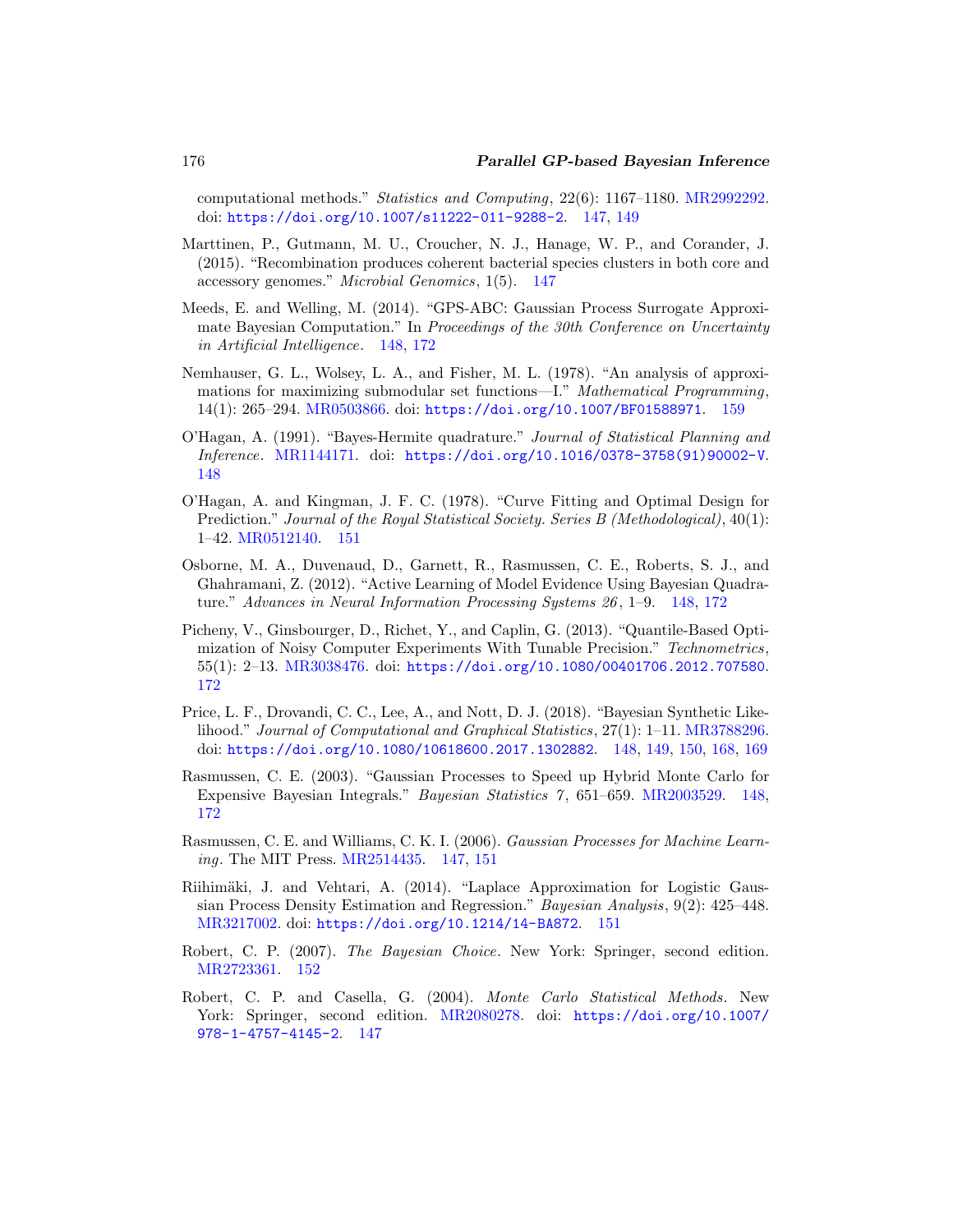computational methods." Statistics and Computing, 22(6): 1167–1180. [MR2992292.](https://www.ams.org/mathscinet-getitem?mr=2992292) doi: <https://doi.org/10.1007/s11222-011-9288-2>. [147,](#page-1-2) [149](#page-3-2)

- <span id="page-30-1"></span>Marttinen, P., Gutmann, M. U., Croucher, N. J., Hanage, W. P., and Corander, J. (2015). "Recombination produces coherent bacterial species clusters in both core and accessory genomes." Microbial Genomics, 1(5). [147](#page-1-2)
- <span id="page-30-4"></span>Meeds, E. and Welling, M. (2014). "GPS-ABC: Gaussian Process Surrogate Approximate Bayesian Computation." In Proceedings of the 30th Conference on Uncertainty in Artificial Intelligence. [148,](#page-2-0) [172](#page-26-2)
- <span id="page-30-11"></span>Nemhauser, G. L., Wolsey, L. A., and Fisher, M. L. (1978). "An analysis of approximations for maximizing submodular set functions—I." Mathematical Programming, 14(1): 265–294. [MR0503866.](https://www.ams.org/mathscinet-getitem?mr=0503866) doi: <https://doi.org/10.1007/BF01588971>. [159](#page-13-4)
- <span id="page-30-6"></span>O'Hagan, A. (1991). "Bayes-Hermite quadrature." Journal of Statistical Planning and Inference. [MR1144171.](https://www.ams.org/mathscinet-getitem?mr=1144171) doi: [https://doi.org/10.1016/0378-3758\(91\)90002-V](https://doi.org/10.1016/0378-3758(91)90002-V). [148](#page-2-0)
- <span id="page-30-8"></span>O'Hagan, A. and Kingman, J. F. C. (1978). "Curve Fitting and Optimal Design for Prediction." Journal of the Royal Statistical Society. Series B (Methodological), 40(1): 1–42. [MR0512140.](https://www.ams.org/mathscinet-getitem?mr=0512140) [151](#page-5-2)
- <span id="page-30-7"></span>Osborne, M. A., Duvenaud, D., Garnett, R., Rasmussen, C. E., Roberts, S. J., and Ghahramani, Z. (2012). "Active Learning of Model Evidence Using Bayesian Quadrature." Advances in Neural Information Processing Systems 26 , 1–9. [148,](#page-2-0) [172](#page-26-2)
- <span id="page-30-12"></span>Picheny, V., Ginsbourger, D., Richet, Y., and Caplin, G. (2013). "Quantile-Based Optimization of Noisy Computer Experiments With Tunable Precision." Technometrics, 55(1): 2–13. [MR3038476.](https://www.ams.org/mathscinet-getitem?mr=3038476) doi: <https://doi.org/10.1080/00401706.2012.707580>. [172](#page-26-2)
- <span id="page-30-5"></span>Price, L. F., Drovandi, C. C., Lee, A., and Nott, D. J. (2018). "Bayesian Synthetic Likelihood." Journal of Computational and Graphical Statistics, 27(1): 1–11. [MR3788296.](https://www.ams.org/mathscinet-getitem?mr=3788296) doi: <https://doi.org/10.1080/10618600.2017.1302882>. [148,](#page-2-0) [149,](#page-3-2) [150,](#page-4-4) [168,](#page-22-1) [169](#page-23-2)
- <span id="page-30-3"></span>Rasmussen, C. E. (2003). "Gaussian Processes to Speed up Hybrid Monte Carlo for Expensive Bayesian Integrals." Bayesian Statistics 7 , 651–659. [MR2003529.](https://www.ams.org/mathscinet-getitem?mr=2003529) [148,](#page-2-0) [172](#page-26-2)
- <span id="page-30-2"></span>Rasmussen, C. E. and Williams, C. K. I. (2006). Gaussian Processes for Machine Learning. The MIT Press. [MR2514435.](https://www.ams.org/mathscinet-getitem?mr=2514435) [147,](#page-1-2) [151](#page-5-2)
- <span id="page-30-9"></span>Riihimäki, J. and Vehtari, A. (2014). "Laplace Approximation for Logistic Gaussian Process Density Estimation and Regression." Bayesian Analysis, 9(2): 425–448. [MR3217002.](https://www.ams.org/mathscinet-getitem?mr=3217002) doi: <https://doi.org/10.1214/14-BA872>. [151](#page-5-2)
- <span id="page-30-10"></span>Robert, C. P. (2007). The Bayesian Choice. New York: Springer, second edition. [MR2723361.](https://www.ams.org/mathscinet-getitem?mr=2723361) [152](#page-6-5)
- <span id="page-30-0"></span>Robert, C. P. and Casella, G. (2004). Monte Carlo Statistical Methods. New York: Springer, second edition. [MR2080278.](https://www.ams.org/mathscinet-getitem?mr=2080278) doi: [https://doi.org/10.1007/](https://doi.org/10.1007/978-1-4757-4145-2) [978-1-4757-4145-2](https://doi.org/10.1007/978-1-4757-4145-2). [147](#page-1-2)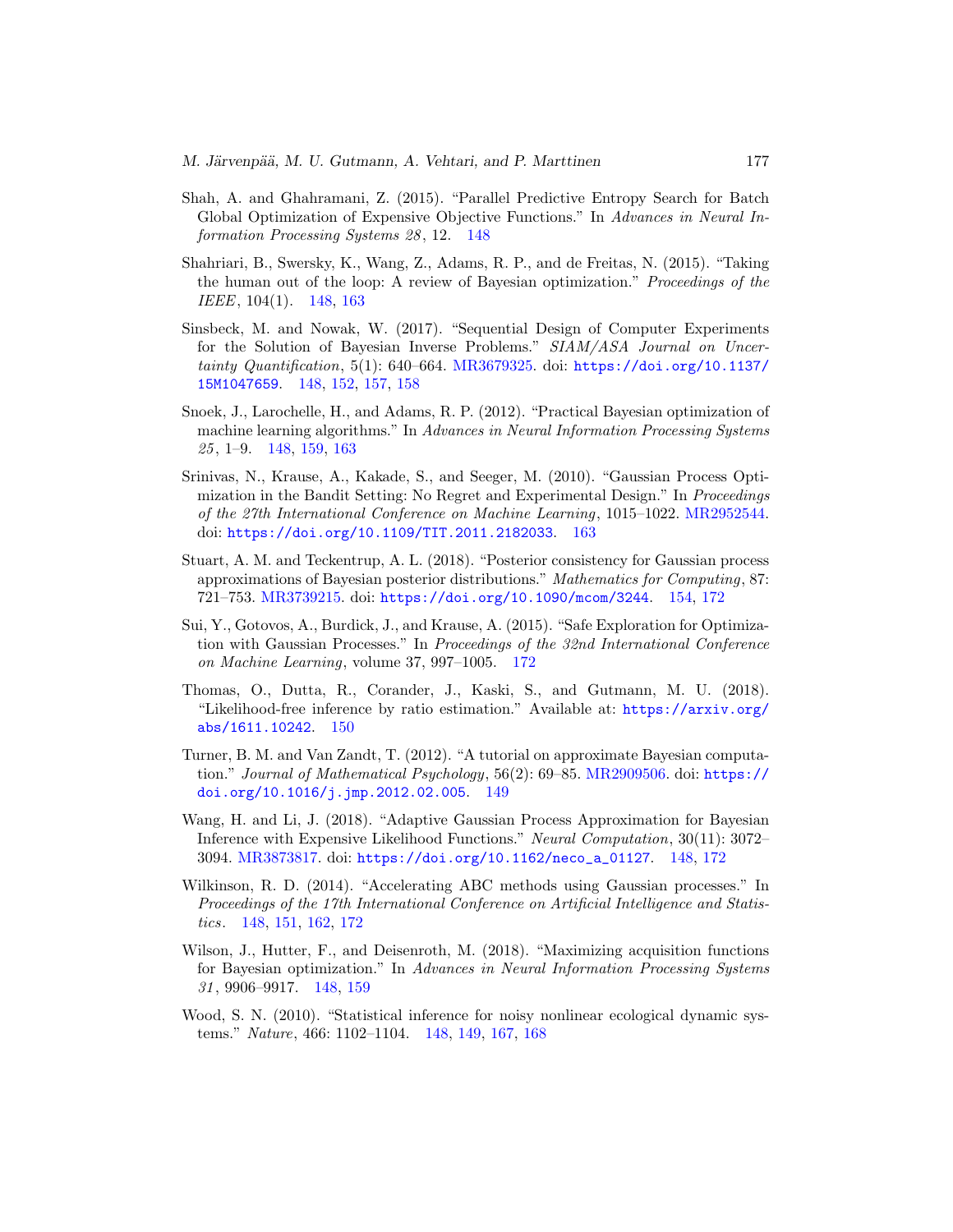- <span id="page-31-6"></span>Shah, A. and Ghahramani, Z. (2015). "Parallel Predictive Entropy Search for Batch Global Optimization of Expensive Objective Functions." In Advances in Neural Information Processing Systems 28 , 12. [148](#page-2-0)
- <span id="page-31-4"></span>Shahriari, B., Swersky, K., Wang, Z., Adams, R. P., and de Freitas, N. (2015). "Taking the human out of the loop: A review of Bayesian optimization." Proceedings of the IEEE, 104(1). [148,](#page-2-0) [163](#page-17-4)
- <span id="page-31-0"></span>Sinsbeck, M. and Nowak, W. (2017). "Sequential Design of Computer Experiments for the Solution of Bayesian Inverse Problems." SIAM/ASA Journal on Uncertainty Quantification, 5(1): 640–664. [MR3679325.](https://www.ams.org/mathscinet-getitem?mr=3679325) doi: [https://doi.org/10.1137/](https://doi.org/10.1137/15M1047659) [15M1047659](https://doi.org/10.1137/15M1047659). [148,](#page-2-0) [152,](#page-6-5) [157,](#page-11-1) [158](#page-12-2)
- <span id="page-31-5"></span>Snoek, J., Larochelle, H., and Adams, R. P. (2012). "Practical Bayesian optimization of machine learning algorithms." In Advances in Neural Information Processing Systems 25 , 1–9. [148,](#page-2-0) [159,](#page-13-4) [163](#page-17-4)
- <span id="page-31-11"></span>Srinivas, N., Krause, A., Kakade, S., and Seeger, M. (2010). "Gaussian Process Optimization in the Bandit Setting: No Regret and Experimental Design." In Proceedings of the 27th International Conference on Machine Learning, 1015–1022. [MR2952544.](https://www.ams.org/mathscinet-getitem?mr=2952544) doi: <https://doi.org/10.1109/TIT.2011.2182033>. [163](#page-17-4)
- <span id="page-31-10"></span>Stuart, A. M. and Teckentrup, A. L. (2018). "Posterior consistency for Gaussian process approximations of Bayesian posterior distributions." Mathematics for Computing, 87: 721–753. [MR3739215.](https://www.ams.org/mathscinet-getitem?mr=3739215) doi: <https://doi.org/10.1090/mcom/3244>. [154,](#page-8-3) [172](#page-26-2)
- <span id="page-31-12"></span>Sui, Y., Gotovos, A., Burdick, J., and Krause, A. (2015). "Safe Exploration for Optimization with Gaussian Processes." In Proceedings of the 32nd International Conference on Machine Learning, volume 37, 997–1005. [172](#page-26-2)
- <span id="page-31-9"></span>Thomas, O., Dutta, R., Corander, J., Kaski, S., and Gutmann, M. U. (2018). "Likelihood-free inference by ratio estimation." Available at: [https://arxiv.org/](https://arxiv.org/abs/1611.10242) [abs/1611.10242](https://arxiv.org/abs/1611.10242). [150](#page-4-4)
- <span id="page-31-8"></span>Turner, B. M. and Van Zandt, T. (2012). "A tutorial on approximate Bayesian computation." Journal of Mathematical Psychology, 56(2): 69–85. [MR2909506.](https://www.ams.org/mathscinet-getitem?mr=2909506) doi: [https://](https://doi.org/10.1016/j.jmp.2012.02.005) [doi.org/10.1016/j.jmp.2012.02.005](https://doi.org/10.1016/j.jmp.2012.02.005). [149](#page-3-2)
- <span id="page-31-1"></span>Wang, H. and Li, J. (2018). "Adaptive Gaussian Process Approximation for Bayesian Inference with Expensive Likelihood Functions." Neural Computation, 30(11): 3072– 3094. [MR3873817.](https://www.ams.org/mathscinet-getitem?mr=3873817) doi: [https://doi.org/10.1162/neco\\_a\\_01127](https://doi.org/10.1162/neco_a_01127). [148,](#page-2-0) [172](#page-26-2)
- <span id="page-31-2"></span>Wilkinson, R. D. (2014). "Accelerating ABC methods using Gaussian processes." In Proceedings of the 17th International Conference on Artificial Intelligence and Statistics. [148,](#page-2-0) [151,](#page-5-2) [162,](#page-16-2) [172](#page-26-2)
- <span id="page-31-7"></span>Wilson, J., Hutter, F., and Deisenroth, M. (2018). "Maximizing acquisition functions for Bayesian optimization." In Advances in Neural Information Processing Systems 31 , 9906–9917. [148,](#page-2-0) [159](#page-13-4)
- <span id="page-31-3"></span>Wood, S. N. (2010). "Statistical inference for noisy nonlinear ecological dynamic systems." Nature, 466: 1102–1104. [148,](#page-2-0) [149,](#page-3-2) [167,](#page-21-3) [168](#page-22-1)